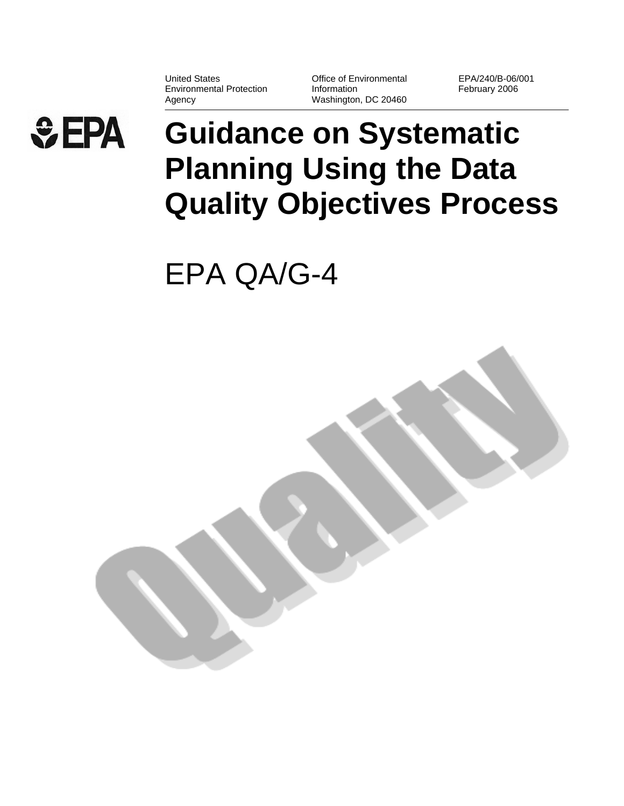United States Environmental Protection Agency

Office of Environmental Information Washington, DC 20460 EPA/240/B-06/001 February 2006

# $EPA$

## **Guidance on Systematic Planning Using the Data Quality Objectives Process**

EPA QA/G-4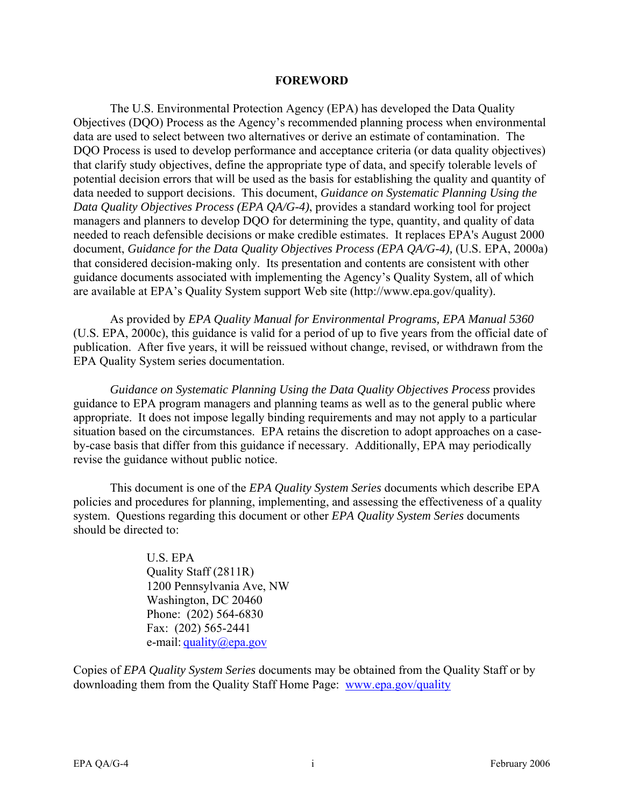#### **FOREWORD**

The U.S. Environmental Protection Agency (EPA) has developed the Data Quality Objectives (DQO) Process as the Agency's recommended planning process when environmental data are used to select between two alternatives or derive an estimate of contamination. The DQO Process is used to develop performance and acceptance criteria (or data quality objectives) that clarify study objectives, define the appropriate type of data, and specify tolerable levels of potential decision errors that will be used as the basis for establishing the quality and quantity of data needed to support decisions. This document, *Guidance on Systematic Planning Using the Data Quality Objectives Process (EPA QA/G-4)*, provides a standard working tool for project managers and planners to develop DQO for determining the type, quantity, and quality of data needed to reach defensible decisions or make credible estimates. It replaces EPA's August 2000 document, *Guidance for the Data Quality Objectives Process (EPA QA/G-4),* (U.S. EPA, 2000a) that considered decision-making only. Its presentation and contents are consistent with other guidance documents associated with implementing the Agency's Quality System, all of which are available at EPA's Quality System support Web site (<http://www.epa.gov/quality>).

As provided by *EPA Quality Manual for Environmental Programs, EPA Manual 5360*  (U.S. EPA, 2000c), this guidance is valid for a period of up to five years from the official date of publication. After five years, it will be reissued without change, revised, or withdrawn from the EPA Quality System series documentation.

*Guidance on Systematic Planning Using the Data Quality Objectives Process* provides guidance to EPA program managers and planning teams as well as to the general public where appropriate. It does not impose legally binding requirements and may not apply to a particular situation based on the circumstances. EPA retains the discretion to adopt approaches on a caseby-case basis that differ from this guidance if necessary. Additionally, EPA may periodically revise the guidance without public notice.

This document is one of the *EPA Quality System Series* documents which describe EPA policies and procedures for planning, implementing, and assessing the effectiveness of a quality system. Questions regarding this document or other *EPA Quality System Series* documents should be directed to:

> U.S. EPA Quality Staff (2811R) 1200 Pennsylvania Ave, NW Washington, DC 20460 Phone: (202) 564-6830 Fax: (202) 565-2441 e-mail: [quality@epa.gov](mailto:quality@epa.gov)

Copies of *EPA Quality System Series* documents may be obtained from the Quality Staff or by downloading them from the Quality Staff Home Page: [www.epa.gov/quality](http://www.epa.gov/quality)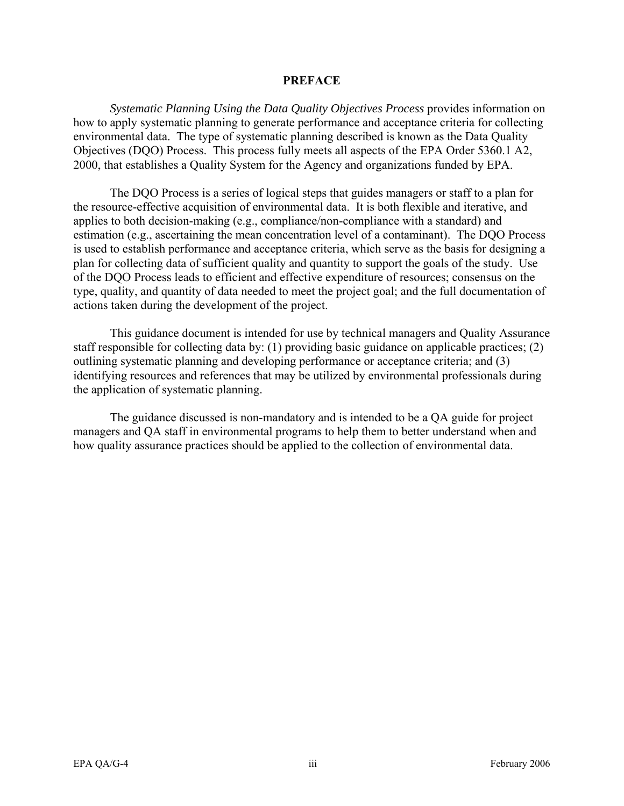#### **PREFACE**

*Systematic Planning Using the Data Quality Objectives Process* provides information on how to apply systematic planning to generate performance and acceptance criteria for collecting environmental data. The type of systematic planning described is known as the Data Quality Objectives (DQO) Process. This process fully meets all aspects of the EPA Order 5360.1 A2, 2000, that establishes a Quality System for the Agency and organizations funded by EPA.

The DQO Process is a series of logical steps that guides managers or staff to a plan for the resource-effective acquisition of environmental data. It is both flexible and iterative, and applies to both decision-making (e.g., compliance/non-compliance with a standard) and estimation (e.g., ascertaining the mean concentration level of a contaminant). The DQO Process is used to establish performance and acceptance criteria, which serve as the basis for designing a plan for collecting data of sufficient quality and quantity to support the goals of the study. Use of the DQO Process leads to efficient and effective expenditure of resources; consensus on the type, quality, and quantity of data needed to meet the project goal; and the full documentation of actions taken during the development of the project.

This guidance document is intended for use by technical managers and Quality Assurance staff responsible for collecting data by: (1) providing basic guidance on applicable practices; (2) outlining systematic planning and developing performance or acceptance criteria; and (3) identifying resources and references that may be utilized by environmental professionals during the application of systematic planning.

The guidance discussed is non-mandatory and is intended to be a QA guide for project managers and QA staff in environmental programs to help them to better understand when and how quality assurance practices should be applied to the collection of environmental data.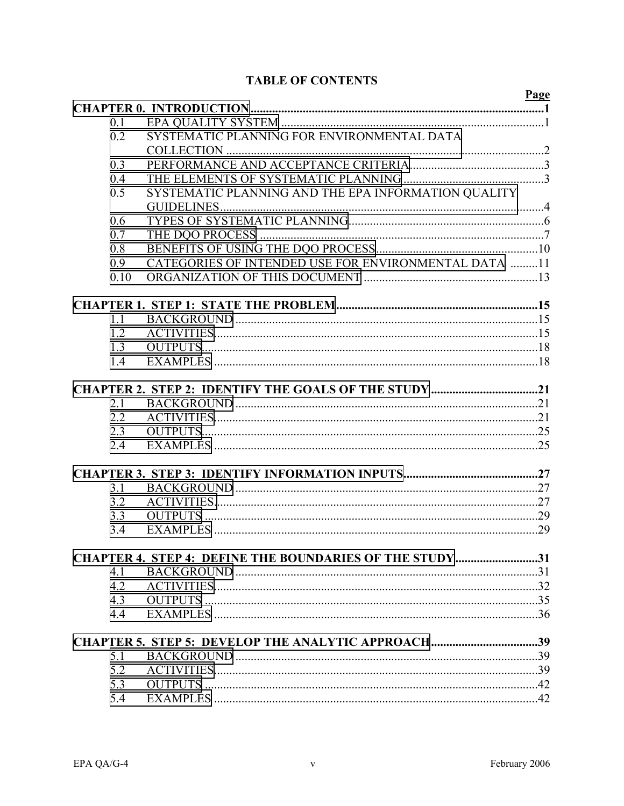#### **TABLE OF CONTENTS**

|      |                                                                | Page |
|------|----------------------------------------------------------------|------|
|      |                                                                |      |
| 0.1  |                                                                |      |
| 0.2  | SYSTEMATIC PLANNING FOR ENVIRONMENTAL DATA                     |      |
|      |                                                                |      |
| 0.3  |                                                                |      |
| 0.4  |                                                                |      |
| 0.5  | SYSTEMATIC PLANNING AND THE EPA INFORMATION QUALITY            |      |
|      |                                                                |      |
| 0.6  |                                                                |      |
| 0.7  |                                                                |      |
| 0.8  |                                                                |      |
| 0.9  | CATEGORIES OF INTENDED USE FOR ENVIRONMENTAL DATA 11           |      |
| 0.10 |                                                                |      |
|      |                                                                |      |
| 1.1  |                                                                |      |
| 1.2  |                                                                |      |
| 1.3  |                                                                |      |
| 1.4  |                                                                |      |
|      |                                                                |      |
|      | CHAPTER 2. STEP 2: IDENTIFY THE GOALS OF THE STUDY 21          |      |
| 2.1  |                                                                |      |
| 2.2  |                                                                |      |
| 2.3  |                                                                |      |
| 2.4  |                                                                |      |
|      |                                                                |      |
| 3.1  |                                                                |      |
| 3.2  |                                                                |      |
| 3.3  |                                                                |      |
| 3.4  |                                                                |      |
|      | <b>CHAPTER 4. STEP 4: DEFINE THE BOUNDARIES OF THE STUDY31</b> |      |
| 4.1  |                                                                |      |
| 4.2  |                                                                |      |
| 4.3  |                                                                |      |
| 4.4  |                                                                |      |
|      |                                                                |      |
|      | CHAPTER 5. STEP 5: DEVELOP THE ANALYTIC APPROACH39             |      |
| 5.1  |                                                                |      |
| 5.2  |                                                                |      |
| 5.3  |                                                                |      |
| 5.4  |                                                                |      |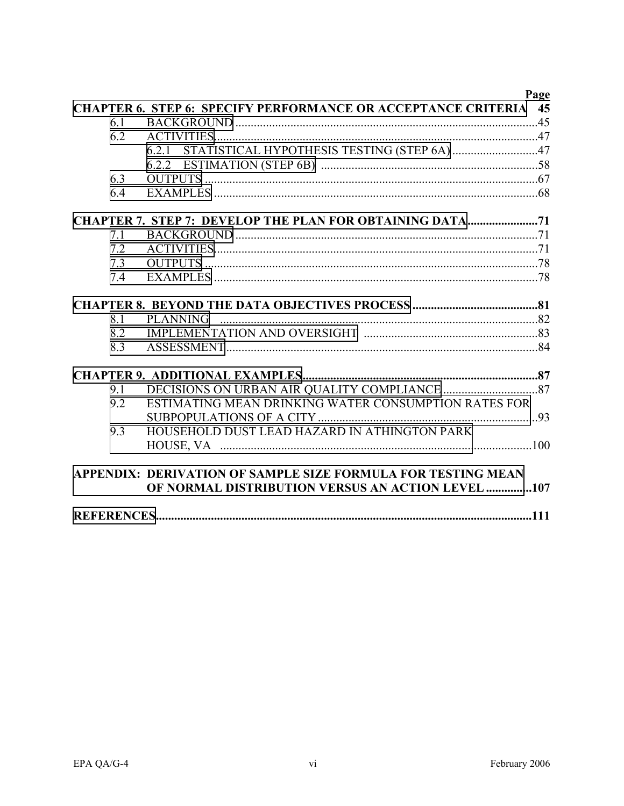|     |                                                                      | Page |
|-----|----------------------------------------------------------------------|------|
|     | <b>CHAPTER 6. STEP 6: SPECIFY PERFORMANCE OR ACCEPTANCE CRITERIA</b> | 45   |
| 6.1 |                                                                      |      |
| 6.2 |                                                                      |      |
|     | 6.2.1 STATISTICAL HYPOTHESIS TESTING (STEP 6A) 47                    |      |
|     |                                                                      |      |
| 6.3 |                                                                      |      |
| 6.4 |                                                                      |      |
|     | <b>CHAPTER 7. STEP 7: DEVELOP THE PLAN FOR OBTAINING DATA71</b>      |      |
| 7.1 |                                                                      |      |
| 7.2 |                                                                      |      |
| 7.3 |                                                                      |      |
| 7.4 |                                                                      |      |
|     |                                                                      |      |
| 8.1 |                                                                      |      |
| 8.2 |                                                                      |      |
| 8.3 |                                                                      |      |
|     |                                                                      |      |
| 9.1 |                                                                      |      |
| 9.2 | ESTIMATING MEAN DRINKING WATER CONSUMPTION RATES FOR                 |      |
|     |                                                                      |      |
| 9.3 | HOUSEHOLD DUST LEAD HAZARD IN ATHINGTON PARK                         |      |
|     |                                                                      |      |
|     | APPENDIX: DERIVATION OF SAMPLE SIZE FORMULA FOR TESTING MEAN         |      |
|     | <b>OF NORMAL DISTRIBUTION VERSUS AN ACTION LEVEL 107</b>             |      |
|     |                                                                      |      |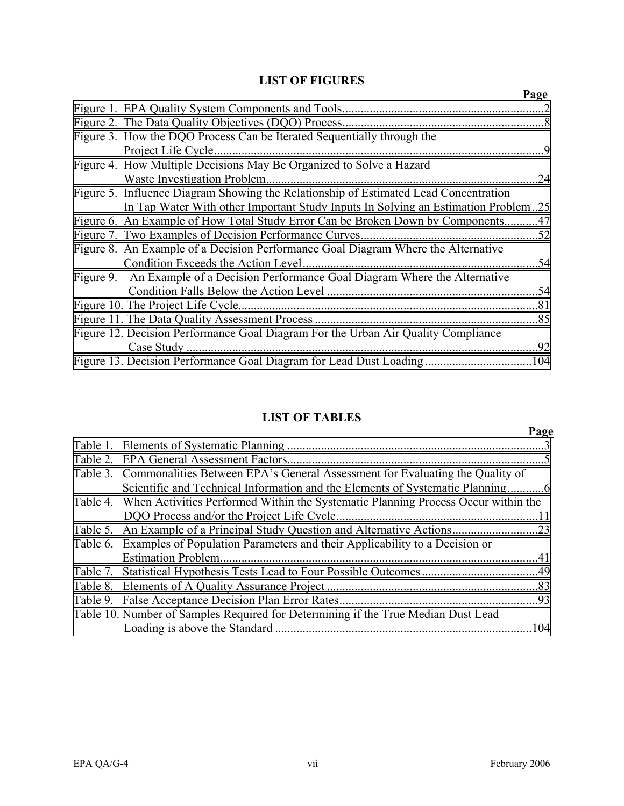#### **LIST OF FIGURES**

|                                                                                      | Page |
|--------------------------------------------------------------------------------------|------|
|                                                                                      |      |
|                                                                                      |      |
| Figure 3. How the DQO Process Can be Iterated Sequentially through the               |      |
|                                                                                      | -9   |
| Figure 4. How Multiple Decisions May Be Organized to Solve a Hazard                  |      |
| Waste Investigation Problem                                                          | .24  |
| Figure 5. Influence Diagram Showing the Relationship of Estimated Lead Concentration |      |
| In Tap Water With other Important Study Inputs In Solving an Estimation Problem25    |      |
| Figure 6. An Example of How Total Study Error Can be Broken Down by Components47     |      |
|                                                                                      |      |
| Figure 8. An Example of a Decision Performance Goal Diagram Where the Alternative    |      |
|                                                                                      | .54  |
| Figure 9. An Example of a Decision Performance Goal Diagram Where the Alternative    |      |
|                                                                                      | .54  |
|                                                                                      |      |
|                                                                                      |      |
| Figure 12. Decision Performance Goal Diagram For the Urban Air Quality Compliance    |      |
| Case Study.                                                                          | .92  |
|                                                                                      | 104  |

#### **LIST OF TABLES**

|                                                                                            | Page |
|--------------------------------------------------------------------------------------------|------|
|                                                                                            |      |
|                                                                                            |      |
| Table 3. Commonalities Between EPA's General Assessment for Evaluating the Quality of      |      |
|                                                                                            |      |
| Table 4. When Activities Performed Within the Systematic Planning Process Occur within the |      |
|                                                                                            |      |
|                                                                                            |      |
| Table 6. Examples of Population Parameters and their Applicability to a Decision or        |      |
|                                                                                            |      |
|                                                                                            |      |
|                                                                                            |      |
|                                                                                            |      |
| Table 10. Number of Samples Required for Determining if the True Median Dust Lead          |      |
|                                                                                            | .104 |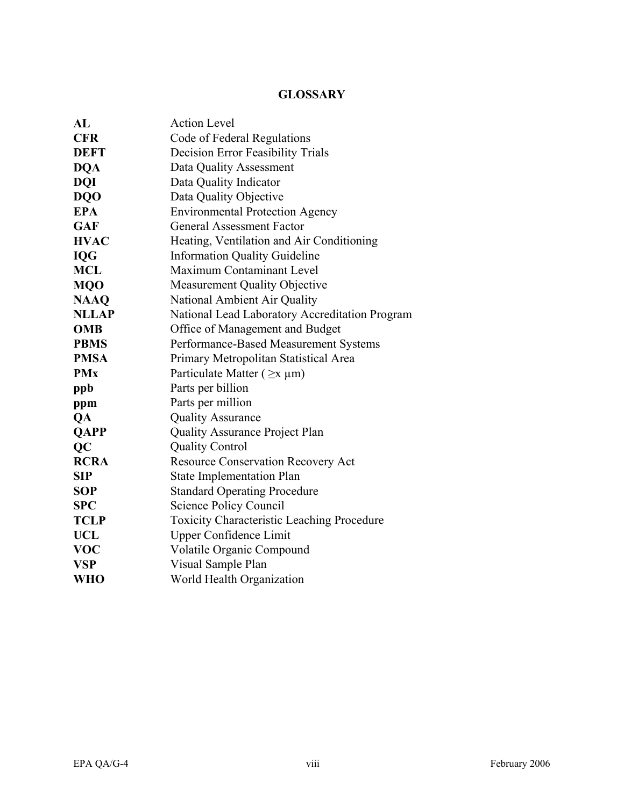#### **GLOSSARY**

| AI           | <b>Action Level</b>                               |  |  |  |
|--------------|---------------------------------------------------|--|--|--|
| <b>CFR</b>   | Code of Federal Regulations                       |  |  |  |
| <b>DEFT</b>  | <b>Decision Error Feasibility Trials</b>          |  |  |  |
| <b>DQA</b>   | Data Quality Assessment                           |  |  |  |
| <b>DQI</b>   | Data Quality Indicator                            |  |  |  |
| <b>DQO</b>   | Data Quality Objective                            |  |  |  |
| <b>EPA</b>   | <b>Environmental Protection Agency</b>            |  |  |  |
| <b>GAF</b>   | <b>General Assessment Factor</b>                  |  |  |  |
| <b>HVAC</b>  | Heating, Ventilation and Air Conditioning         |  |  |  |
| <b>IQG</b>   | <b>Information Quality Guideline</b>              |  |  |  |
| <b>MCL</b>   | Maximum Contaminant Level                         |  |  |  |
| <b>MQO</b>   | <b>Measurement Quality Objective</b>              |  |  |  |
| <b>NAAQ</b>  | National Ambient Air Quality                      |  |  |  |
| <b>NLLAP</b> | National Lead Laboratory Accreditation Program    |  |  |  |
| <b>OMB</b>   | Office of Management and Budget                   |  |  |  |
| <b>PBMS</b>  | Performance-Based Measurement Systems             |  |  |  |
| <b>PMSA</b>  | Primary Metropolitan Statistical Area             |  |  |  |
| <b>PMx</b>   | Particulate Matter ( $\geq x \mu m$ )             |  |  |  |
| ppb          | Parts per billion                                 |  |  |  |
| ppm          | Parts per million                                 |  |  |  |
| QA           | <b>Quality Assurance</b>                          |  |  |  |
| <b>QAPP</b>  | <b>Quality Assurance Project Plan</b>             |  |  |  |
| QC           | <b>Quality Control</b>                            |  |  |  |
| <b>RCRA</b>  | Resource Conservation Recovery Act                |  |  |  |
| <b>SIP</b>   | <b>State Implementation Plan</b>                  |  |  |  |
| <b>SOP</b>   | <b>Standard Operating Procedure</b>               |  |  |  |
| <b>SPC</b>   | <b>Science Policy Council</b>                     |  |  |  |
| <b>TCLP</b>  | <b>Toxicity Characteristic Leaching Procedure</b> |  |  |  |
| UCL          | <b>Upper Confidence Limit</b>                     |  |  |  |
| <b>VOC</b>   | <b>Volatile Organic Compound</b>                  |  |  |  |
| <b>VSP</b>   | Visual Sample Plan                                |  |  |  |
| <b>WHO</b>   | World Health Organization                         |  |  |  |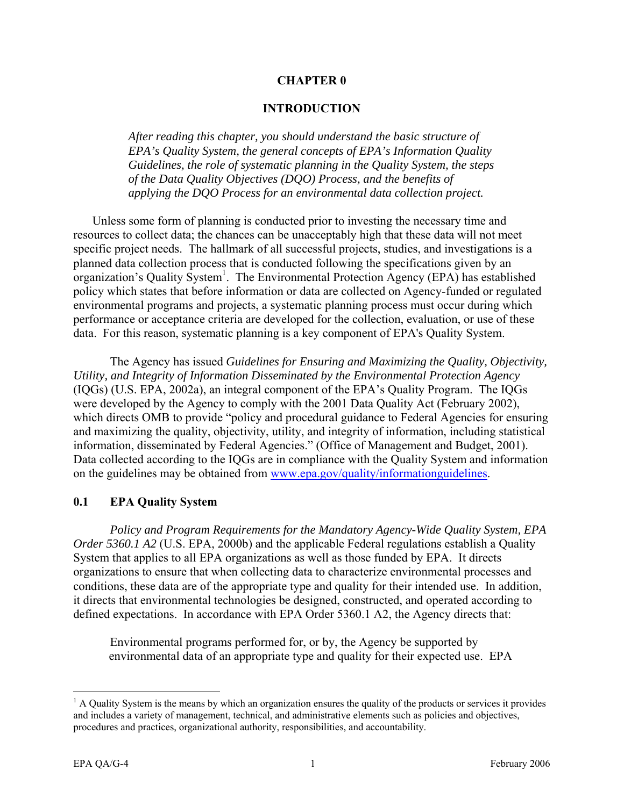#### **CHAPTER 0**

#### **INTRODUCTION**

<span id="page-9-0"></span>*After reading this chapter, you should understand the basic structure of EPA's Quality System, the general concepts of EPA's Information Quality Guidelines, the role of systematic planning in the Quality System, the steps of the Data Quality Objectives (DQO) Process, and the benefits of applying the DQO Process for an environmental data collection project.* 

Unless some form of planning is conducted prior to investing the necessary time and resources to collect data; the chances can be unacceptably high that these data will not meet specific project needs. The hallmark of all successful projects, studies, and investigations is a planned data collection process that is conducted following the specifications given by an organization's Quality System<sup>1</sup>. The Environmental Protection Agency (EPA) has established policy which states that before information or data are collected on Agency-funded or regulated environmental programs and projects, a systematic planning process must occur during which performance or acceptance criteria are developed for the collection, evaluation, or use of these data. For this reason, systematic planning is a key component of EPA's Quality System.

The Agency has issued *Guidelines for Ensuring and Maximizing the Quality, Objectivity, Utility, and Integrity of Information Disseminated by the Environmental Protection Agency*  (IQGs) (U.S. EPA, 2002a), an integral component of the EPA's Quality Program. The IQGs were developed by the Agency to comply with the 2001 Data Quality Act (February 2002), which directs OMB to provide "policy and procedural guidance to Federal Agencies for ensuring and maximizing the quality, objectivity, utility, and integrity of information, including statistical information, disseminated by Federal Agencies." (Office of Management and Budget, 2001). Data collected according to the IQGs are in compliance with the Quality System and information on the guidelines may be obtained from [www.epa.gov/quality/informationguidelines.](http://www.epa.gov/quality/informationguidelines)

#### **0.1 EPA Quality System**

*Policy and Program Requirements for the Mandatory Agency-Wide Quality System, EPA Order 5360.1 A2* (U.S. EPA, 2000b) and the applicable Federal regulations establish a Quality System that applies to all EPA organizations as well as those funded by EPA. It directs organizations to ensure that when collecting data to characterize environmental processes and conditions, these data are of the appropriate type and quality for their intended use. In addition, it directs that environmental technologies be designed, constructed, and operated according to defined expectations. In accordance with EPA Order 5360.1 A2, the Agency directs that:

Environmental programs performed for, or by, the Agency be supported by environmental data of an appropriate type and quality for their expected use. EPA

 $<sup>1</sup>$  A Quality System is the means by which an organization ensures the quality of the products or services it provides</sup> and includes a variety of management, technical, and administrative elements such as policies and objectives, procedures and practices, organizational authority, responsibilities, and accountability.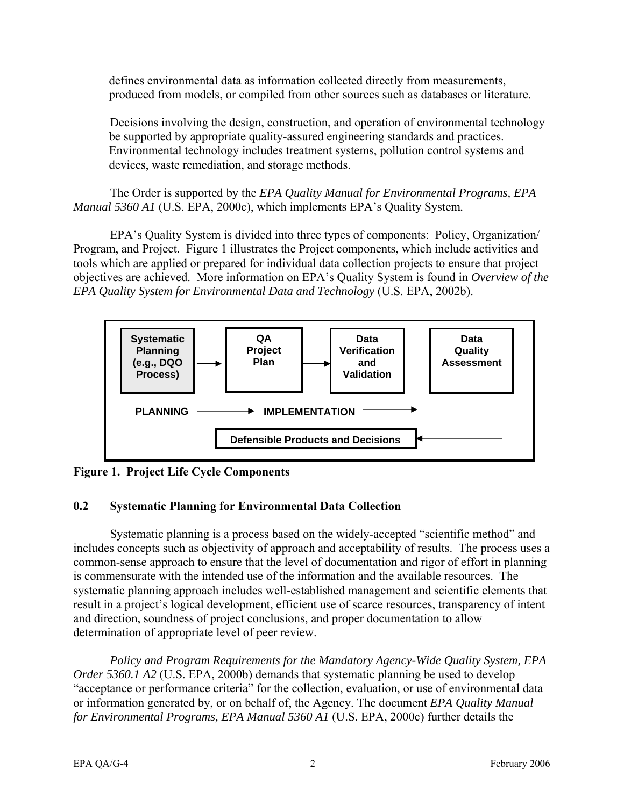<span id="page-10-0"></span>defines environmental data as information collected directly from measurements, produced from models, or compiled from other sources such as databases or literature.

Decisions involving the design, construction, and operation of environmental technology be supported by appropriate quality-assured engineering standards and practices. Environmental technology includes treatment systems, pollution control systems and devices, waste remediation, and storage methods.

The Order is supported by the *EPA Quality Manual for Environmental Programs, EPA Manual 5360 A1* (U.S. EPA, 2000c), which implements EPA's Quality System*.* 

EPA's Quality System is divided into three types of components: Policy, Organization/ Program, and Project. Figure 1 illustrates the Project components, which include activities and tools which are applied or prepared for individual data collection projects to ensure that project objectives are achieved. More information on EPA's Quality System is found in *Overview of the EPA Quality System for Environmental Data and Technology* (U.S. EPA, 2002b).



**Figure 1. Project Life Cycle Components** 

#### **0.2 Systematic Planning for Environmental Data Collection**

Systematic planning is a process based on the widely-accepted "scientific method" and includes concepts such as objectivity of approach and acceptability of results. The process uses a common-sense approach to ensure that the level of documentation and rigor of effort in planning is commensurate with the intended use of the information and the available resources. The systematic planning approach includes well-established management and scientific elements that result in a project's logical development, efficient use of scarce resources, transparency of intent and direction, soundness of project conclusions, and proper documentation to allow determination of appropriate level of peer review.

*Policy and Program Requirements for the Mandatory Agency-Wide Quality System, EPA Order 5360.1 A2* (U.S. EPA, 2000b) demands that systematic planning be used to develop "acceptance or performance criteria" for the collection, evaluation, or use of environmental data or information generated by, or on behalf of, the Agency. The document *EPA Quality Manual for Environmental Programs, EPA Manual 5360 A1* (U.S. EPA, 2000c) further details the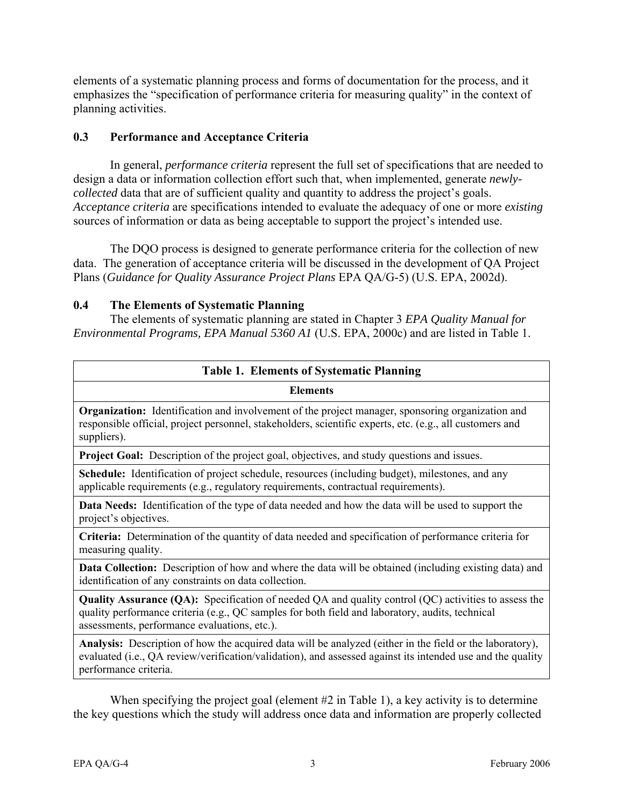<span id="page-11-0"></span>elements of a systematic planning process and forms of documentation for the process, and it emphasizes the "specification of performance criteria for measuring quality" in the context of planning activities.

#### **0.3 Performance and Acceptance Criteria**

In general, *performance criteria* represent the full set of specifications that are needed to design a data or information collection effort such that, when implemented, generate *newlycollected* data that are of sufficient quality and quantity to address the project's goals. *Acceptance criteria* are specifications intended to evaluate the adequacy of one or more *existing*  sources of information or data as being acceptable to support the project's intended use.

The DQO process is designed to generate performance criteria for the collection of new data. The generation of acceptance criteria will be discussed in the development of QA Project Plans (*Guidance for Quality Assurance Project Plans* EPA QA/G-5) (U.S. EPA, 2002d).

#### **0.4 The Elements of Systematic Planning**

The elements of systematic planning are stated in Chapter 3 *EPA Quality Manual for Environmental Programs, EPA Manual 5360 A1* (U.S. EPA, 2000c) and are listed in Table 1.

| <b>Table 1. Elements of Systematic Planning</b>                                                                                                                                                                                                                |  |  |
|----------------------------------------------------------------------------------------------------------------------------------------------------------------------------------------------------------------------------------------------------------------|--|--|
| <b>Elements</b>                                                                                                                                                                                                                                                |  |  |
| <b>Organization:</b> Identification and involvement of the project manager, sponsoring organization and<br>responsible official, project personnel, stakeholders, scientific experts, etc. (e.g., all customers and<br>suppliers).                             |  |  |
| <b>Project Goal:</b> Description of the project goal, objectives, and study questions and issues.                                                                                                                                                              |  |  |
| <b>Schedule:</b> Identification of project schedule, resources (including budget), milestones, and any<br>applicable requirements (e.g., regulatory requirements, contractual requirements).                                                                   |  |  |
| <b>Data Needs:</b> Identification of the type of data needed and how the data will be used to support the<br>project's objectives.                                                                                                                             |  |  |
| Criteria: Determination of the quantity of data needed and specification of performance criteria for<br>measuring quality.                                                                                                                                     |  |  |
| Data Collection: Description of how and where the data will be obtained (including existing data) and<br>identification of any constraints on data collection.                                                                                                 |  |  |
| <b>Quality Assurance (QA):</b> Specification of needed QA and quality control (QC) activities to assess the<br>quality performance criteria (e.g., QC samples for both field and laboratory, audits, technical<br>assessments, performance evaluations, etc.). |  |  |
| <b>Analysis:</b> Description of how the acquired data will be analyzed (either in the field or the laboratory),<br>evaluated (i.e., QA review/verification/validation), and assessed against its intended use and the quality<br>performance criteria.         |  |  |
|                                                                                                                                                                                                                                                                |  |  |

When specifying the project goal (element #2 in Table 1), a key activity is to determine the key questions which the study will address once data and information are properly collected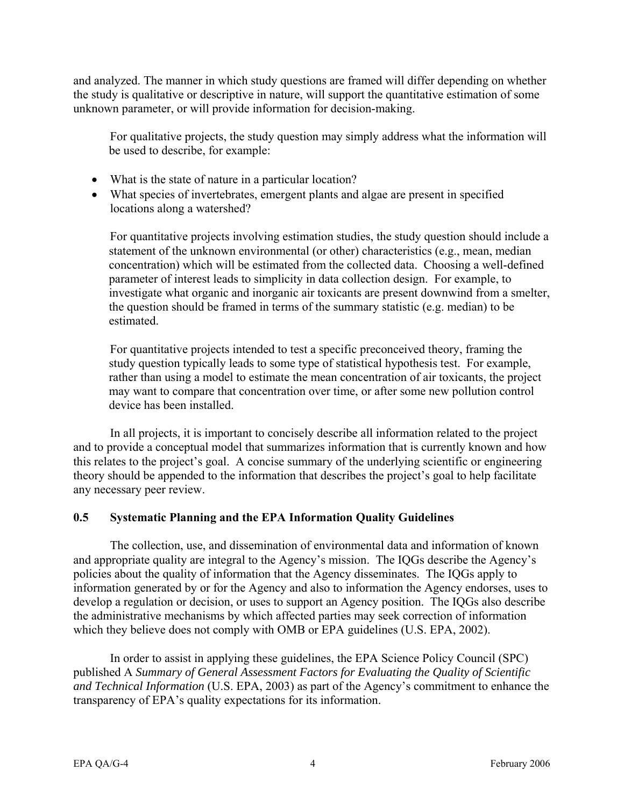<span id="page-12-0"></span>and analyzed. The manner in which study questions are framed will differ depending on whether the study is qualitative or descriptive in nature, will support the quantitative estimation of some unknown parameter, or will provide information for decision-making.

For qualitative projects, the study question may simply address what the information will be used to describe, for example:

- What is the state of nature in a particular location?
- What species of invertebrates, emergent plants and algae are present in specified locations along a watershed?

For quantitative projects involving estimation studies, the study question should include a statement of the unknown environmental (or other) characteristics (e.g., mean, median concentration) which will be estimated from the collected data. Choosing a well-defined parameter of interest leads to simplicity in data collection design. For example, to investigate what organic and inorganic air toxicants are present downwind from a smelter, the question should be framed in terms of the summary statistic (e.g. median) to be estimated.

For quantitative projects intended to test a specific preconceived theory, framing the study question typically leads to some type of statistical hypothesis test. For example, rather than using a model to estimate the mean concentration of air toxicants, the project may want to compare that concentration over time, or after some new pollution control device has been installed.

In all projects, it is important to concisely describe all information related to the project and to provide a conceptual model that summarizes information that is currently known and how this relates to the project's goal. A concise summary of the underlying scientific or engineering theory should be appended to the information that describes the project's goal to help facilitate any necessary peer review.

#### **0.5 Systematic Planning and the EPA Information Quality Guidelines**

The collection, use, and dissemination of environmental data and information of known and appropriate quality are integral to the Agency's mission. The IQGs describe the Agency's policies about the quality of information that the Agency disseminates. The IQGs apply to information generated by or for the Agency and also to information the Agency endorses, uses to develop a regulation or decision, or uses to support an Agency position. The IQGs also describe the administrative mechanisms by which affected parties may seek correction of information which they believe does not comply with OMB or EPA guidelines (U.S. EPA, 2002).

In order to assist in applying these guidelines, the EPA Science Policy Council (SPC) published A *Summary of General Assessment Factors for Evaluating the Quality of Scientific and Technical Information* (U.S. EPA, 2003) as part of the Agency's commitment to enhance the transparency of EPA's quality expectations for its information.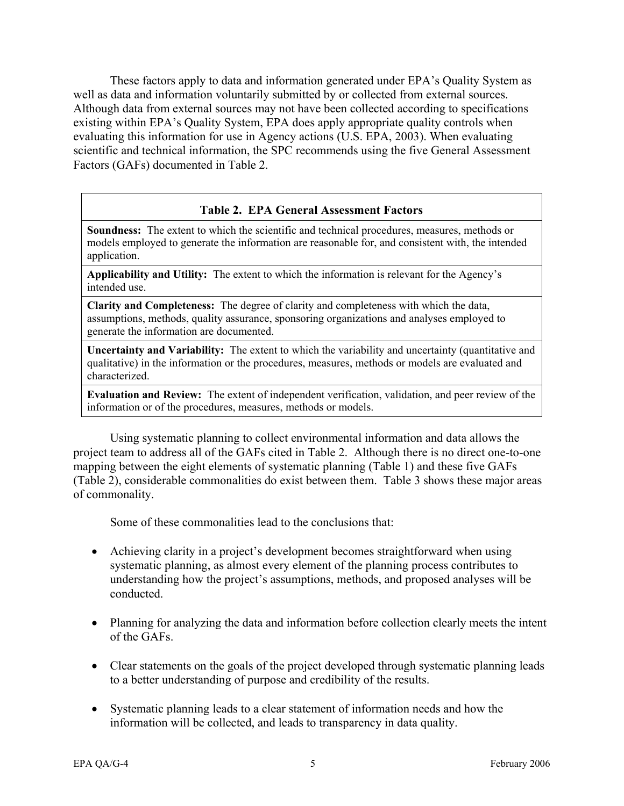<span id="page-13-0"></span>These factors apply to data and information generated under EPA's Quality System as well as data and information voluntarily submitted by or collected from external sources. Although data from external sources may not have been collected according to specifications existing within EPA's Quality System, EPA does apply appropriate quality controls when evaluating this information for use in Agency actions (U.S. EPA, 2003). When evaluating scientific and technical information, the SPC recommends using the five General Assessment Factors (GAFs) documented in Table 2.

#### **Table 2. EPA General Assessment Factors**

**Soundness:** The extent to which the scientific and technical procedures, measures, methods or models employed to generate the information are reasonable for, and consistent with, the intended application.

**Applicability and Utility:** The extent to which the information is relevant for the Agency's intended use.

**Clarity and Completeness:** The degree of clarity and completeness with which the data, assumptions, methods, quality assurance, sponsoring organizations and analyses employed to generate the information are documented.

**Uncertainty and Variability:** The extent to which the variability and uncertainty (quantitative and qualitative) in the information or the procedures, measures, methods or models are evaluated and characterized.

**Evaluation and Review:** The extent of independent verification, validation, and peer review of the information or of the procedures, measures, methods or models.

Using systematic planning to collect environmental information and data allows the project team to address all of the GAFs cited in Table 2. Although there is no direct one-to-one mapping between the eight elements of systematic planning (Table 1) and these five GAFs (Table 2), considerable commonalities do exist between them. Table 3 shows these major areas of commonality.

Some of these commonalities lead to the conclusions that:

- Achieving clarity in a project's development becomes straightforward when using systematic planning, as almost every element of the planning process contributes to understanding how the project's assumptions, methods, and proposed analyses will be conducted.
- Planning for analyzing the data and information before collection clearly meets the intent of the GAFs.
- Clear statements on the goals of the project developed through systematic planning leads to a better understanding of purpose and credibility of the results.
- Systematic planning leads to a clear statement of information needs and how the information will be collected, and leads to transparency in data quality.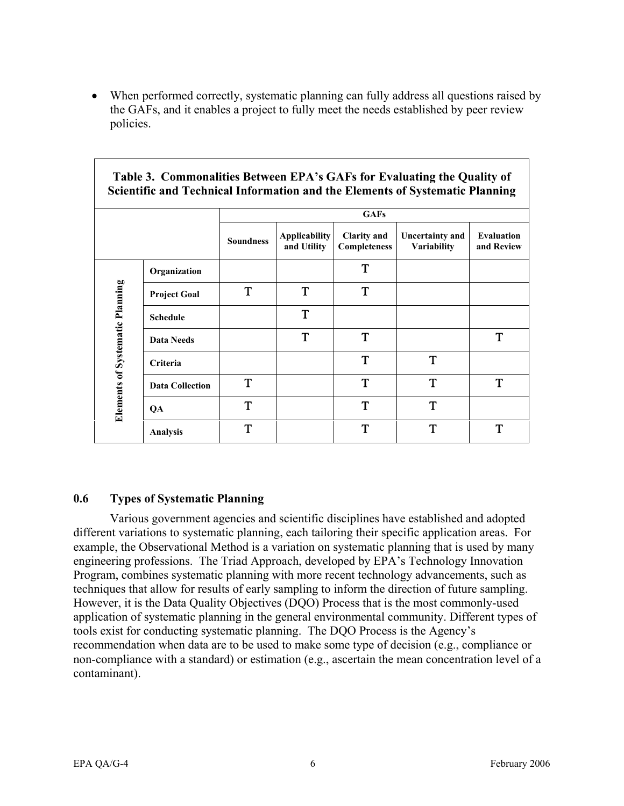<span id="page-14-0"></span>• When performed correctly, systematic planning can fully address all questions raised by the GAFs, and it enables a project to fully meet the needs established by peer review policies.

| $\cdots$<br>Scientific and Technical Information and the Elements of Systematic Planning |                        |                  |                                     |                                    |                                |                                 |  |
|------------------------------------------------------------------------------------------|------------------------|------------------|-------------------------------------|------------------------------------|--------------------------------|---------------------------------|--|
|                                                                                          |                        |                  | <b>GAFs</b>                         |                                    |                                |                                 |  |
|                                                                                          |                        | <b>Soundness</b> | <b>Applicability</b><br>and Utility | <b>Clarity and</b><br>Completeness | Uncertainty and<br>Variability | <b>Evaluation</b><br>and Review |  |
|                                                                                          | Organization           |                  |                                     | T                                  |                                |                                 |  |
|                                                                                          | <b>Project Goal</b>    | T                | T                                   | T                                  |                                |                                 |  |
| <b>Elements of Systematic Planning</b>                                                   | <b>Schedule</b>        |                  | T                                   |                                    |                                |                                 |  |
|                                                                                          | <b>Data Needs</b>      |                  | T                                   | T                                  |                                | T                               |  |
|                                                                                          | Criteria               |                  |                                     | T                                  | T                              |                                 |  |
|                                                                                          | <b>Data Collection</b> | T                |                                     | T                                  | T                              | T                               |  |
|                                                                                          | QA                     | T                |                                     | T                                  | T                              |                                 |  |
|                                                                                          | <b>Analysis</b>        | T                |                                     | T                                  | T                              | T                               |  |

### **Table 3. Commonalities Between EPA's GAFs for Evaluating the Quality of**

#### **0.6 Types of Systematic Planning**

Various government agencies and scientific disciplines have established and adopted different variations to systematic planning, each tailoring their specific application areas. For example, the Observational Method is a variation on systematic planning that is used by many engineering professions. The Triad Approach, developed by EPA's Technology Innovation Program, combines systematic planning with more recent technology advancements, such as techniques that allow for results of early sampling to inform the direction of future sampling. However, it is the Data Quality Objectives (DQO) Process that is the most commonly-used application of systematic planning in the general environmental community. Different types of tools exist for conducting systematic planning. The DQO Process is the Agency's recommendation when data are to be used to make some type of decision (e.g., compliance or non-compliance with a standard) or estimation (e.g., ascertain the mean concentration level of a contaminant).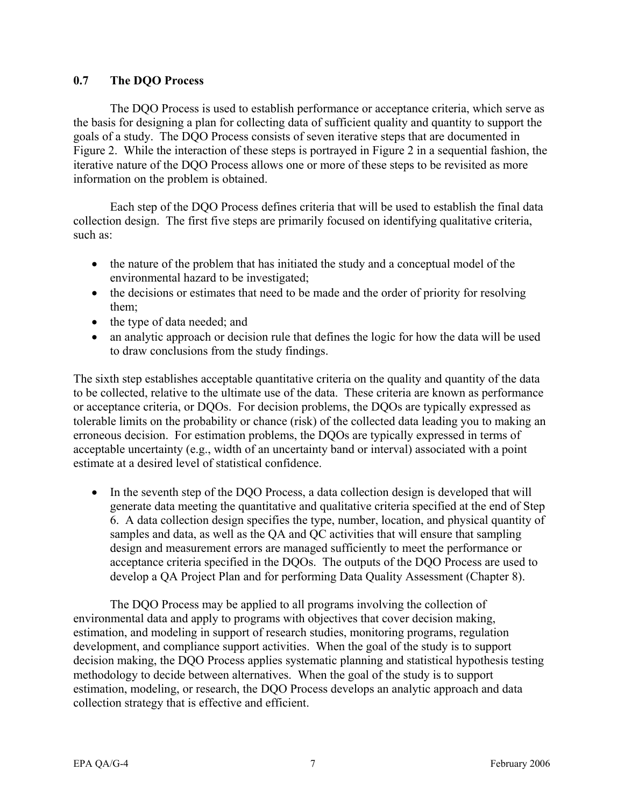#### <span id="page-15-0"></span>**0.7 The DQO Process**

The DQO Process is used to establish performance or acceptance criteria, which serve as the basis for designing a plan for collecting data of sufficient quality and quantity to support the goals of a study. The DQO Process consists of seven iterative steps that are documented in Figure 2. While the interaction of these steps is portrayed in Figure 2 in a sequential fashion, the iterative nature of the DQO Process allows one or more of these steps to be revisited as more information on the problem is obtained.

Each step of the DQO Process defines criteria that will be used to establish the final data collection design. The first five steps are primarily focused on identifying qualitative criteria, such as:

- the nature of the problem that has initiated the study and a conceptual model of the environmental hazard to be investigated;
- the decisions or estimates that need to be made and the order of priority for resolving them;
- the type of data needed; and
- an analytic approach or decision rule that defines the logic for how the data will be used to draw conclusions from the study findings.

The sixth step establishes acceptable quantitative criteria on the quality and quantity of the data to be collected, relative to the ultimate use of the data. These criteria are known as performance or acceptance criteria, or DQOs. For decision problems, the DQOs are typically expressed as tolerable limits on the probability or chance (risk) of the collected data leading you to making an erroneous decision. For estimation problems, the DQOs are typically expressed in terms of acceptable uncertainty (e.g., width of an uncertainty band or interval) associated with a point estimate at a desired level of statistical confidence.

• In the seventh step of the DQO Process, a data collection design is developed that will generate data meeting the quantitative and qualitative criteria specified at the end of Step 6. A data collection design specifies the type, number, location, and physical quantity of samples and data, as well as the QA and QC activities that will ensure that sampling design and measurement errors are managed sufficiently to meet the performance or acceptance criteria specified in the DQOs. The outputs of the DQO Process are used to develop a QA Project Plan and for performing Data Quality Assessment (Chapter 8).

The DQO Process may be applied to all programs involving the collection of environmental data and apply to programs with objectives that cover decision making, estimation, and modeling in support of research studies, monitoring programs, regulation development, and compliance support activities. When the goal of the study is to support decision making, the DQO Process applies systematic planning and statistical hypothesis testing methodology to decide between alternatives. When the goal of the study is to support estimation, modeling, or research, the DQO Process develops an analytic approach and data collection strategy that is effective and efficient.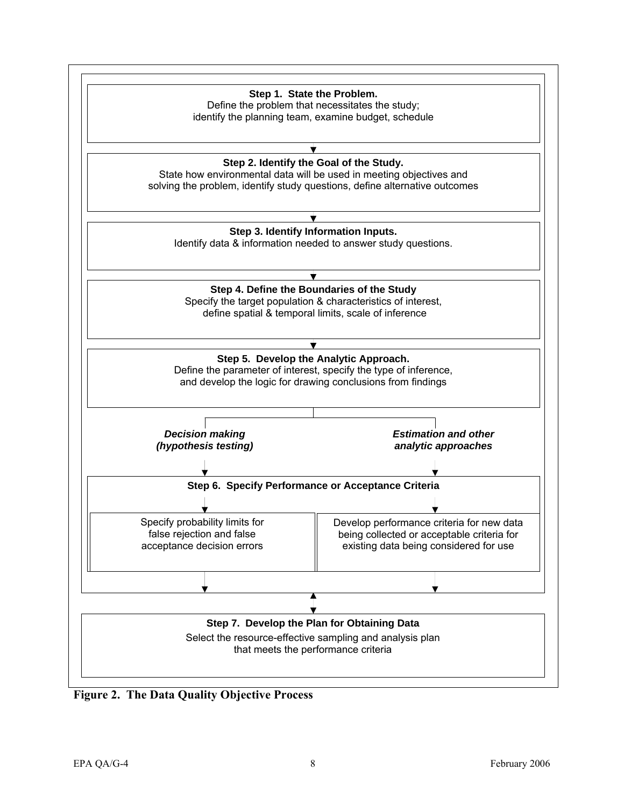<span id="page-16-0"></span>

**Figure 2. The Data Quality Objective Process**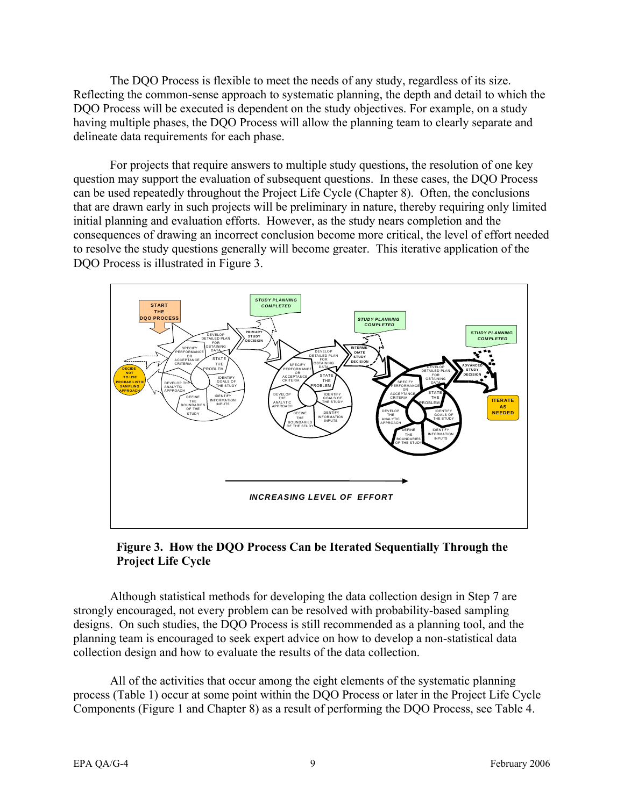<span id="page-17-0"></span>The DQO Process is flexible to meet the needs of any study, regardless of its size. Reflecting the common-sense approach to systematic planning, the depth and detail to which the DQO Process will be executed is dependent on the study objectives. For example, on a study having multiple phases, the DQO Process will allow the planning team to clearly separate and delineate data requirements for each phase.

For projects that require answers to multiple study questions, the resolution of one key question may support the evaluation of subsequent questions. In these cases, the DQO Process can be used repeatedly throughout the Project Life Cycle (Chapter 8). Often, the conclusions that are drawn early in such projects will be preliminary in nature, thereby requiring only limited initial planning and evaluation efforts. However, as the study nears completion and the consequences of drawing an incorrect conclusion become more critical, the level of effort needed to resolve the study questions generally will become greater. This iterative application of the DQO Process is illustrated in Figure 3.



#### **Figure 3. How the DQO Process Can be Iterated Sequentially Through the Project Life Cycle**

Although statistical methods for developing the data collection design in Step 7 are strongly encouraged, not every problem can be resolved with probability-based sampling designs. On such studies, the DQO Process is still recommended as a planning tool, and the planning team is encouraged to seek expert advice on how to develop a non-statistical data collection design and how to evaluate the results of the data collection.

All of the activities that occur among the eight elements of the systematic planning process (Table 1) occur at some point within the DQO Process or later in the Project Life Cycle Components (Figure 1 and Chapter 8) as a result of performing the DQO Process, see Table 4.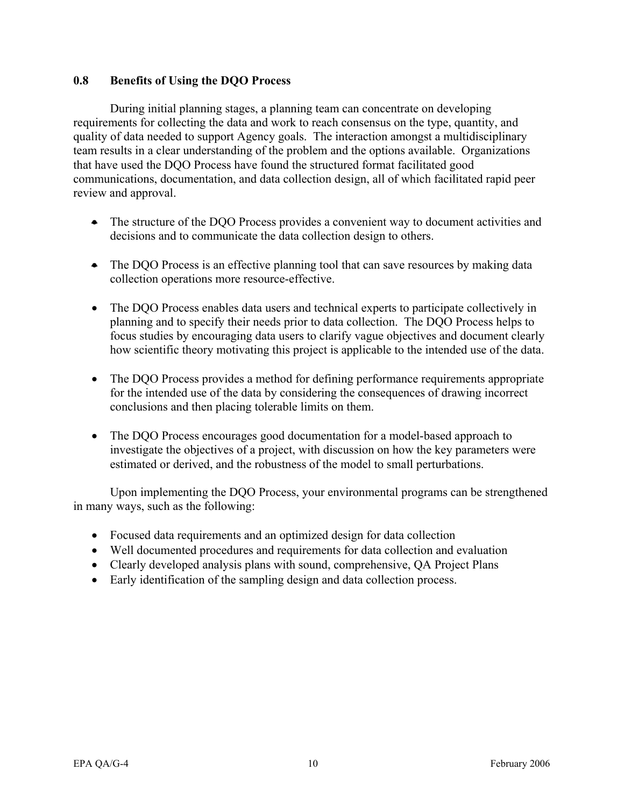#### <span id="page-18-0"></span>**0.8 Benefits of Using the DQO Process**

During initial planning stages, a planning team can concentrate on developing requirements for collecting the data and work to reach consensus on the type, quantity, and quality of data needed to support Agency goals. The interaction amongst a multidisciplinary team results in a clear understanding of the problem and the options available. Organizations that have used the DQO Process have found the structured format facilitated good communications, documentation, and data collection design, all of which facilitated rapid peer review and approval.

- The structure of the DOO Process provides a convenient way to document activities and decisions and to communicate the data collection design to others.
- The DQO Process is an effective planning tool that can save resources by making data collection operations more resource-effective.
- The DQO Process enables data users and technical experts to participate collectively in planning and to specify their needs prior to data collection. The DQO Process helps to focus studies by encouraging data users to clarify vague objectives and document clearly how scientific theory motivating this project is applicable to the intended use of the data.
- The DQO Process provides a method for defining performance requirements appropriate for the intended use of the data by considering the consequences of drawing incorrect conclusions and then placing tolerable limits on them.
- The DQO Process encourages good documentation for a model-based approach to investigate the objectives of a project, with discussion on how the key parameters were estimated or derived, and the robustness of the model to small perturbations.

Upon implementing the DQO Process, your environmental programs can be strengthened in many ways, such as the following:

- Focused data requirements and an optimized design for data collection
- Well documented procedures and requirements for data collection and evaluation
- Clearly developed analysis plans with sound, comprehensive, QA Project Plans
- Early identification of the sampling design and data collection process.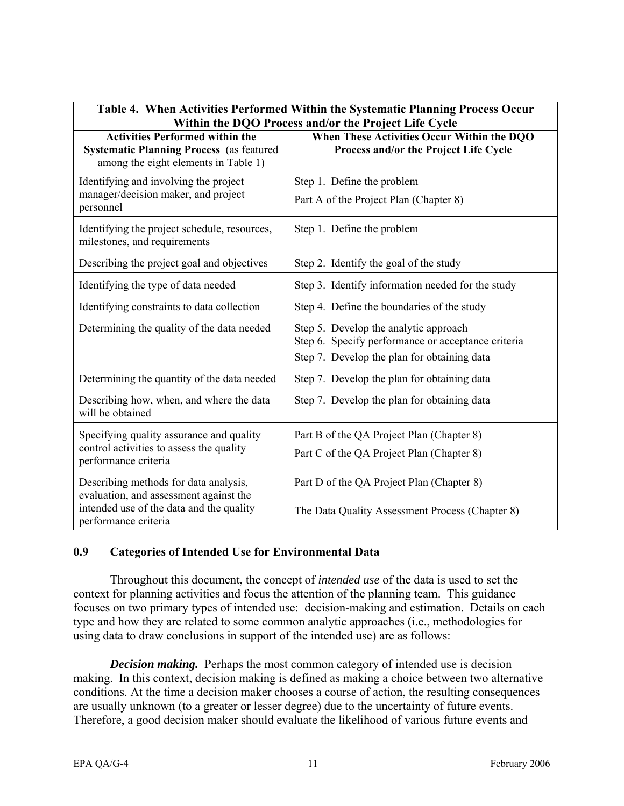<span id="page-19-0"></span>

| Table 4. When Activities Performed Within the Systematic Planning Process Occur<br>Within the DQO Process and/or the Project Life Cycle             |                                                                                                                                            |  |  |
|-----------------------------------------------------------------------------------------------------------------------------------------------------|--------------------------------------------------------------------------------------------------------------------------------------------|--|--|
| <b>Activities Performed within the</b><br><b>Systematic Planning Process</b> (as featured<br>among the eight elements in Table 1)                   | When These Activities Occur Within the DQO<br>Process and/or the Project Life Cycle                                                        |  |  |
| Identifying and involving the project<br>manager/decision maker, and project<br>personnel                                                           | Step 1. Define the problem<br>Part A of the Project Plan (Chapter 8)                                                                       |  |  |
| Identifying the project schedule, resources,<br>milestones, and requirements                                                                        | Step 1. Define the problem                                                                                                                 |  |  |
| Describing the project goal and objectives                                                                                                          | Step 2. Identify the goal of the study                                                                                                     |  |  |
| Identifying the type of data needed                                                                                                                 | Step 3. Identify information needed for the study                                                                                          |  |  |
| Identifying constraints to data collection                                                                                                          | Step 4. Define the boundaries of the study                                                                                                 |  |  |
| Determining the quality of the data needed                                                                                                          | Step 5. Develop the analytic approach<br>Step 6. Specify performance or acceptance criteria<br>Step 7. Develop the plan for obtaining data |  |  |
| Determining the quantity of the data needed                                                                                                         | Step 7. Develop the plan for obtaining data                                                                                                |  |  |
| Describing how, when, and where the data<br>will be obtained                                                                                        | Step 7. Develop the plan for obtaining data                                                                                                |  |  |
| Specifying quality assurance and quality<br>control activities to assess the quality<br>performance criteria                                        | Part B of the QA Project Plan (Chapter 8)<br>Part C of the QA Project Plan (Chapter 8)                                                     |  |  |
| Describing methods for data analysis,<br>evaluation, and assessment against the<br>intended use of the data and the quality<br>performance criteria | Part D of the QA Project Plan (Chapter 8)<br>The Data Quality Assessment Process (Chapter 8)                                               |  |  |

#### **0.9 Categories of Intended Use for Environmental Data**

Throughout this document, the concept of *intended use* of the data is used to set the context for planning activities and focus the attention of the planning team. This guidance focuses on two primary types of intended use: decision-making and estimation. Details on each type and how they are related to some common analytic approaches (i.e., methodologies for using data to draw conclusions in support of the intended use) are as follows:

*Decision making.* Perhaps the most common category of intended use is decision making. In this context, decision making is defined as making a choice between two alternative conditions. At the time a decision maker chooses a course of action, the resulting consequences are usually unknown (to a greater or lesser degree) due to the uncertainty of future events. Therefore, a good decision maker should evaluate the likelihood of various future events and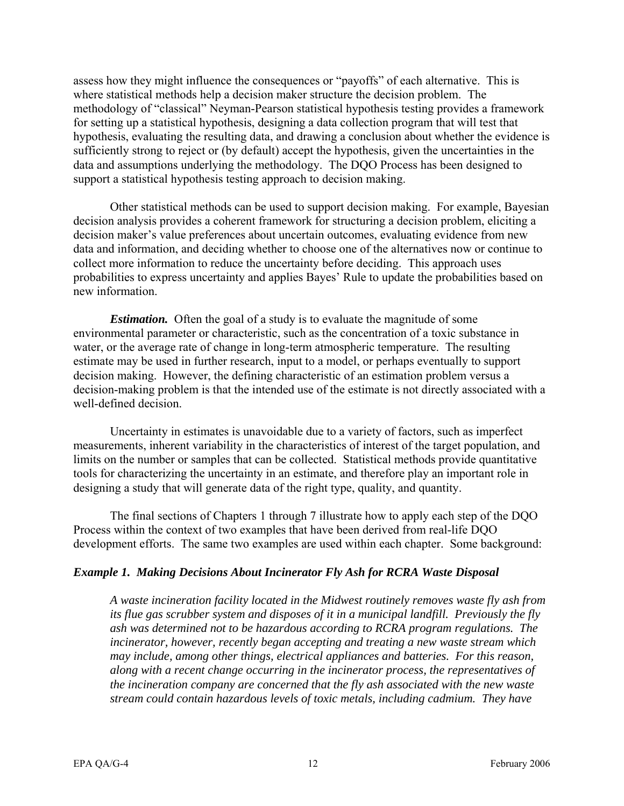assess how they might influence the consequences or "payoffs" of each alternative. This is where statistical methods help a decision maker structure the decision problem. The methodology of "classical" Neyman-Pearson statistical hypothesis testing provides a framework for setting up a statistical hypothesis, designing a data collection program that will test that hypothesis, evaluating the resulting data, and drawing a conclusion about whether the evidence is sufficiently strong to reject or (by default) accept the hypothesis, given the uncertainties in the data and assumptions underlying the methodology. The DQO Process has been designed to support a statistical hypothesis testing approach to decision making.

Other statistical methods can be used to support decision making. For example, Bayesian decision analysis provides a coherent framework for structuring a decision problem, eliciting a decision maker's value preferences about uncertain outcomes, evaluating evidence from new data and information, and deciding whether to choose one of the alternatives now or continue to collect more information to reduce the uncertainty before deciding. This approach uses probabilities to express uncertainty and applies Bayes' Rule to update the probabilities based on new information.

*Estimation.* Often the goal of a study is to evaluate the magnitude of some environmental parameter or characteristic, such as the concentration of a toxic substance in water, or the average rate of change in long-term atmospheric temperature. The resulting estimate may be used in further research, input to a model, or perhaps eventually to support decision making. However, the defining characteristic of an estimation problem versus a decision-making problem is that the intended use of the estimate is not directly associated with a well-defined decision.

Uncertainty in estimates is unavoidable due to a variety of factors, such as imperfect measurements, inherent variability in the characteristics of interest of the target population, and limits on the number or samples that can be collected. Statistical methods provide quantitative tools for characterizing the uncertainty in an estimate, and therefore play an important role in designing a study that will generate data of the right type, quality, and quantity.

The final sections of Chapters 1 through 7 illustrate how to apply each step of the DQO Process within the context of two examples that have been derived from real-life DQO development efforts. The same two examples are used within each chapter. Some background:

#### *Example 1. Making Decisions About Incinerator Fly Ash for RCRA Waste Disposal*

*A waste incineration facility located in the Midwest routinely removes waste fly ash from its flue gas scrubber system and disposes of it in a municipal landfill. Previously the fly ash was determined not to be hazardous according to RCRA program regulations. The incinerator, however, recently began accepting and treating a new waste stream which may include, among other things, electrical appliances and batteries. For this reason, along with a recent change occurring in the incinerator process, the representatives of the incineration company are concerned that the fly ash associated with the new waste stream could contain hazardous levels of toxic metals, including cadmium. They have*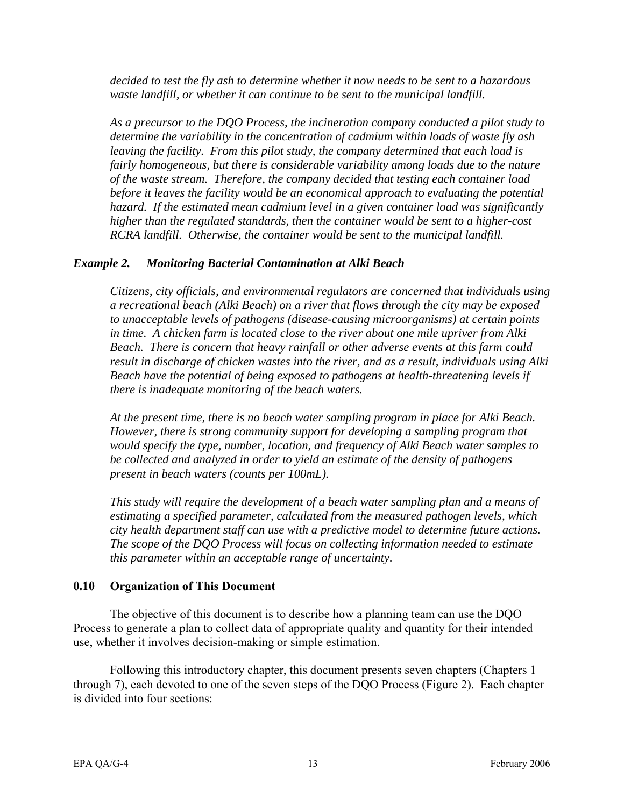<span id="page-21-0"></span>*decided to test the fly ash to determine whether it now needs to be sent to a hazardous waste landfill, or whether it can continue to be sent to the municipal landfill.* 

*As a precursor to the DQO Process, the incineration company conducted a pilot study to determine the variability in the concentration of cadmium within loads of waste fly ash leaving the facility. From this pilot study, the company determined that each load is fairly homogeneous, but there is considerable variability among loads due to the nature of the waste stream. Therefore, the company decided that testing each container load before it leaves the facility would be an economical approach to evaluating the potential hazard. If the estimated mean cadmium level in a given container load was significantly higher than the regulated standards, then the container would be sent to a higher-cost RCRA landfill. Otherwise, the container would be sent to the municipal landfill.* 

#### *Example 2. Monitoring Bacterial Contamination at Alki Beach*

*Citizens, city officials, and environmental regulators are concerned that individuals using a recreational beach (Alki Beach) on a river that flows through the city may be exposed to unacceptable levels of pathogens (disease-causing microorganisms) at certain points in time. A chicken farm is located close to the river about one mile upriver from Alki Beach. There is concern that heavy rainfall or other adverse events at this farm could result in discharge of chicken wastes into the river, and as a result, individuals using Alki Beach have the potential of being exposed to pathogens at health-threatening levels if there is inadequate monitoring of the beach waters.* 

*At the present time, there is no beach water sampling program in place for Alki Beach. However, there is strong community support for developing a sampling program that would specify the type, number, location, and frequency of Alki Beach water samples to be collected and analyzed in order to yield an estimate of the density of pathogens present in beach waters (counts per 100mL).* 

*This study will require the development of a beach water sampling plan and a means of estimating a specified parameter, calculated from the measured pathogen levels, which city health department staff can use with a predictive model to determine future actions. The scope of the DQO Process will focus on collecting information needed to estimate this parameter within an acceptable range of uncertainty.* 

#### **0.10 Organization of This Document**

The objective of this document is to describe how a planning team can use the DQO Process to generate a plan to collect data of appropriate quality and quantity for their intended use, whether it involves decision-making or simple estimation.

Following this introductory chapter, this document presents seven chapters (Chapters 1 through 7), each devoted to one of the seven steps of the DQO Process (Figure 2). Each chapter is divided into four sections: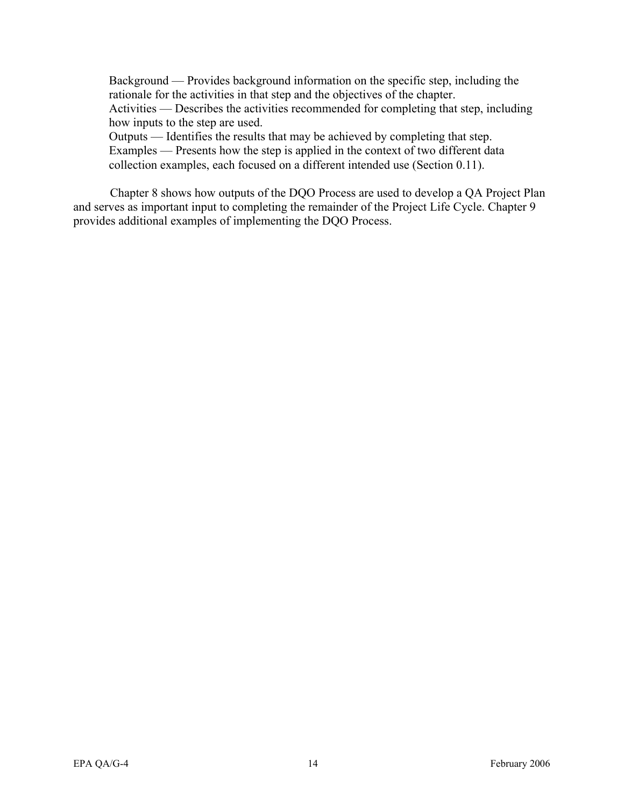Background — Provides background information on the specific step, including the rationale for the activities in that step and the objectives of the chapter. Activities — Describes the activities recommended for completing that step, including how inputs to the step are used. Outputs — Identifies the results that may be achieved by completing that step.

Examples — Presents how the step is applied in the context of two different data collection examples, each focused on a different intended use (Section 0.11).

Chapter 8 shows how outputs of the DQO Process are used to develop a QA Project Plan and serves as important input to completing the remainder of the Project Life Cycle. Chapter 9 provides additional examples of implementing the DQO Process.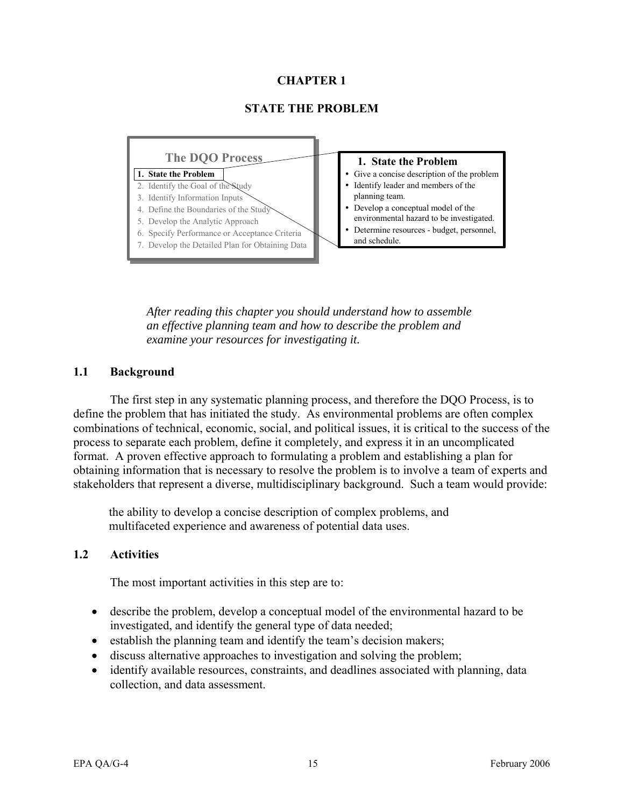#### **CHAPTER 1**

#### **STATE THE PROBLEM**

<span id="page-23-0"></span>

*After reading this chapter you should understand how to assemble an effective planning team and how to describe the problem and examine your resources for investigating it.* 

#### **1.1 Background**

The first step in any systematic planning process, and therefore the DQO Process, is to define the problem that has initiated the study. As environmental problems are often complex combinations of technical, economic, social, and political issues, it is critical to the success of the process to separate each problem, define it completely, and express it in an uncomplicated format. A proven effective approach to formulating a problem and establishing a plan for obtaining information that is necessary to resolve the problem is to involve a team of experts and stakeholders that represent a diverse, multidisciplinary background. Such a team would provide:

the ability to develop a concise description of complex problems, and multifaceted experience and awareness of potential data uses.

#### **1.2 Activities**

The most important activities in this step are to:

- describe the problem, develop a conceptual model of the environmental hazard to be investigated, and identify the general type of data needed;
- establish the planning team and identify the team's decision makers;
- discuss alternative approaches to investigation and solving the problem;
- identify available resources, constraints, and deadlines associated with planning, data collection, and data assessment.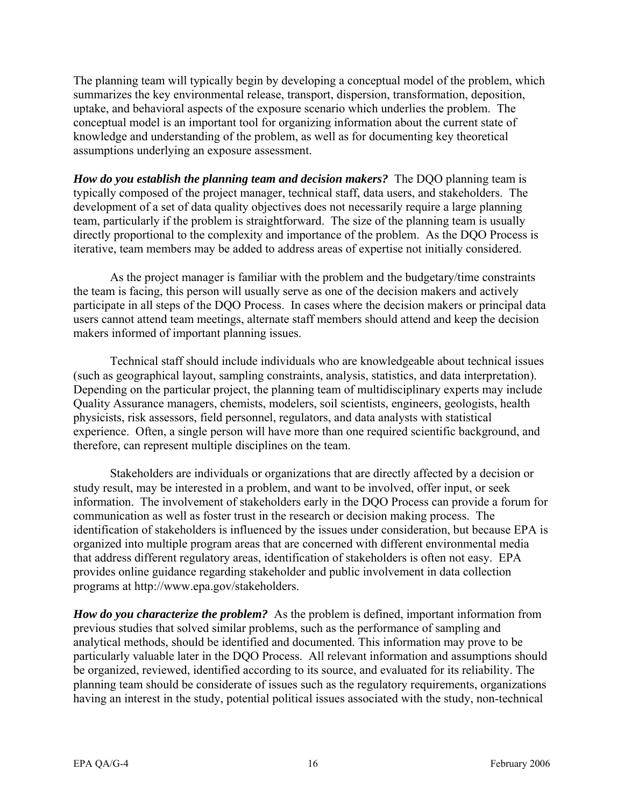The planning team will typically begin by developing a conceptual model of the problem, which summarizes the key environmental release, transport, dispersion, transformation, deposition, uptake, and behavioral aspects of the exposure scenario which underlies the problem. The conceptual model is an important tool for organizing information about the current state of knowledge and understanding of the problem, as well as for documenting key theoretical assumptions underlying an exposure assessment.

*How do you establish the planning team and decision makers?* The DQO planning team is typically composed of the project manager, technical staff, data users, and stakeholders. The development of a set of data quality objectives does not necessarily require a large planning team, particularly if the problem is straightforward. The size of the planning team is usually directly proportional to the complexity and importance of the problem. As the DQO Process is iterative, team members may be added to address areas of expertise not initially considered.

As the project manager is familiar with the problem and the budgetary/time constraints the team is facing, this person will usually serve as one of the decision makers and actively participate in all steps of the DQO Process. In cases where the decision makers or principal data users cannot attend team meetings, alternate staff members should attend and keep the decision makers informed of important planning issues.

Technical staff should include individuals who are knowledgeable about technical issues (such as geographical layout, sampling constraints, analysis, statistics, and data interpretation). Depending on the particular project, the planning team of multidisciplinary experts may include Quality Assurance managers, chemists, modelers, soil scientists, engineers, geologists, health physicists, risk assessors, field personnel, regulators, and data analysts with statistical experience. Often, a single person will have more than one required scientific background, and therefore, can represent multiple disciplines on the team.

Stakeholders are individuals or organizations that are directly affected by a decision or study result, may be interested in a problem, and want to be involved, offer input, or seek information. The involvement of stakeholders early in the DQO Process can provide a forum for communication as well as foster trust in the research or decision making process. The identification of stakeholders is influenced by the issues under consideration, but because EPA is organized into multiple program areas that are concerned with different environmental media that address different regulatory areas, identification of stakeholders is often not easy. EPA provides online guidance regarding stakeholder and public involvement in data collection programs at [http://www.epa.gov/stakeholders.](http://www.epa.gov/stakeholders) 

*How do you characterize the problem?* As the problem is defined, important information from previous studies that solved similar problems, such as the performance of sampling and analytical methods, should be identified and documented. This information may prove to be particularly valuable later in the DQO Process. All relevant information and assumptions should be organized, reviewed, identified according to its source, and evaluated for its reliability. The planning team should be considerate of issues such as the regulatory requirements, organizations having an interest in the study, potential political issues associated with the study, non-technical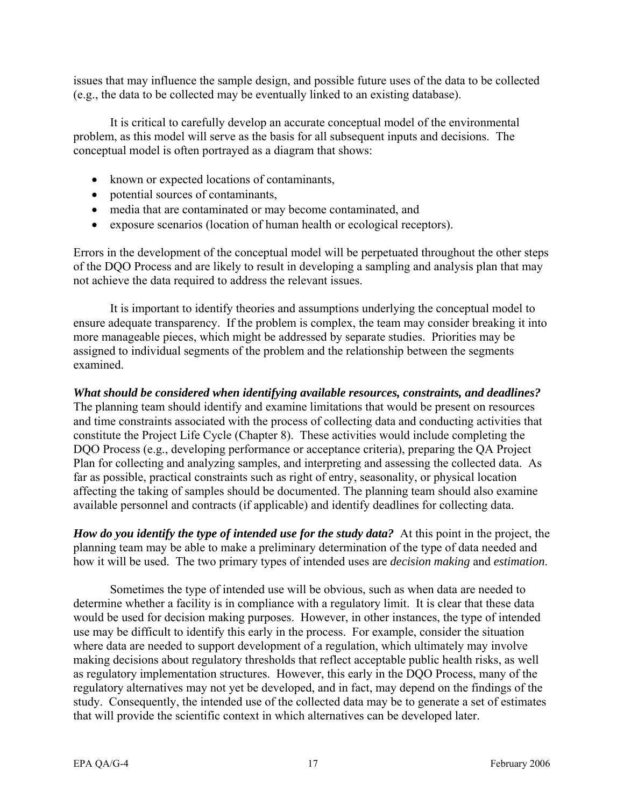issues that may influence the sample design, and possible future uses of the data to be collected (e.g., the data to be collected may be eventually linked to an existing database).

It is critical to carefully develop an accurate conceptual model of the environmental problem, as this model will serve as the basis for all subsequent inputs and decisions. The conceptual model is often portrayed as a diagram that shows:

- known or expected locations of contaminants,
- potential sources of contaminants,
- media that are contaminated or may become contaminated, and
- exposure scenarios (location of human health or ecological receptors).

Errors in the development of the conceptual model will be perpetuated throughout the other steps of the DQO Process and are likely to result in developing a sampling and analysis plan that may not achieve the data required to address the relevant issues.

It is important to identify theories and assumptions underlying the conceptual model to ensure adequate transparency. If the problem is complex, the team may consider breaking it into more manageable pieces, which might be addressed by separate studies. Priorities may be assigned to individual segments of the problem and the relationship between the segments examined.

*What should be considered when identifying available resources, constraints, and deadlines?*  The planning team should identify and examine limitations that would be present on resources

and time constraints associated with the process of collecting data and conducting activities that constitute the Project Life Cycle (Chapter 8). These activities would include completing the DQO Process (e.g., developing performance or acceptance criteria), preparing the QA Project Plan for collecting and analyzing samples, and interpreting and assessing the collected data. As far as possible, practical constraints such as right of entry, seasonality, or physical location affecting the taking of samples should be documented. The planning team should also examine available personnel and contracts (if applicable) and identify deadlines for collecting data.

*How do you identify the type of intended use for the study data?* At this point in the project, the planning team may be able to make a preliminary determination of the type of data needed and how it will be used. The two primary types of intended uses are *decision making* and *estimation*.

Sometimes the type of intended use will be obvious, such as when data are needed to determine whether a facility is in compliance with a regulatory limit. It is clear that these data would be used for decision making purposes. However, in other instances, the type of intended use may be difficult to identify this early in the process. For example, consider the situation where data are needed to support development of a regulation, which ultimately may involve making decisions about regulatory thresholds that reflect acceptable public health risks, as well as regulatory implementation structures. However, this early in the DQO Process, many of the regulatory alternatives may not yet be developed, and in fact, may depend on the findings of the study. Consequently, the intended use of the collected data may be to generate a set of estimates that will provide the scientific context in which alternatives can be developed later.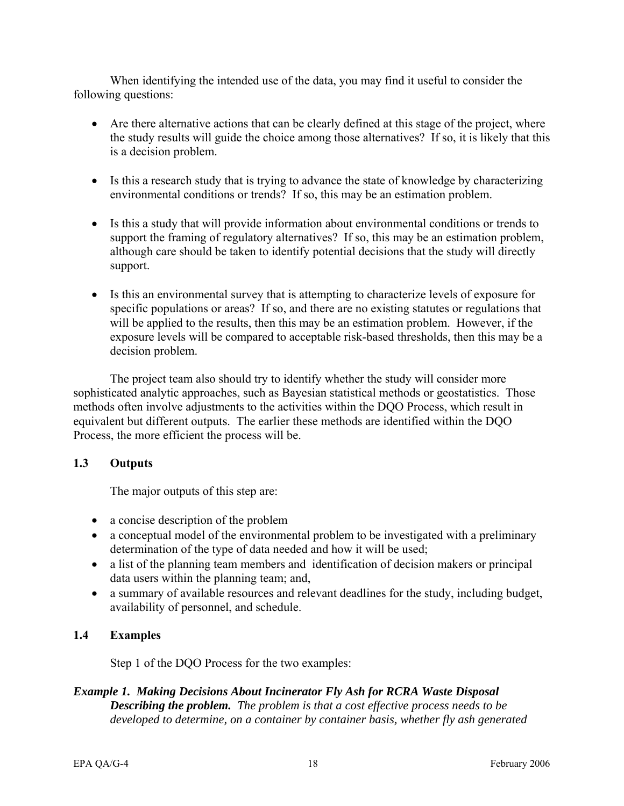<span id="page-26-0"></span>When identifying the intended use of the data, you may find it useful to consider the following questions:

- Are there alternative actions that can be clearly defined at this stage of the project, where the study results will guide the choice among those alternatives? If so, it is likely that this is a decision problem.
- Is this a research study that is trying to advance the state of knowledge by characterizing environmental conditions or trends? If so, this may be an estimation problem.
- Is this a study that will provide information about environmental conditions or trends to support the framing of regulatory alternatives? If so, this may be an estimation problem, although care should be taken to identify potential decisions that the study will directly support.
- Is this an environmental survey that is attempting to characterize levels of exposure for specific populations or areas? If so, and there are no existing statutes or regulations that will be applied to the results, then this may be an estimation problem. However, if the exposure levels will be compared to acceptable risk-based thresholds, then this may be a decision problem.

The project team also should try to identify whether the study will consider more sophisticated analytic approaches, such as Bayesian statistical methods or geostatistics. Those methods often involve adjustments to the activities within the DQO Process, which result in equivalent but different outputs. The earlier these methods are identified within the DQO Process, the more efficient the process will be.

#### **1.3 Outputs**

The major outputs of this step are:

- a concise description of the problem
- a conceptual model of the environmental problem to be investigated with a preliminary determination of the type of data needed and how it will be used;
- a list of the planning team members and identification of decision makers or principal data users within the planning team; and,
- a summary of available resources and relevant deadlines for the study, including budget, availability of personnel, and schedule.

#### **1.4 Examples**

Step 1 of the DQO Process for the two examples:

#### *Example 1. Making Decisions About Incinerator Fly Ash for RCRA Waste Disposal Describing the problem. The problem is that a cost effective process needs to be developed to determine, on a container by container basis, whether fly ash generated*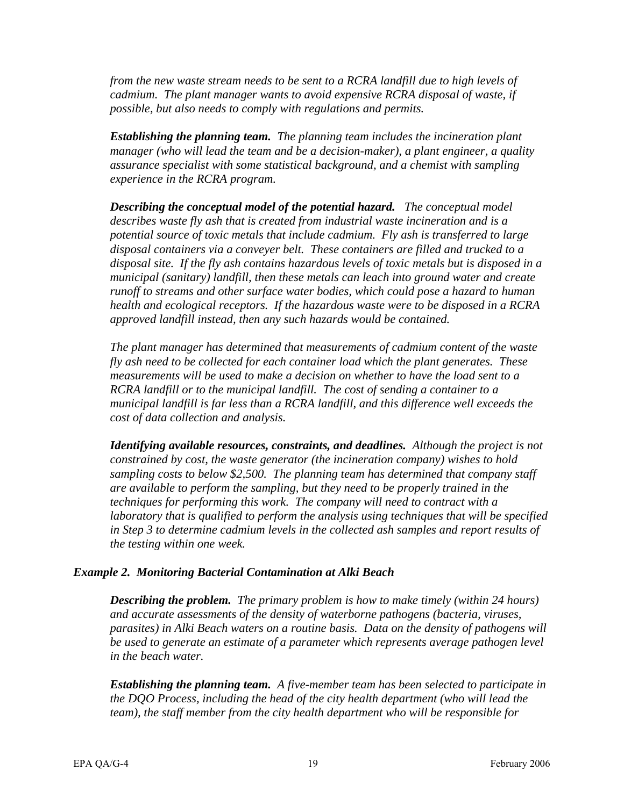*from the new waste stream needs to be sent to a RCRA landfill due to high levels of cadmium. The plant manager wants to avoid expensive RCRA disposal of waste, if possible, but also needs to comply with regulations and permits.* 

*Establishing the planning team. The planning team includes the incineration plant manager (who will lead the team and be a decision-maker), a plant engineer, a quality assurance specialist with some statistical background, and a chemist with sampling experience in the RCRA program.* 

*Describing the conceptual model of the potential hazard. The conceptual model describes waste fly ash that is created from industrial waste incineration and is a potential source of toxic metals that include cadmium. Fly ash is transferred to large disposal containers via a conveyer belt. These containers are filled and trucked to a disposal site. If the fly ash contains hazardous levels of toxic metals but is disposed in a municipal (sanitary) landfill, then these metals can leach into ground water and create runoff to streams and other surface water bodies, which could pose a hazard to human health and ecological receptors. If the hazardous waste were to be disposed in a RCRA approved landfill instead, then any such hazards would be contained.* 

*The plant manager has determined that measurements of cadmium content of the waste fly ash need to be collected for each container load which the plant generates. These measurements will be used to make a decision on whether to have the load sent to a RCRA landfill or to the municipal landfill. The cost of sending a container to a municipal landfill is far less than a RCRA landfill, and this difference well exceeds the cost of data collection and analysis.* 

*Identifying available resources, constraints, and deadlines. Although the project is not constrained by cost, the waste generator (the incineration company) wishes to hold sampling costs to below \$2,500. The planning team has determined that company staff are available to perform the sampling, but they need to be properly trained in the techniques for performing this work. The company will need to contract with a laboratory that is qualified to perform the analysis using techniques that will be specified in Step 3 to determine cadmium levels in the collected ash samples and report results of the testing within one week.* 

#### *Example 2. Monitoring Bacterial Contamination at Alki Beach*

*Describing the problem. The primary problem is how to make timely (within 24 hours) and accurate assessments of the density of waterborne pathogens (bacteria, viruses, parasites) in Alki Beach waters on a routine basis. Data on the density of pathogens will be used to generate an estimate of a parameter which represents average pathogen level in the beach water.* 

*Establishing the planning team. A five-member team has been selected to participate in the DQO Process, including the head of the city health department (who will lead the team), the staff member from the city health department who will be responsible for*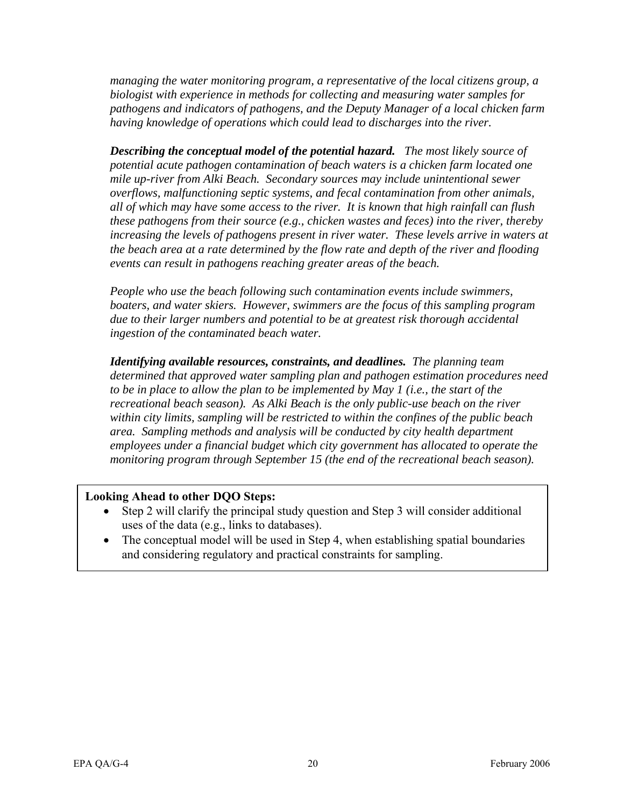*managing the water monitoring program, a representative of the local citizens group, a biologist with experience in methods for collecting and measuring water samples for pathogens and indicators of pathogens, and the Deputy Manager of a local chicken farm having knowledge of operations which could lead to discharges into the river.* 

*Describing the conceptual model of the potential hazard. The most likely source of potential acute pathogen contamination of beach waters is a chicken farm located one mile up-river from Alki Beach. Secondary sources may include unintentional sewer overflows, malfunctioning septic systems, and fecal contamination from other animals, all of which may have some access to the river. It is known that high rainfall can flush these pathogens from their source (e.g., chicken wastes and feces) into the river, thereby increasing the levels of pathogens present in river water. These levels arrive in waters at the beach area at a rate determined by the flow rate and depth of the river and flooding events can result in pathogens reaching greater areas of the beach.* 

*People who use the beach following such contamination events include swimmers, boaters, and water skiers. However, swimmers are the focus of this sampling program due to their larger numbers and potential to be at greatest risk thorough accidental ingestion of the contaminated beach water.* 

*Identifying available resources, constraints, and deadlines. The planning team determined that approved water sampling plan and pathogen estimation procedures need to be in place to allow the plan to be implemented by May 1 (i.e., the start of the recreational beach season). As Alki Beach is the only public-use beach on the river within city limits, sampling will be restricted to within the confines of the public beach area. Sampling methods and analysis will be conducted by city health department employees under a financial budget which city government has allocated to operate the monitoring program through September 15 (the end of the recreational beach season).* 

#### **Looking Ahead to other DQO Steps:**

- Step 2 will clarify the principal study question and Step 3 will consider additional uses of the data (e.g., links to databases).
- The conceptual model will be used in Step 4, when establishing spatial boundaries and considering regulatory and practical constraints for sampling.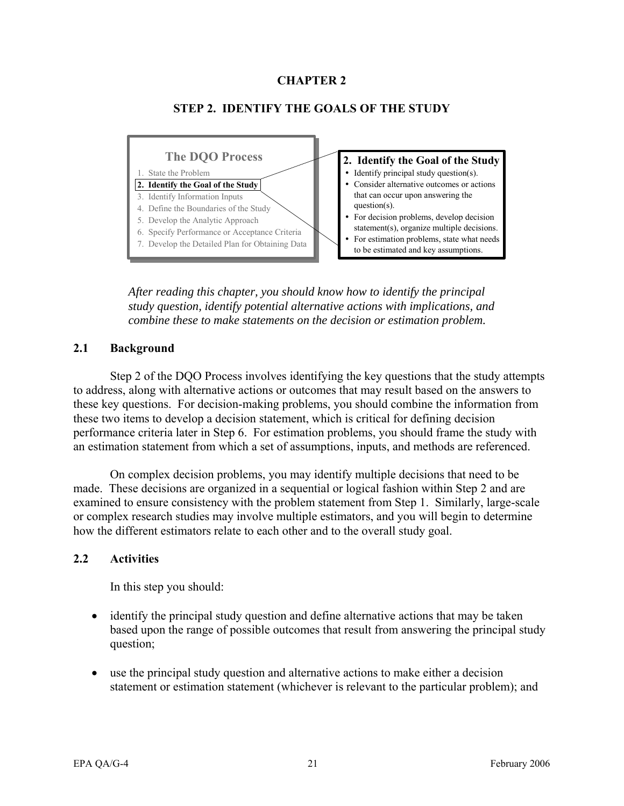#### **CHAPTER 2**

<span id="page-29-0"></span>

#### **STEP 2. IDENTIFY THE GOALS OF THE STUDY**

*After reading this chapter, you should know how to identify the principal study question, identify potential alternative actions with implications, and combine these to make statements on the decision or estimation problem.* 

#### **2.1 Background**

Step 2 of the DQO Process involves identifying the key questions that the study attempts to address, along with alternative actions or outcomes that may result based on the answers to these key questions. For decision-making problems, you should combine the information from these two items to develop a decision statement, which is critical for defining decision performance criteria later in Step 6. For estimation problems, you should frame the study with an estimation statement from which a set of assumptions, inputs, and methods are referenced.

On complex decision problems, you may identify multiple decisions that need to be made. These decisions are organized in a sequential or logical fashion within Step 2 and are examined to ensure consistency with the problem statement from Step 1. Similarly, large-scale or complex research studies may involve multiple estimators, and you will begin to determine how the different estimators relate to each other and to the overall study goal.

#### **2.2 Activities**

In this step you should:

- identify the principal study question and define alternative actions that may be taken based upon the range of possible outcomes that result from answering the principal study question;
- use the principal study question and alternative actions to make either a decision statement or estimation statement (whichever is relevant to the particular problem); and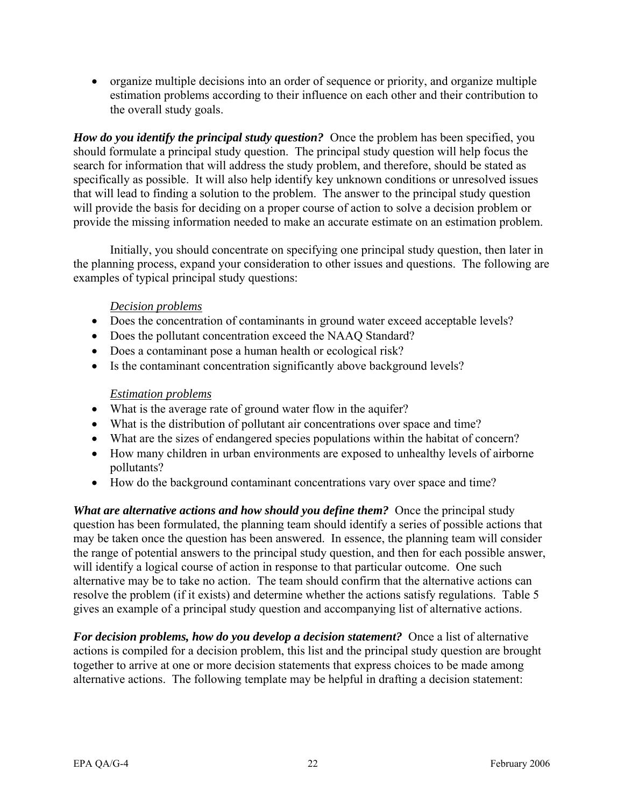• organize multiple decisions into an order of sequence or priority, and organize multiple estimation problems according to their influence on each other and their contribution to the overall study goals.

*How do you identify the principal study question?* Once the problem has been specified, you should formulate a principal study question. The principal study question will help focus the search for information that will address the study problem, and therefore, should be stated as specifically as possible. It will also help identify key unknown conditions or unresolved issues that will lead to finding a solution to the problem. The answer to the principal study question will provide the basis for deciding on a proper course of action to solve a decision problem or provide the missing information needed to make an accurate estimate on an estimation problem.

Initially, you should concentrate on specifying one principal study question, then later in the planning process, expand your consideration to other issues and questions. The following are examples of typical principal study questions:

#### *Decision problems*

- Does the concentration of contaminants in ground water exceed acceptable levels?
- Does the pollutant concentration exceed the NAAQ Standard?
- Does a contaminant pose a human health or ecological risk?
- Is the contaminant concentration significantly above background levels?

#### *Estimation problems*

- What is the average rate of ground water flow in the aquifer?
- What is the distribution of pollutant air concentrations over space and time?
- What are the sizes of endangered species populations within the habitat of concern?
- How many children in urban environments are exposed to unhealthy levels of airborne pollutants?
- How do the background contaminant concentrations vary over space and time?

*What are alternative actions and how should you define them?* Once the principal study question has been formulated, the planning team should identify a series of possible actions that may be taken once the question has been answered. In essence, the planning team will consider the range of potential answers to the principal study question, and then for each possible answer, will identify a logical course of action in response to that particular outcome. One such alternative may be to take no action. The team should confirm that the alternative actions can resolve the problem (if it exists) and determine whether the actions satisfy regulations. Table 5 gives an example of a principal study question and accompanying list of alternative actions.

*For decision problems, how do you develop a decision statement?* Once a list of alternative actions is compiled for a decision problem, this list and the principal study question are brought together to arrive at one or more decision statements that express choices to be made among alternative actions. The following template may be helpful in drafting a decision statement: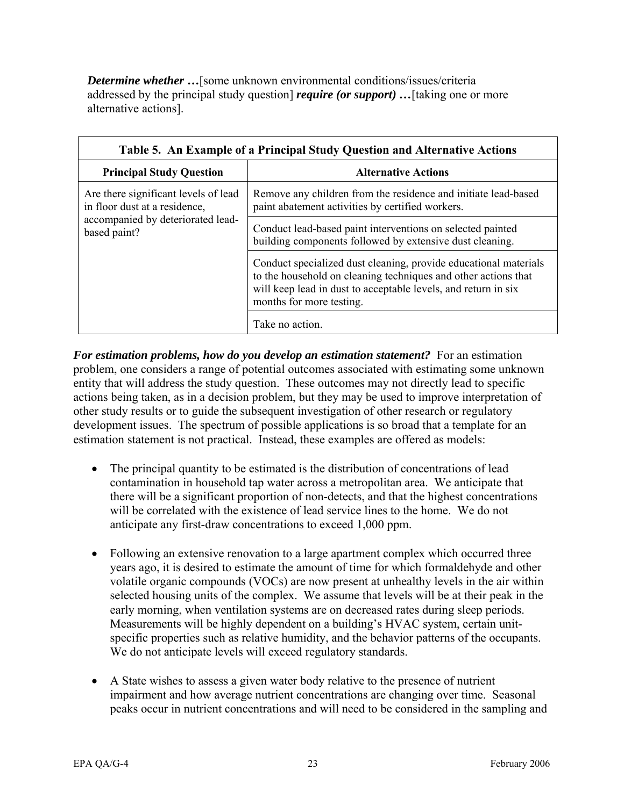<span id="page-31-0"></span>*Determine whether* **…**[some unknown environmental conditions/issues/criteria addressed by the principal study question] *require (or support) …*[taking one or more alternative actions].

| Table 5. An Example of a Principal Study Question and Alternative Actions |                                                                                                                                                                                                                                  |  |  |
|---------------------------------------------------------------------------|----------------------------------------------------------------------------------------------------------------------------------------------------------------------------------------------------------------------------------|--|--|
| <b>Principal Study Question</b>                                           | <b>Alternative Actions</b>                                                                                                                                                                                                       |  |  |
| Are there significant levels of lead<br>in floor dust at a residence,     | Remove any children from the residence and initiate lead-based<br>paint abatement activities by certified workers.                                                                                                               |  |  |
| accompanied by deteriorated lead-<br>based paint?                         | Conduct lead-based paint interventions on selected painted<br>building components followed by extensive dust cleaning.                                                                                                           |  |  |
|                                                                           | Conduct specialized dust cleaning, provide educational materials<br>to the household on cleaning techniques and other actions that<br>will keep lead in dust to acceptable levels, and return in six<br>months for more testing. |  |  |
|                                                                           | Take no action.                                                                                                                                                                                                                  |  |  |

*For estimation problems, how do you develop an estimation statement?* For an estimation problem, one considers a range of potential outcomes associated with estimating some unknown entity that will address the study question. These outcomes may not directly lead to specific actions being taken, as in a decision problem, but they may be used to improve interpretation of other study results or to guide the subsequent investigation of other research or regulatory development issues. The spectrum of possible applications is so broad that a template for an estimation statement is not practical. Instead, these examples are offered as models:

- The principal quantity to be estimated is the distribution of concentrations of lead contamination in household tap water across a metropolitan area. We anticipate that there will be a significant proportion of non-detects, and that the highest concentrations will be correlated with the existence of lead service lines to the home. We do not anticipate any first-draw concentrations to exceed 1,000 ppm.
- Following an extensive renovation to a large apartment complex which occurred three years ago, it is desired to estimate the amount of time for which formaldehyde and other volatile organic compounds (VOCs) are now present at unhealthy levels in the air within selected housing units of the complex. We assume that levels will be at their peak in the early morning, when ventilation systems are on decreased rates during sleep periods. Measurements will be highly dependent on a building's HVAC system, certain unitspecific properties such as relative humidity, and the behavior patterns of the occupants. We do not anticipate levels will exceed regulatory standards.
- A State wishes to assess a given water body relative to the presence of nutrient impairment and how average nutrient concentrations are changing over time. Seasonal peaks occur in nutrient concentrations and will need to be considered in the sampling and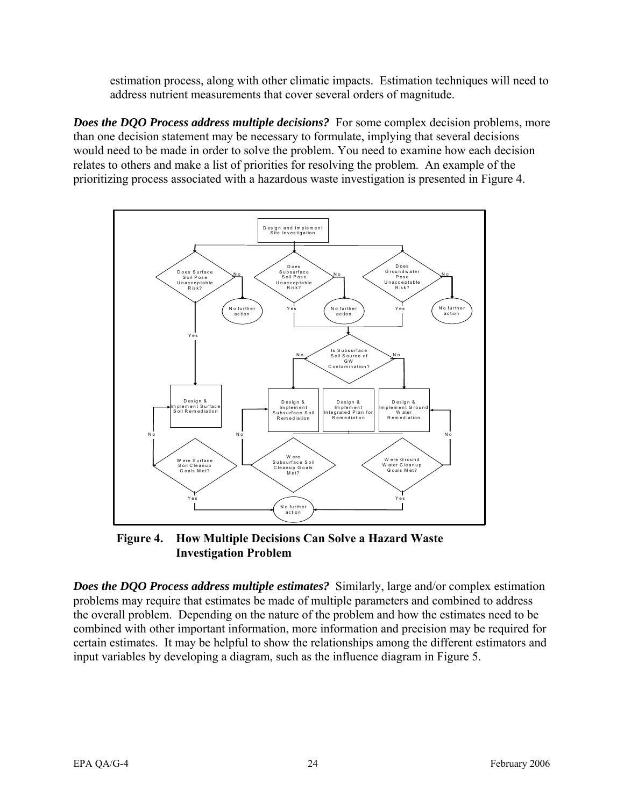<span id="page-32-0"></span>estimation process, along with other climatic impacts. Estimation techniques will need to address nutrient measurements that cover several orders of magnitude.

*Does the DQO Process address multiple decisions?* For some complex decision problems, more than one decision statement may be necessary to formulate, implying that several decisions would need to be made in order to solve the problem. You need to examine how each decision relates to others and make a list of priorities for resolving the problem. An example of the prioritizing process associated with a hazardous waste investigation is presented in Figure 4.



**Figure 4. How Multiple Decisions Can Solve a Hazard Waste Investigation Problem** 

*Does the DQO Process address multiple estimates?* Similarly, large and/or complex estimation problems may require that estimates be made of multiple parameters and combined to address the overall problem. Depending on the nature of the problem and how the estimates need to be combined with other important information, more information and precision may be required for certain estimates. It may be helpful to show the relationships among the different estimators and input variables by developing a diagram, such as the influence diagram in Figure 5.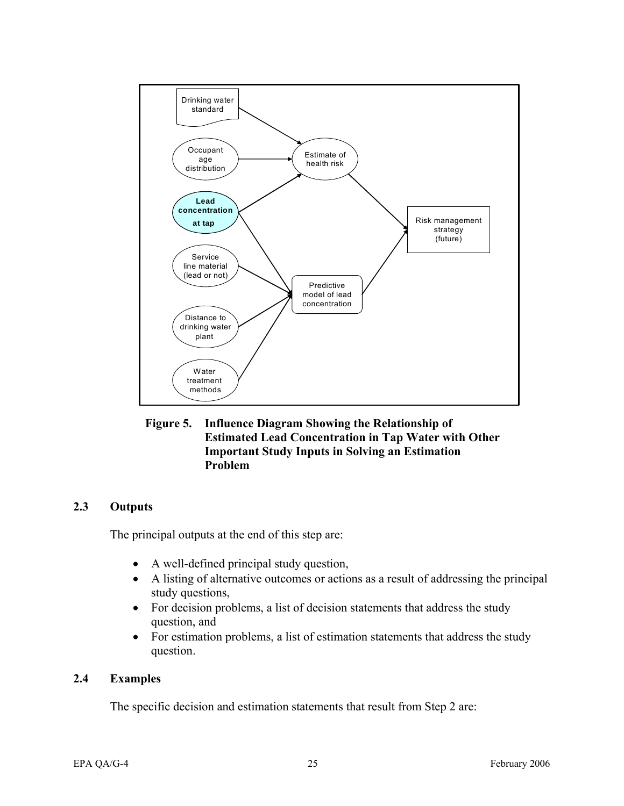<span id="page-33-0"></span>

**Figure 5. Influence Diagram Showing the Relationship of Estimated Lead Concentration in Tap Water with Other Important Study Inputs in Solving an Estimation Problem** 

#### **2.3 Outputs**

The principal outputs at the end of this step are:

- A well-defined principal study question,
- A listing of alternative outcomes or actions as a result of addressing the principal study questions,
- For decision problems, a list of decision statements that address the study question, and
- For estimation problems, a list of estimation statements that address the study question.

#### **2.4 Examples**

The specific decision and estimation statements that result from Step 2 are: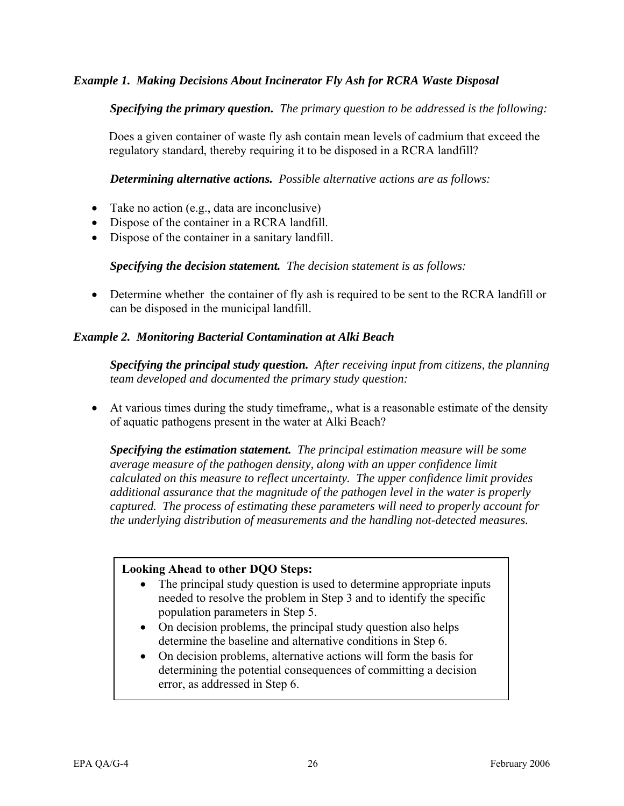#### *Example 1. Making Decisions About Incinerator Fly Ash for RCRA Waste Disposal*

#### *Specifying the primary question. The primary question to be addressed is the following:*

Does a given container of waste fly ash contain mean levels of cadmium that exceed the regulatory standard, thereby requiring it to be disposed in a RCRA landfill?

*Determining alternative actions. Possible alternative actions are as follows:* 

- Take no action (e.g., data are inconclusive)
- Dispose of the container in a RCRA landfill.
- Dispose of the container in a sanitary landfill.

*Specifying the decision statement. The decision statement is as follows:* 

• Determine whether the container of fly ash is required to be sent to the RCRA landfill or can be disposed in the municipal landfill.

#### *Example 2. Monitoring Bacterial Contamination at Alki Beach*

*Specifying the principal study question. After receiving input from citizens, the planning team developed and documented the primary study question:* 

• At various times during the study timeframe,, what is a reasonable estimate of the density of aquatic pathogens present in the water at Alki Beach?

*Specifying the estimation statement. The principal estimation measure will be some average measure of the pathogen density, along with an upper confidence limit calculated on this measure to reflect uncertainty. The upper confidence limit provides additional assurance that the magnitude of the pathogen level in the water is properly captured. The process of estimating these parameters will need to properly account for the underlying distribution of measurements and the handling not-detected measures.* 

#### **Looking Ahead to other DQO Steps:**

- The principal study question is used to determine appropriate inputs needed to resolve the problem in Step 3 and to identify the specific population parameters in Step 5.
- On decision problems, the principal study question also helps determine the baseline and alternative conditions in Step 6.
- On decision problems, alternative actions will form the basis for determining the potential consequences of committing a decision error, as addressed in Step 6.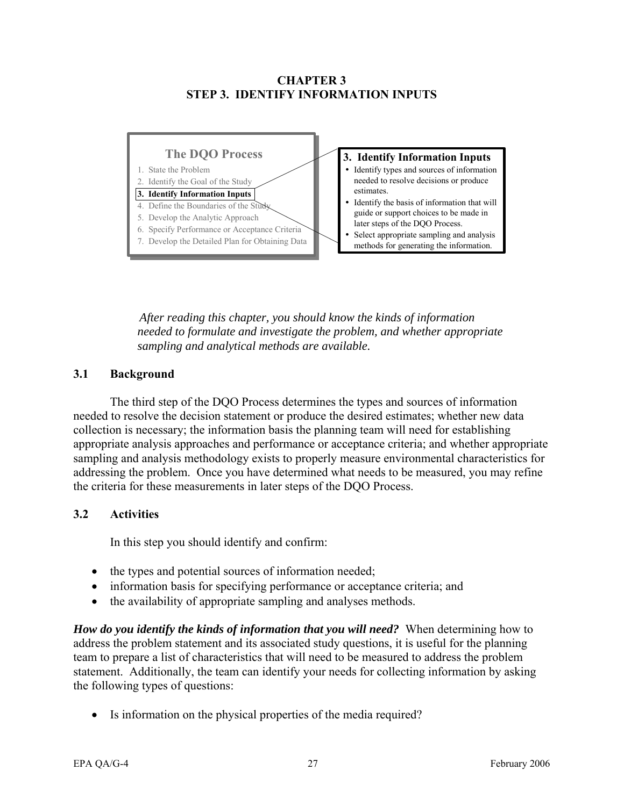#### **CHAPTER 3 STEP 3. IDENTIFY INFORMATION INPUTS**

<span id="page-35-0"></span>

*After reading this chapter, you should know the kinds of information needed to formulate and investigate the problem, and whether appropriate sampling and analytical methods are available.* 

#### **3.1 Background**

The third step of the DQO Process determines the types and sources of information needed to resolve the decision statement or produce the desired estimates; whether new data collection is necessary; the information basis the planning team will need for establishing appropriate analysis approaches and performance or acceptance criteria; and whether appropriate sampling and analysis methodology exists to properly measure environmental characteristics for addressing the problem. Once you have determined what needs to be measured, you may refine the criteria for these measurements in later steps of the DQO Process.

#### **3.2 Activities**

In this step you should identify and confirm:

- the types and potential sources of information needed;
- information basis for specifying performance or acceptance criteria; and
- the availability of appropriate sampling and analyses methods.

*How do you identify the kinds of information that you will need?* When determining how to address the problem statement and its associated study questions, it is useful for the planning team to prepare a list of characteristics that will need to be measured to address the problem statement. Additionally, the team can identify your needs for collecting information by asking the following types of questions:

• Is information on the physical properties of the media required?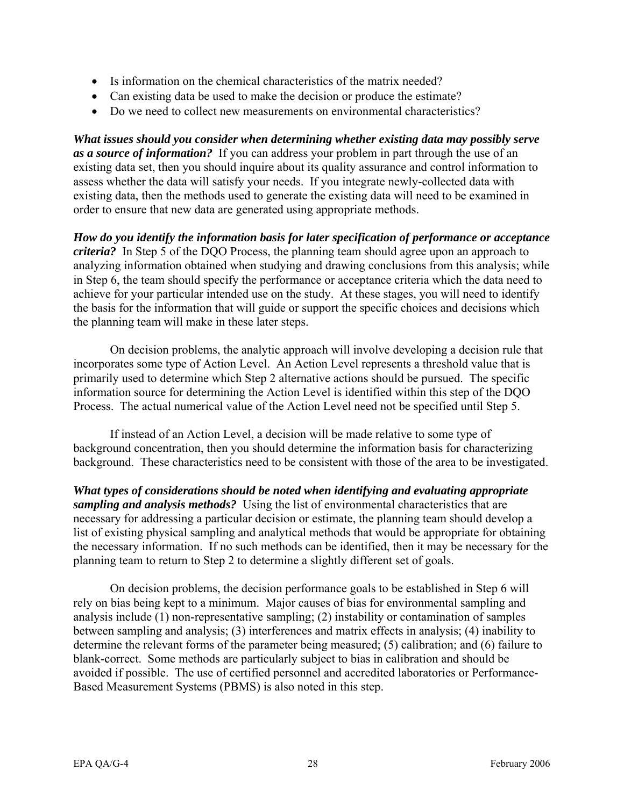- Is information on the chemical characteristics of the matrix needed?
- Can existing data be used to make the decision or produce the estimate?
- Do we need to collect new measurements on environmental characteristics?

*What issues should you consider when determining whether existing data may possibly serve as a source of information?* If you can address your problem in part through the use of an existing data set, then you should inquire about its quality assurance and control information to assess whether the data will satisfy your needs. If you integrate newly-collected data with existing data, then the methods used to generate the existing data will need to be examined in order to ensure that new data are generated using appropriate methods.

*How do you identify the information basis for later specification of performance or acceptance criteria?* In Step 5 of the DQO Process, the planning team should agree upon an approach to analyzing information obtained when studying and drawing conclusions from this analysis; while in Step 6, the team should specify the performance or acceptance criteria which the data need to achieve for your particular intended use on the study. At these stages, you will need to identify the basis for the information that will guide or support the specific choices and decisions which the planning team will make in these later steps.

On decision problems, the analytic approach will involve developing a decision rule that incorporates some type of Action Level. An Action Level represents a threshold value that is primarily used to determine which Step 2 alternative actions should be pursued. The specific information source for determining the Action Level is identified within this step of the DQO Process. The actual numerical value of the Action Level need not be specified until Step 5.

If instead of an Action Level, a decision will be made relative to some type of background concentration, then you should determine the information basis for characterizing background. These characteristics need to be consistent with those of the area to be investigated.

*What types of considerations should be noted when identifying and evaluating appropriate sampling and analysis methods?* Using the list of environmental characteristics that are necessary for addressing a particular decision or estimate, the planning team should develop a list of existing physical sampling and analytical methods that would be appropriate for obtaining the necessary information. If no such methods can be identified, then it may be necessary for the planning team to return to Step 2 to determine a slightly different set of goals.

On decision problems, the decision performance goals to be established in Step 6 will rely on bias being kept to a minimum. Major causes of bias for environmental sampling and analysis include (1) non-representative sampling; (2) instability or contamination of samples between sampling and analysis; (3) interferences and matrix effects in analysis; (4) inability to determine the relevant forms of the parameter being measured; (5) calibration; and (6) failure to blank-correct. Some methods are particularly subject to bias in calibration and should be avoided if possible. The use of certified personnel and accredited laboratories or Performance-Based Measurement Systems (PBMS) is also noted in this step.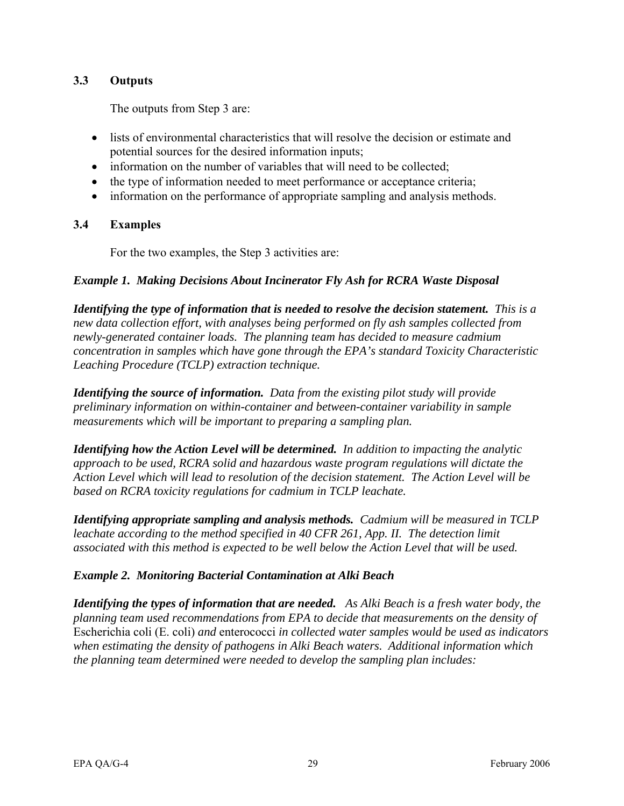# **3.3 Outputs**

The outputs from Step 3 are:

- lists of environmental characteristics that will resolve the decision or estimate and potential sources for the desired information inputs;
- information on the number of variables that will need to be collected;
- the type of information needed to meet performance or acceptance criteria;
- information on the performance of appropriate sampling and analysis methods.

# **3.4 Examples**

For the two examples, the Step 3 activities are:

# *Example 1. Making Decisions About Incinerator Fly Ash for RCRA Waste Disposal*

*Identifying the type of information that is needed to resolve the decision statement. This is a new data collection effort, with analyses being performed on fly ash samples collected from newly-generated container loads. The planning team has decided to measure cadmium concentration in samples which have gone through the EPA's standard Toxicity Characteristic Leaching Procedure (TCLP) extraction technique.* 

*Identifying the source of information. Data from the existing pilot study will provide preliminary information on within-container and between-container variability in sample measurements which will be important to preparing a sampling plan.* 

*Identifying how the Action Level will be determined. In addition to impacting the analytic approach to be used, RCRA solid and hazardous waste program regulations will dictate the Action Level which will lead to resolution of the decision statement. The Action Level will be based on RCRA toxicity regulations for cadmium in TCLP leachate.* 

*Identifying appropriate sampling and analysis methods. Cadmium will be measured in TCLP leachate according to the method specified in 40 CFR 261, App. II. The detection limit associated with this method is expected to be well below the Action Level that will be used.* 

# *Example 2. Monitoring Bacterial Contamination at Alki Beach*

*Identifying the types of information that are needed. As Alki Beach is a fresh water body, the planning team used recommendations from EPA to decide that measurements on the density of*  Escherichia coli (E. coli) *and* enterococci *in collected water samples would be used as indicators when estimating the density of pathogens in Alki Beach waters. Additional information which the planning team determined were needed to develop the sampling plan includes:*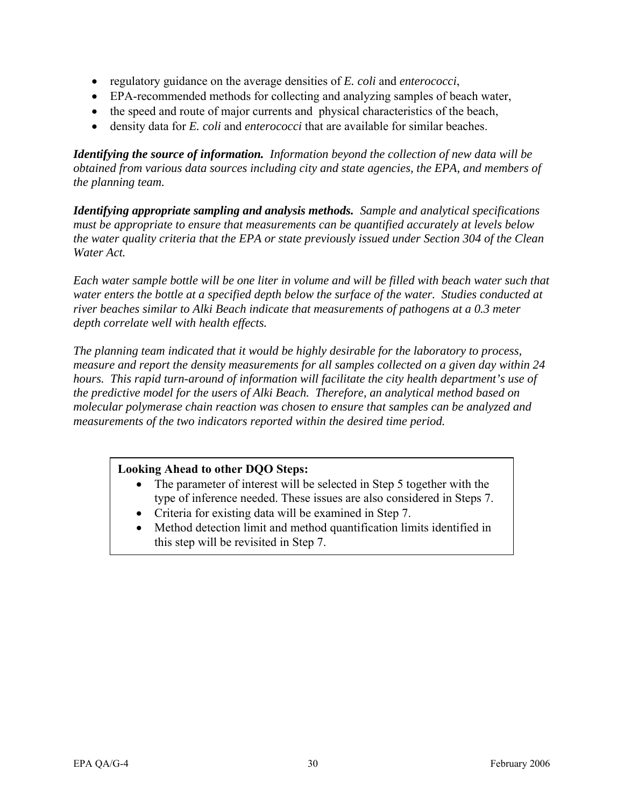- regulatory guidance on the average densities of *E. coli* and *enterococci*,
- EPA-recommended methods for collecting and analyzing samples of beach water,
- the speed and route of major currents and physical characteristics of the beach,
- density data for *E. coli* and *enterococci* that are available for similar beaches.

*Identifying the source of information. Information beyond the collection of new data will be obtained from various data sources including city and state agencies, the EPA, and members of the planning team.* 

*Identifying appropriate sampling and analysis methods. Sample and analytical specifications must be appropriate to ensure that measurements can be quantified accurately at levels below the water quality criteria that the EPA or state previously issued under Section 304 of the Clean Water Act.* 

*Each water sample bottle will be one liter in volume and will be filled with beach water such that water enters the bottle at a specified depth below the surface of the water. Studies conducted at river beaches similar to Alki Beach indicate that measurements of pathogens at a 0.3 meter depth correlate well with health effects.* 

*The planning team indicated that it would be highly desirable for the laboratory to process, measure and report the density measurements for all samples collected on a given day within 24 hours. This rapid turn-around of information will facilitate the city health department's use of the predictive model for the users of Alki Beach. Therefore, an analytical method based on molecular polymerase chain reaction was chosen to ensure that samples can be analyzed and measurements of the two indicators reported within the desired time period.* 

# **Looking Ahead to other DQO Steps:**

- The parameter of interest will be selected in Step 5 together with the type of inference needed. These issues are also considered in Steps 7.
- Criteria for existing data will be examined in Step 7.
- Method detection limit and method quantification limits identified in this step will be revisited in Step 7.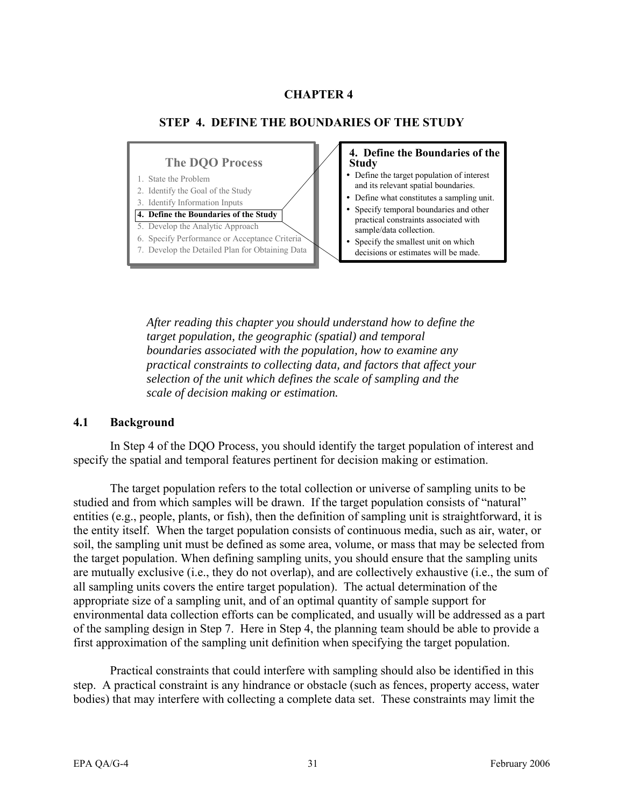# **CHAPTER 4**



*After reading this chapter you should understand how to define the target population, the geographic (spatial) and temporal boundaries associated with the population, how to examine any practical constraints to collecting data, and factors that affect your selection of the unit which defines the scale of sampling and the scale of decision making or estimation.* 

#### **4.1 Background**

In Step 4 of the DQO Process, you should identify the target population of interest and specify the spatial and temporal features pertinent for decision making or estimation.

The target population refers to the total collection or universe of sampling units to be studied and from which samples will be drawn. If the target population consists of "natural" entities (e.g., people, plants, or fish), then the definition of sampling unit is straightforward, it is the entity itself. When the target population consists of continuous media, such as air, water, or soil, the sampling unit must be defined as some area, volume, or mass that may be selected from the target population. When defining sampling units, you should ensure that the sampling units are mutually exclusive (i.e., they do not overlap), and are collectively exhaustive (i.e., the sum of all sampling units covers the entire target population). The actual determination of the appropriate size of a sampling unit, and of an optimal quantity of sample support for environmental data collection efforts can be complicated, and usually will be addressed as a part of the sampling design in Step 7. Here in Step 4, the planning team should be able to provide a first approximation of the sampling unit definition when specifying the target population.

Practical constraints that could interfere with sampling should also be identified in this step. A practical constraint is any hindrance or obstacle (such as fences, property access, water bodies) that may interfere with collecting a complete data set. These constraints may limit the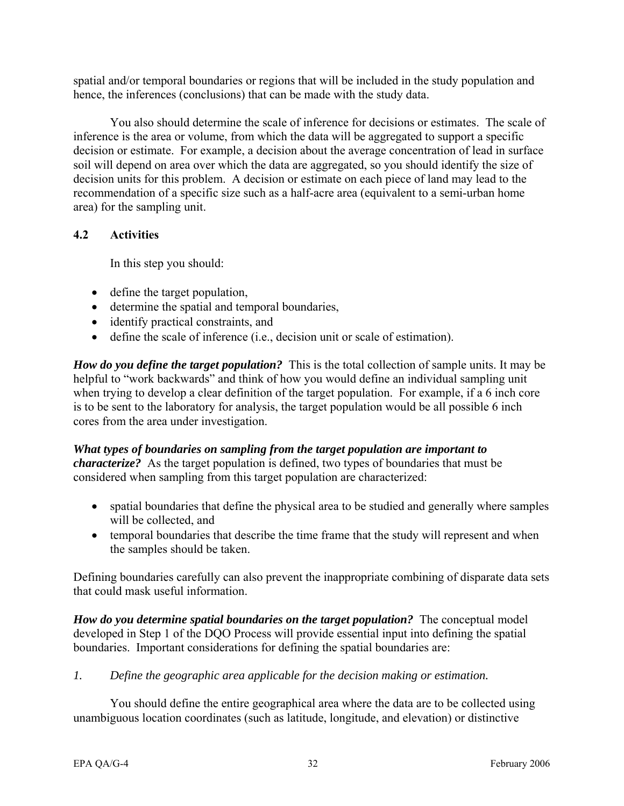spatial and/or temporal boundaries or regions that will be included in the study population and hence, the inferences (conclusions) that can be made with the study data.

You also should determine the scale of inference for decisions or estimates. The scale of inference is the area or volume, from which the data will be aggregated to support a specific decision or estimate. For example, a decision about the average concentration of lead in surface soil will depend on area over which the data are aggregated, so you should identify the size of decision units for this problem. A decision or estimate on each piece of land may lead to the recommendation of a specific size such as a half-acre area (equivalent to a semi-urban home area) for the sampling unit.

# **4.2 Activities**

In this step you should:

- define the target population,
- determine the spatial and temporal boundaries,
- identify practical constraints, and
- define the scale of inference (i.e., decision unit or scale of estimation).

*How do you define the target population?* This is the total collection of sample units. It may be helpful to "work backwards" and think of how you would define an individual sampling unit when trying to develop a clear definition of the target population. For example, if a 6 inch core is to be sent to the laboratory for analysis, the target population would be all possible 6 inch cores from the area under investigation.

*What types of boundaries on sampling from the target population are important to characterize?* As the target population is defined, two types of boundaries that must be considered when sampling from this target population are characterized:

- spatial boundaries that define the physical area to be studied and generally where samples will be collected, and
- temporal boundaries that describe the time frame that the study will represent and when the samples should be taken.

Defining boundaries carefully can also prevent the inappropriate combining of disparate data sets that could mask useful information.

*How do you determine spatial boundaries on the target population?* The conceptual model developed in Step 1 of the DQO Process will provide essential input into defining the spatial boundaries. Important considerations for defining the spatial boundaries are:

*1. Define the geographic area applicable for the decision making or estimation.* 

You should define the entire geographical area where the data are to be collected using unambiguous location coordinates (such as latitude, longitude, and elevation) or distinctive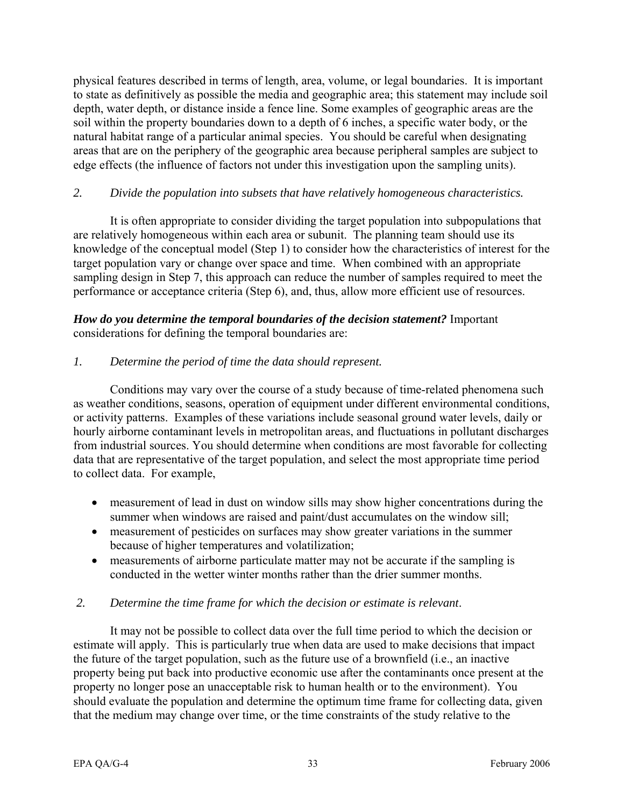physical features described in terms of length, area, volume, or legal boundaries. It is important to state as definitively as possible the media and geographic area; this statement may include soil depth, water depth, or distance inside a fence line. Some examples of geographic areas are the soil within the property boundaries down to a depth of 6 inches, a specific water body, or the natural habitat range of a particular animal species. You should be careful when designating areas that are on the periphery of the geographic area because peripheral samples are subject to edge effects (the influence of factors not under this investigation upon the sampling units).

# *2. Divide the population into subsets that have relatively homogeneous characteristics.*

It is often appropriate to consider dividing the target population into subpopulations that are relatively homogeneous within each area or subunit. The planning team should use its knowledge of the conceptual model (Step 1) to consider how the characteristics of interest for the target population vary or change over space and time. When combined with an appropriate sampling design in Step 7, this approach can reduce the number of samples required to meet the performance or acceptance criteria (Step 6), and, thus, allow more efficient use of resources.

# *How do you determine the temporal boundaries of the decision statement?* Important considerations for defining the temporal boundaries are:

# *1. Determine the period of time the data should represent.*

Conditions may vary over the course of a study because of time-related phenomena such as weather conditions, seasons, operation of equipment under different environmental conditions, or activity patterns. Examples of these variations include seasonal ground water levels, daily or hourly airborne contaminant levels in metropolitan areas, and fluctuations in pollutant discharges from industrial sources. You should determine when conditions are most favorable for collecting data that are representative of the target population, and select the most appropriate time period to collect data. For example,

- measurement of lead in dust on window sills may show higher concentrations during the summer when windows are raised and paint/dust accumulates on the window sill;
- measurement of pesticides on surfaces may show greater variations in the summer because of higher temperatures and volatilization;
- measurements of airborne particulate matter may not be accurate if the sampling is conducted in the wetter winter months rather than the drier summer months.

## *2. Determine the time frame for which the decision or estimate is relevant*.

It may not be possible to collect data over the full time period to which the decision or estimate will apply. This is particularly true when data are used to make decisions that impact the future of the target population, such as the future use of a brownfield (i.e., an inactive property being put back into productive economic use after the contaminants once present at the property no longer pose an unacceptable risk to human health or to the environment). You should evaluate the population and determine the optimum time frame for collecting data, given that the medium may change over time, or the time constraints of the study relative to the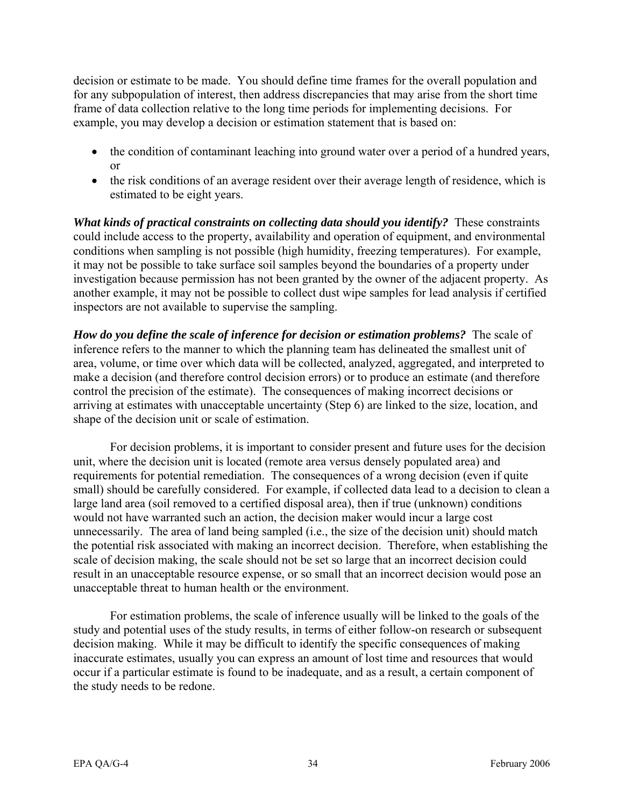decision or estimate to be made. You should define time frames for the overall population and for any subpopulation of interest, then address discrepancies that may arise from the short time frame of data collection relative to the long time periods for implementing decisions. For example, you may develop a decision or estimation statement that is based on:

- the condition of contaminant leaching into ground water over a period of a hundred years, or
- the risk conditions of an average resident over their average length of residence, which is estimated to be eight years.

*What kinds of practical constraints on collecting data should you identify?* These constraints could include access to the property, availability and operation of equipment, and environmental conditions when sampling is not possible (high humidity, freezing temperatures). For example, it may not be possible to take surface soil samples beyond the boundaries of a property under investigation because permission has not been granted by the owner of the adjacent property. As another example, it may not be possible to collect dust wipe samples for lead analysis if certified inspectors are not available to supervise the sampling.

*How do you define the scale of inference for decision or estimation problems?* The scale of inference refers to the manner to which the planning team has delineated the smallest unit of area, volume, or time over which data will be collected, analyzed, aggregated, and interpreted to make a decision (and therefore control decision errors) or to produce an estimate (and therefore control the precision of the estimate). The consequences of making incorrect decisions or arriving at estimates with unacceptable uncertainty (Step 6) are linked to the size, location, and shape of the decision unit or scale of estimation.

For decision problems, it is important to consider present and future uses for the decision unit, where the decision unit is located (remote area versus densely populated area) and requirements for potential remediation. The consequences of a wrong decision (even if quite small) should be carefully considered. For example, if collected data lead to a decision to clean a large land area (soil removed to a certified disposal area), then if true (unknown) conditions would not have warranted such an action, the decision maker would incur a large cost unnecessarily. The area of land being sampled (i.e., the size of the decision unit) should match the potential risk associated with making an incorrect decision. Therefore, when establishing the scale of decision making, the scale should not be set so large that an incorrect decision could result in an unacceptable resource expense, or so small that an incorrect decision would pose an unacceptable threat to human health or the environment.

For estimation problems, the scale of inference usually will be linked to the goals of the study and potential uses of the study results, in terms of either follow-on research or subsequent decision making. While it may be difficult to identify the specific consequences of making inaccurate estimates, usually you can express an amount of lost time and resources that would occur if a particular estimate is found to be inadequate, and as a result, a certain component of the study needs to be redone.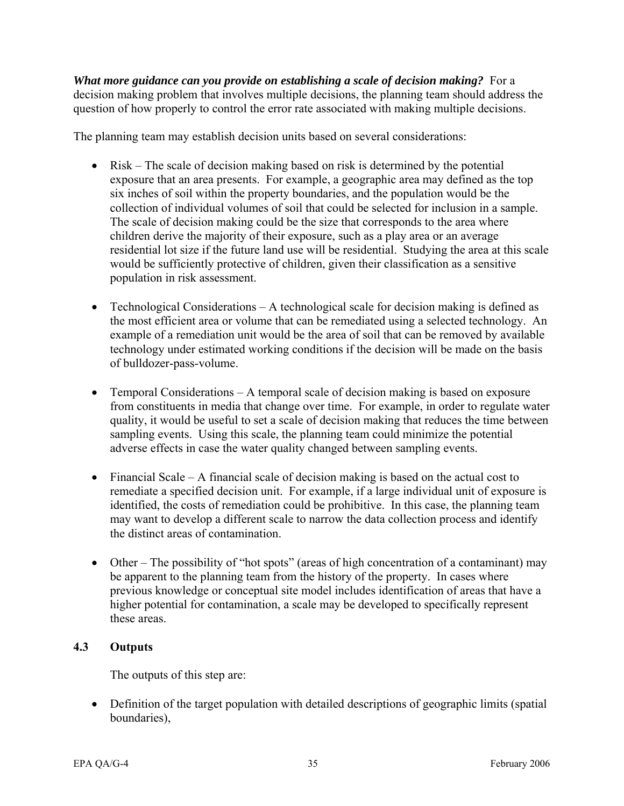*What more guidance can you provide on establishing a scale of decision making?* For a decision making problem that involves multiple decisions, the planning team should address the question of how properly to control the error rate associated with making multiple decisions.

The planning team may establish decision units based on several considerations:

- Risk The scale of decision making based on risk is determined by the potential exposure that an area presents. For example, a geographic area may defined as the top six inches of soil within the property boundaries, and the population would be the collection of individual volumes of soil that could be selected for inclusion in a sample. The scale of decision making could be the size that corresponds to the area where children derive the majority of their exposure, such as a play area or an average residential lot size if the future land use will be residential. Studying the area at this scale would be sufficiently protective of children, given their classification as a sensitive population in risk assessment.
- Technological Considerations A technological scale for decision making is defined as the most efficient area or volume that can be remediated using a selected technology. An example of a remediation unit would be the area of soil that can be removed by available technology under estimated working conditions if the decision will be made on the basis of bulldozer-pass-volume.
- Temporal Considerations A temporal scale of decision making is based on exposure from constituents in media that change over time. For example, in order to regulate water quality, it would be useful to set a scale of decision making that reduces the time between sampling events. Using this scale, the planning team could minimize the potential adverse effects in case the water quality changed between sampling events.
- Financial Scale A financial scale of decision making is based on the actual cost to remediate a specified decision unit. For example, if a large individual unit of exposure is identified, the costs of remediation could be prohibitive. In this case, the planning team may want to develop a different scale to narrow the data collection process and identify the distinct areas of contamination.
- Other The possibility of "hot spots" (areas of high concentration of a contaminant) may be apparent to the planning team from the history of the property. In cases where previous knowledge or conceptual site model includes identification of areas that have a higher potential for contamination, a scale may be developed to specifically represent these areas.

# **4.3 Outputs**

The outputs of this step are:

• Definition of the target population with detailed descriptions of geographic limits (spatial boundaries),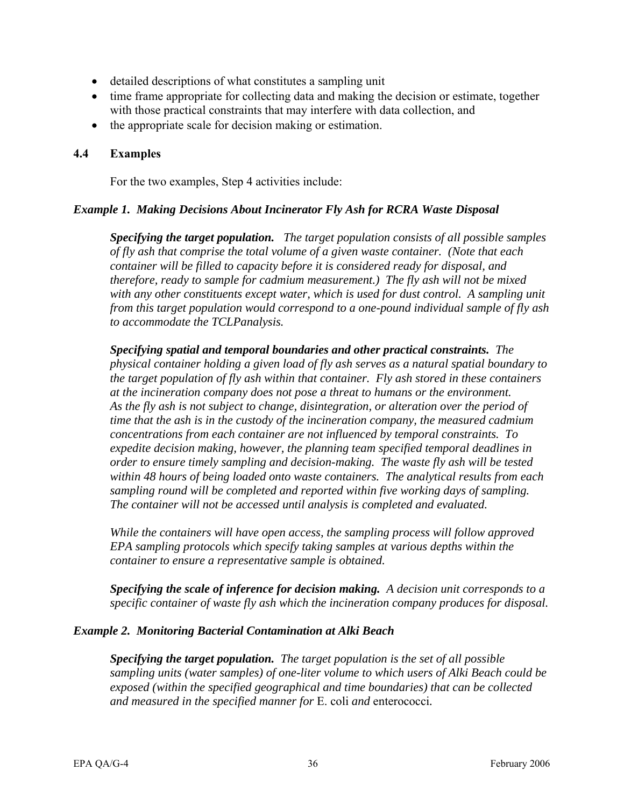- detailed descriptions of what constitutes a sampling unit
- time frame appropriate for collecting data and making the decision or estimate, together with those practical constraints that may interfere with data collection, and
- the appropriate scale for decision making or estimation.

## **4.4 Examples**

For the two examples, Step 4 activities include:

## *Example 1. Making Decisions About Incinerator Fly Ash for RCRA Waste Disposal*

*Specifying the target population. The target population consists of all possible samples of fly ash that comprise the total volume of a given waste container. (Note that each container will be filled to capacity before it is considered ready for disposal, and therefore, ready to sample for cadmium measurement.) The fly ash will not be mixed with any other constituents except water, which is used for dust control. A sampling unit from this target population would correspond to a one-pound individual sample of fly ash to accommodate the TCLPanalysis.* 

*Specifying spatial and temporal boundaries and other practical constraints. The physical container holding a given load of fly ash serves as a natural spatial boundary to the target population of fly ash within that container. Fly ash stored in these containers at the incineration company does not pose a threat to humans or the environment. As the fly ash is not subject to change, disintegration, or alteration over the period of time that the ash is in the custody of the incineration company, the measured cadmium concentrations from each container are not influenced by temporal constraints. To expedite decision making, however, the planning team specified temporal deadlines in order to ensure timely sampling and decision-making. The waste fly ash will be tested within 48 hours of being loaded onto waste containers. The analytical results from each sampling round will be completed and reported within five working days of sampling. The container will not be accessed until analysis is completed and evaluated.* 

*While the containers will have open access, the sampling process will follow approved EPA sampling protocols which specify taking samples at various depths within the container to ensure a representative sample is obtained.* 

*Specifying the scale of inference for decision making. A decision unit corresponds to a specific container of waste fly ash which the incineration company produces for disposal.* 

## *Example 2. Monitoring Bacterial Contamination at Alki Beach*

*Specifying the target population. The target population is the set of all possible sampling units (water samples) of one-liter volume to which users of Alki Beach could be exposed (within the specified geographical and time boundaries) that can be collected and measured in the specified manner for* E. coli *and* enterococci*.*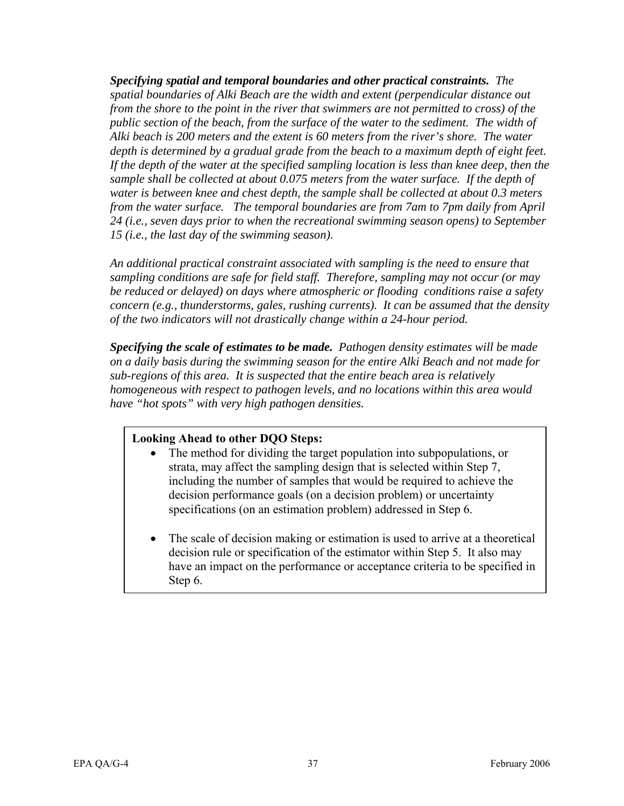*Specifying spatial and temporal boundaries and other practical constraints. The spatial boundaries of Alki Beach are the width and extent (perpendicular distance out from the shore to the point in the river that swimmers are not permitted to cross) of the public section of the beach, from the surface of the water to the sediment. The width of Alki beach is 200 meters and the extent is 60 meters from the river's shore. The water depth is determined by a gradual grade from the beach to a maximum depth of eight feet. If the depth of the water at the specified sampling location is less than knee deep, then the sample shall be collected at about 0.075 meters from the water surface. If the depth of water is between knee and chest depth, the sample shall be collected at about 0.3 meters from the water surface. The temporal boundaries are from 7am to 7pm daily from April 24 (i.e., seven days prior to when the recreational swimming season opens) to September 15 (i.e., the last day of the swimming season).* 

*An additional practical constraint associated with sampling is the need to ensure that sampling conditions are safe for field staff. Therefore, sampling may not occur (or may be reduced or delayed) on days where atmospheric or flooding conditions raise a safety concern (e.g., thunderstorms, gales, rushing currents). It can be assumed that the density of the two indicators will not drastically change within a 24-hour period.* 

*Specifying the scale of estimates to be made. Pathogen density estimates will be made on a daily basis during the swimming season for the entire Alki Beach and not made for sub-regions of this area. It is suspected that the entire beach area is relatively homogeneous with respect to pathogen levels, and no locations within this area would have "hot spots" with very high pathogen densities.* 

## **Looking Ahead to other DQO Steps:**

- The method for dividing the target population into subpopulations, or strata, may affect the sampling design that is selected within Step 7, including the number of samples that would be required to achieve the decision performance goals (on a decision problem) or uncertainty specifications (on an estimation problem) addressed in Step 6.
- The scale of decision making or estimation is used to arrive at a theoretical decision rule or specification of the estimator within Step 5. It also may have an impact on the performance or acceptance criteria to be specified in Step 6.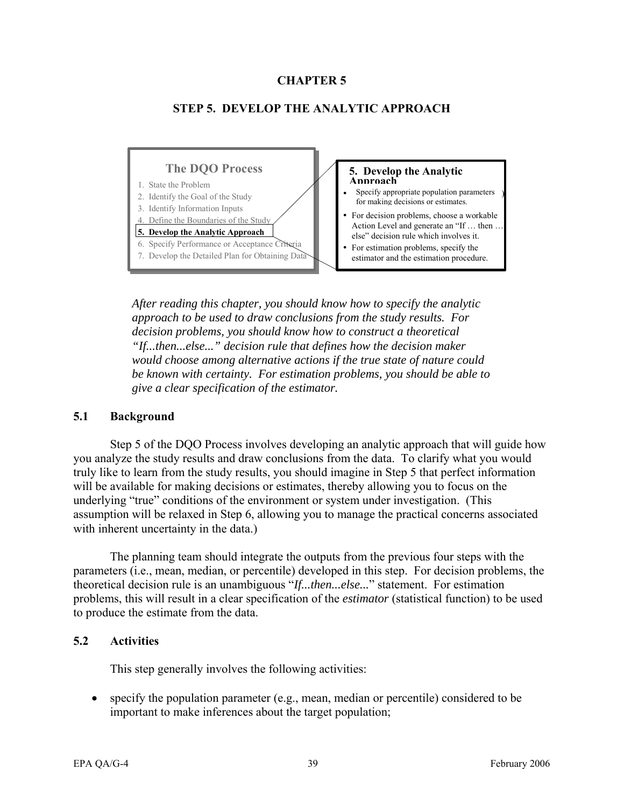# **CHAPTER 5**



## **STEP 5. DEVELOP THE ANALYTIC APPROACH**

*After reading this chapter, you should know how to specify the analytic approach to be used to draw conclusions from the study results. For decision problems, you should know how to construct a theoretical "If...then...else..." decision rule that defines how the decision maker would choose among alternative actions if the true state of nature could be known with certainty. For estimation problems, you should be able to give a clear specification of the estimator.* 

#### **5.1 Background**

Step 5 of the DQO Process involves developing an analytic approach that will guide how you analyze the study results and draw conclusions from the data. To clarify what you would truly like to learn from the study results, you should imagine in Step 5 that perfect information will be available for making decisions or estimates, thereby allowing you to focus on the underlying "true" conditions of the environment or system under investigation. (This assumption will be relaxed in Step 6, allowing you to manage the practical concerns associated with inherent uncertainty in the data.)

The planning team should integrate the outputs from the previous four steps with the parameters (i.e., mean, median, or percentile) developed in this step. For decision problems, the theoretical decision rule is an unambiguous "*If...then...else...*" statement. For estimation problems, this will result in a clear specification of the *estimator* (statistical function) to be used to produce the estimate from the data.

## **5.2 Activities**

This step generally involves the following activities:

• specify the population parameter (e.g., mean, median or percentile) considered to be important to make inferences about the target population;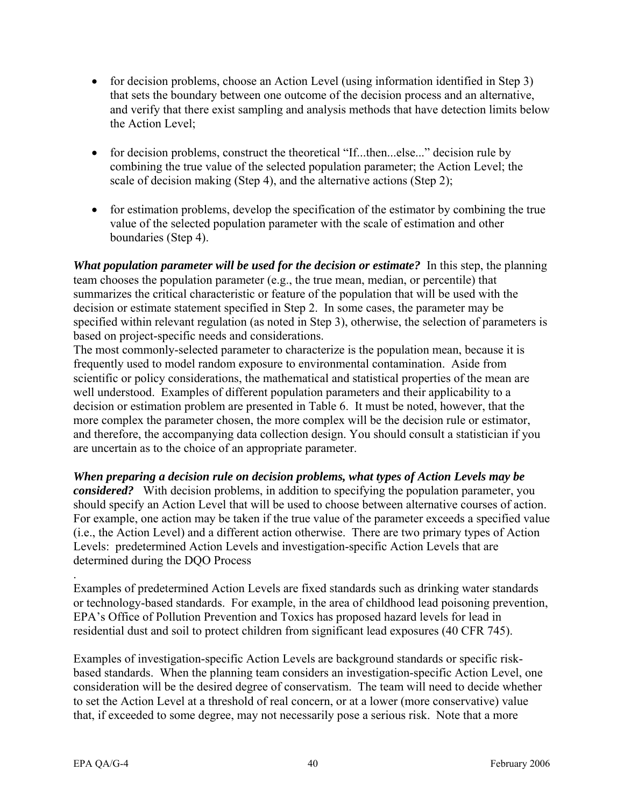- for decision problems, choose an Action Level (using information identified in Step 3) that sets the boundary between one outcome of the decision process and an alternative, and verify that there exist sampling and analysis methods that have detection limits below the Action Level;
- for decision problems, construct the theoretical "If...then...else..." decision rule by combining the true value of the selected population parameter; the Action Level; the scale of decision making (Step 4), and the alternative actions (Step 2);
- for estimation problems, develop the specification of the estimator by combining the true value of the selected population parameter with the scale of estimation and other boundaries (Step 4).

*What population parameter will be used for the decision or estimate?* In this step, the planning team chooses the population parameter (e.g., the true mean, median, or percentile) that summarizes the critical characteristic or feature of the population that will be used with the decision or estimate statement specified in Step 2. In some cases, the parameter may be specified within relevant regulation (as noted in Step 3), otherwise, the selection of parameters is based on project-specific needs and considerations.

The most commonly-selected parameter to characterize is the population mean, because it is frequently used to model random exposure to environmental contamination. Aside from scientific or policy considerations, the mathematical and statistical properties of the mean are well understood. Examples of different population parameters and their applicability to a decision or estimation problem are presented in Table 6. It must be noted, however, that the more complex the parameter chosen, the more complex will be the decision rule or estimator, and therefore, the accompanying data collection design. You should consult a statistician if you are uncertain as to the choice of an appropriate parameter.

*When preparing a decision rule on decision problems, what types of Action Levels may be considered?* With decision problems, in addition to specifying the population parameter, you should specify an Action Level that will be used to choose between alternative courses of action. For example, one action may be taken if the true value of the parameter exceeds a specified value (i.e., the Action Level) and a different action otherwise. There are two primary types of Action Levels: predetermined Action Levels and investigation-specific Action Levels that are determined during the DQO Process

. Examples of predetermined Action Levels are fixed standards such as drinking water standards or technology-based standards. For example, in the area of childhood lead poisoning prevention, EPA's Office of Pollution Prevention and Toxics has proposed hazard levels for lead in residential dust and soil to protect children from significant lead exposures (40 CFR 745).

Examples of investigation-specific Action Levels are background standards or specific riskbased standards. When the planning team considers an investigation-specific Action Level, one consideration will be the desired degree of conservatism. The team will need to decide whether to set the Action Level at a threshold of real concern, or at a lower (more conservative) value that, if exceeded to some degree, may not necessarily pose a serious risk. Note that a more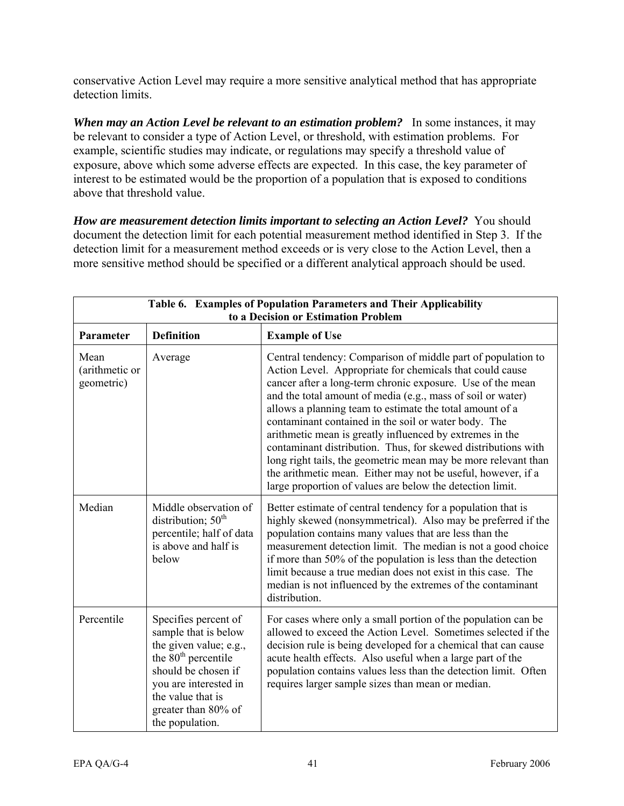conservative Action Level may require a more sensitive analytical method that has appropriate detection limits.

*When may an Action Level be relevant to an estimation problem?* In some instances, it may be relevant to consider a type of Action Level, or threshold, with estimation problems. For example, scientific studies may indicate, or regulations may specify a threshold value of exposure, above which some adverse effects are expected. In this case, the key parameter of interest to be estimated would be the proportion of a population that is exposed to conditions above that threshold value.

*How are measurement detection limits important to selecting an Action Level?* You should document the detection limit for each potential measurement method identified in Step 3. If the detection limit for a measurement method exceeds or is very close to the Action Level, then a more sensitive method should be specified or a different analytical approach should be used.

| Table 6. Examples of Population Parameters and Their Applicability<br>to a Decision or Estimation Problem |                                                                                                                                                                                                                          |                                                                                                                                                                                                                                                                                                                                                                                                                                                                                                                                                                                                                                                                                                       |  |
|-----------------------------------------------------------------------------------------------------------|--------------------------------------------------------------------------------------------------------------------------------------------------------------------------------------------------------------------------|-------------------------------------------------------------------------------------------------------------------------------------------------------------------------------------------------------------------------------------------------------------------------------------------------------------------------------------------------------------------------------------------------------------------------------------------------------------------------------------------------------------------------------------------------------------------------------------------------------------------------------------------------------------------------------------------------------|--|
| Parameter                                                                                                 | <b>Definition</b>                                                                                                                                                                                                        | <b>Example of Use</b>                                                                                                                                                                                                                                                                                                                                                                                                                                                                                                                                                                                                                                                                                 |  |
| Mean<br>(arithmetic or<br>geometric)                                                                      | Average                                                                                                                                                                                                                  | Central tendency: Comparison of middle part of population to<br>Action Level. Appropriate for chemicals that could cause<br>cancer after a long-term chronic exposure. Use of the mean<br>and the total amount of media (e.g., mass of soil or water)<br>allows a planning team to estimate the total amount of a<br>contaminant contained in the soil or water body. The<br>arithmetic mean is greatly influenced by extremes in the<br>contaminant distribution. Thus, for skewed distributions with<br>long right tails, the geometric mean may be more relevant than<br>the arithmetic mean. Either may not be useful, however, if a<br>large proportion of values are below the detection limit. |  |
| Median                                                                                                    | Middle observation of<br>distribution; $50th$<br>percentile; half of data<br>is above and half is<br>below                                                                                                               | Better estimate of central tendency for a population that is<br>highly skewed (nonsymmetrical). Also may be preferred if the<br>population contains many values that are less than the<br>measurement detection limit. The median is not a good choice<br>if more than 50% of the population is less than the detection<br>limit because a true median does not exist in this case. The<br>median is not influenced by the extremes of the contaminant<br>distribution.                                                                                                                                                                                                                               |  |
| Percentile                                                                                                | Specifies percent of<br>sample that is below<br>the given value; e.g.,<br>the 80 <sup>th</sup> percentile<br>should be chosen if<br>you are interested in<br>the value that is<br>greater than 80% of<br>the population. | For cases where only a small portion of the population can be<br>allowed to exceed the Action Level. Sometimes selected if the<br>decision rule is being developed for a chemical that can cause<br>acute health effects. Also useful when a large part of the<br>population contains values less than the detection limit. Often<br>requires larger sample sizes than mean or median.                                                                                                                                                                                                                                                                                                                |  |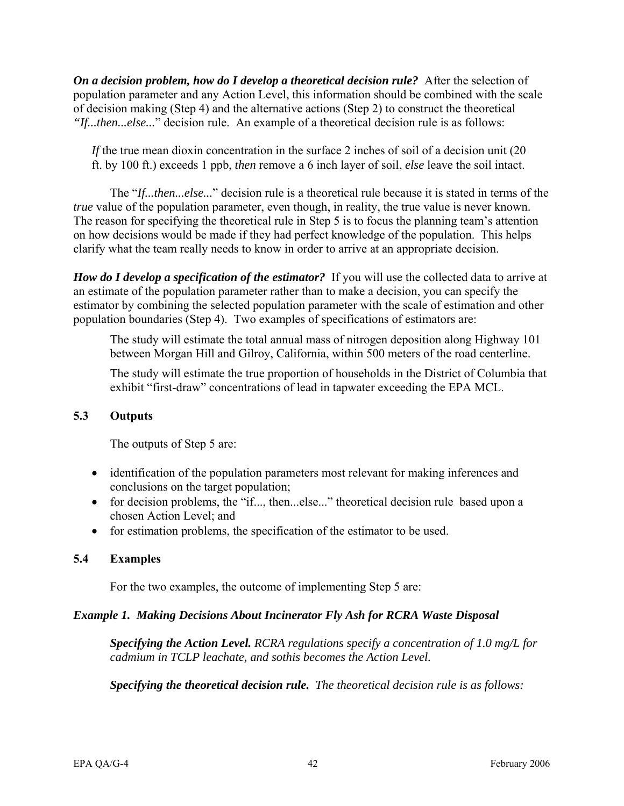*On a decision problem, how do I develop a theoretical decision rule?* After the selection of population parameter and any Action Level, this information should be combined with the scale of decision making (Step 4) and the alternative actions (Step 2) to construct the theoretical *"If...then...else...*" decision rule. An example of a theoretical decision rule is as follows:

*If* the true mean dioxin concentration in the surface 2 inches of soil of a decision unit (20 ft. by 100 ft.) exceeds 1 ppb, *then* remove a 6 inch layer of soil, *else* leave the soil intact.

The "*If...then...else...*" decision rule is a theoretical rule because it is stated in terms of the *true* value of the population parameter, even though, in reality, the true value is never known. The reason for specifying the theoretical rule in Step 5 is to focus the planning team's attention on how decisions would be made if they had perfect knowledge of the population. This helps clarify what the team really needs to know in order to arrive at an appropriate decision.

*How do I develop a specification of the estimator?* If you will use the collected data to arrive at an estimate of the population parameter rather than to make a decision, you can specify the estimator by combining the selected population parameter with the scale of estimation and other population boundaries (Step 4). Two examples of specifications of estimators are:

The study will estimate the total annual mass of nitrogen deposition along Highway 101 between Morgan Hill and Gilroy, California, within 500 meters of the road centerline.

The study will estimate the true proportion of households in the District of Columbia that exhibit "first-draw" concentrations of lead in tapwater exceeding the EPA MCL.

# **5.3 Outputs**

The outputs of Step 5 are:

- identification of the population parameters most relevant for making inferences and conclusions on the target population;
- for decision problems, the "if..., then...else..." theoretical decision rule based upon a chosen Action Level; and
- for estimation problems, the specification of the estimator to be used.

# **5.4 Examples**

For the two examples, the outcome of implementing Step 5 are:

# *Example 1. Making Decisions About Incinerator Fly Ash for RCRA Waste Disposal*

*Specifying the Action Level. RCRA regulations specify a concentration of 1.0 mg/L for cadmium in TCLP leachate, and sothis becomes the Action Level.* 

*Specifying the theoretical decision rule. The theoretical decision rule is as follows:*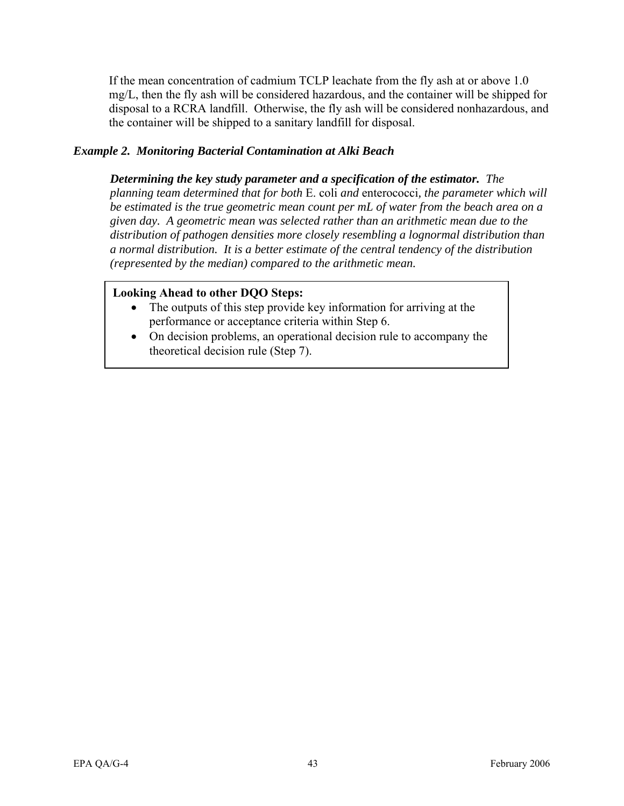If the mean concentration of cadmium TCLP leachate from the fly ash at or above 1.0 mg/L, then the fly ash will be considered hazardous, and the container will be shipped for disposal to a RCRA landfill. Otherwise, the fly ash will be considered nonhazardous, and the container will be shipped to a sanitary landfill for disposal.

# *Example 2. Monitoring Bacterial Contamination at Alki Beach*

*Determining the key study parameter and a specification of the estimator. The planning team determined that for both* E. coli *and* enterococci*, the parameter which will be estimated is the true geometric mean count per mL of water from the beach area on a given day. A geometric mean was selected rather than an arithmetic mean due to the distribution of pathogen densities more closely resembling a lognormal distribution than a normal distribution. It is a better estimate of the central tendency of the distribution (represented by the median) compared to the arithmetic mean.* 

# **Looking Ahead to other DQO Steps:**

- The outputs of this step provide key information for arriving at the performance or acceptance criteria within Step 6.
- On decision problems, an operational decision rule to accompany the theoretical decision rule (Step 7).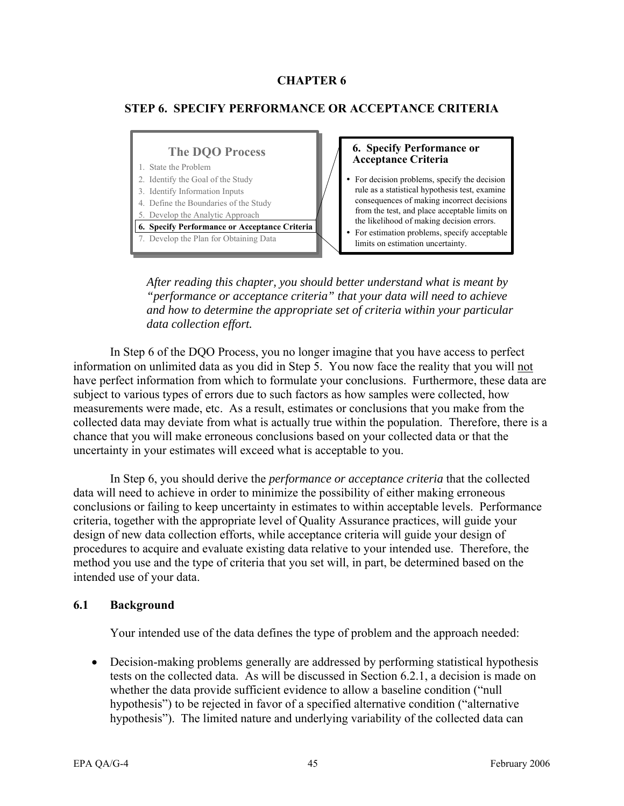# **CHAPTER 6**

# **STEP 6. SPECIFY PERFORMANCE OR ACCEPTANCE CRITERIA**

#### **6. Specify Performance or Acceptance Criteria The DQO Process 6. Specify Performance or Acceptance Criteria**  For decision problems, specify the decision rule as a statistical hypothesis test, examine consequences of making incorrect decisions from the test, and place acceptable limits on the likelihood of making decision errors. For estimation problems, specify acceptable limits on estimation uncertainty. 1. State the Problem 2. Identify the Goal of the Study 3. Identify Information Inputs 4. Define the Boundaries of the Study 5. Develop the Analytic Approach 7. Develop the Plan for Obtaining Data

*After reading this chapter, you should better understand what is meant by "performance or acceptance criteria" that your data will need to achieve and how to determine the appropriate set of criteria within your particular data collection effort.* 

In Step 6 of the DQO Process, you no longer imagine that you have access to perfect information on unlimited data as you did in Step 5. You now face the reality that you will not have perfect information from which to formulate your conclusions. Furthermore, these data are subject to various types of errors due to such factors as how samples were collected, how measurements were made, etc. As a result, estimates or conclusions that you make from the collected data may deviate from what is actually true within the population. Therefore, there is a chance that you will make erroneous conclusions based on your collected data or that the uncertainty in your estimates will exceed what is acceptable to you.

In Step 6, you should derive the *performance or acceptance criteria* that the collected data will need to achieve in order to minimize the possibility of either making erroneous conclusions or failing to keep uncertainty in estimates to within acceptable levels. Performance criteria, together with the appropriate level of Quality Assurance practices, will guide your design of new data collection efforts, while acceptance criteria will guide your design of procedures to acquire and evaluate existing data relative to your intended use. Therefore, the method you use and the type of criteria that you set will, in part, be determined based on the intended use of your data.

## **6.1 Background**

Your intended use of the data defines the type of problem and the approach needed:

• Decision-making problems generally are addressed by performing statistical hypothesis tests on the collected data. As will be discussed in Section 6.2.1, a decision is made on whether the data provide sufficient evidence to allow a baseline condition ("null hypothesis") to be rejected in favor of a specified alternative condition ("alternative hypothesis"). The limited nature and underlying variability of the collected data can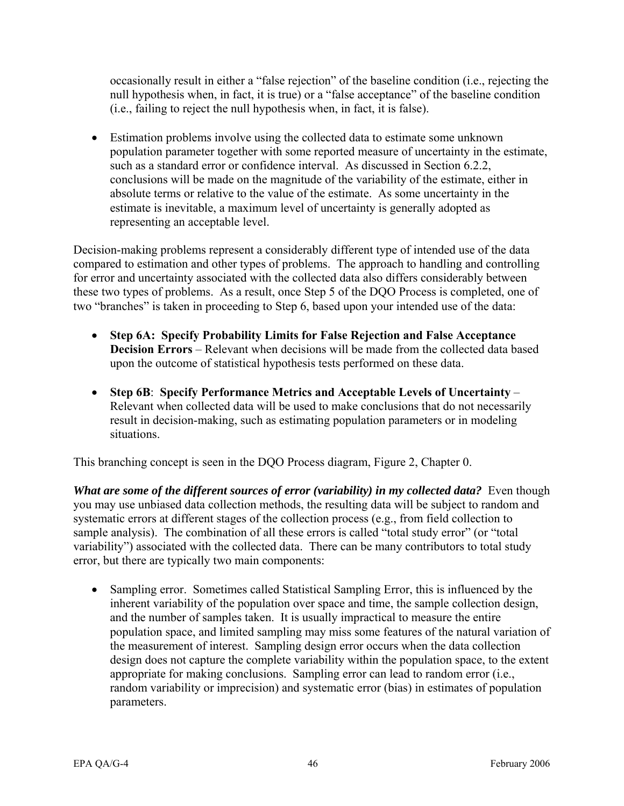occasionally result in either a "false rejection" of the baseline condition (i.e., rejecting the null hypothesis when, in fact, it is true) or a "false acceptance" of the baseline condition (i.e., failing to reject the null hypothesis when, in fact, it is false).

• Estimation problems involve using the collected data to estimate some unknown population parameter together with some reported measure of uncertainty in the estimate, such as a standard error or confidence interval. As discussed in Section 6.2.2, conclusions will be made on the magnitude of the variability of the estimate, either in absolute terms or relative to the value of the estimate. As some uncertainty in the estimate is inevitable, a maximum level of uncertainty is generally adopted as representing an acceptable level.

Decision-making problems represent a considerably different type of intended use of the data compared to estimation and other types of problems. The approach to handling and controlling for error and uncertainty associated with the collected data also differs considerably between these two types of problems. As a result, once Step 5 of the DOO Process is completed, one of two "branches" is taken in proceeding to Step 6, based upon your intended use of the data:

- **Step 6A: Specify Probability Limits for False Rejection and False Acceptance Decision Errors** – Relevant when decisions will be made from the collected data based upon the outcome of statistical hypothesis tests performed on these data.
- **Step 6B**: **Specify Performance Metrics and Acceptable Levels of Uncertainty**  Relevant when collected data will be used to make conclusions that do not necessarily result in decision-making, such as estimating population parameters or in modeling situations.

This branching concept is seen in the DQO Process diagram, Figure 2, Chapter 0.

*What are some of the different sources of error (variability) in my collected data?* Even though you may use unbiased data collection methods, the resulting data will be subject to random and systematic errors at different stages of the collection process (e.g., from field collection to sample analysis). The combination of all these errors is called "total study error" (or "total variability") associated with the collected data. There can be many contributors to total study error, but there are typically two main components:

• Sampling error. Sometimes called Statistical Sampling Error, this is influenced by the inherent variability of the population over space and time, the sample collection design, and the number of samples taken. It is usually impractical to measure the entire population space, and limited sampling may miss some features of the natural variation of the measurement of interest. Sampling design error occurs when the data collection design does not capture the complete variability within the population space, to the extent appropriate for making conclusions. Sampling error can lead to random error (i.e., random variability or imprecision) and systematic error (bias) in estimates of population parameters.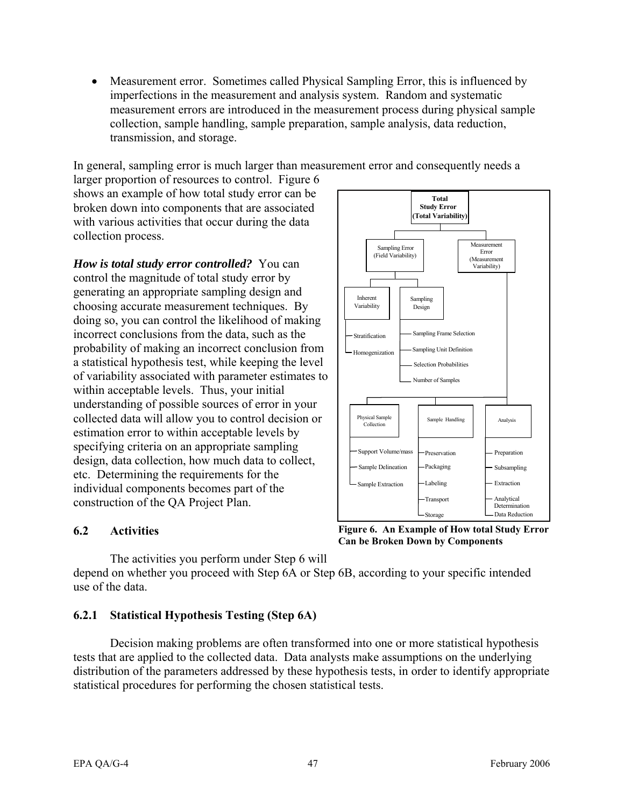• Measurement error. Sometimes called Physical Sampling Error, this is influenced by imperfections in the measurement and analysis system. Random and systematic measurement errors are introduced in the measurement process during physical sample collection, sample handling, sample preparation, sample analysis, data reduction, transmission, and storage.

In general, sampling error is much larger than measurement error and consequently needs a

larger proportion of resources to control. Figure 6 shows an example of how total study error can be broken down into components that are associated with various activities that occur during the data collection process.

*How is total study error controlled?* You can control the magnitude of total study error by generating an appropriate sampling design and choosing accurate measurement techniques. By doing so, you can control the likelihood of making incorrect conclusions from the data, such as the probability of making an incorrect conclusion from a statistical hypothesis test, while keeping the level of variability associated with parameter estimates to within acceptable levels. Thus, your initial understanding of possible sources of error in your collected data will allow you to control decision or estimation error to within acceptable levels by specifying criteria on an appropriate sampling design, data collection, how much data to collect, etc. Determining the requirements for the individual components becomes part of the construction of the QA Project Plan.



The activities you perform under Step 6 will

depend on whether you proceed with Step 6A or Step 6B, according to your specific intended use of the data.

# **6.2.1 Statistical Hypothesis Testing (Step 6A)**

Decision making problems are often transformed into one or more statistical hypothesis tests that are applied to the collected data. Data analysts make assumptions on the underlying distribution of the parameters addressed by these hypothesis tests, in order to identify appropriate statistical procedures for performing the chosen statistical tests.

**6.2 Activities Figure 6. An Example of How total Study Error Can be Broken Down by Components**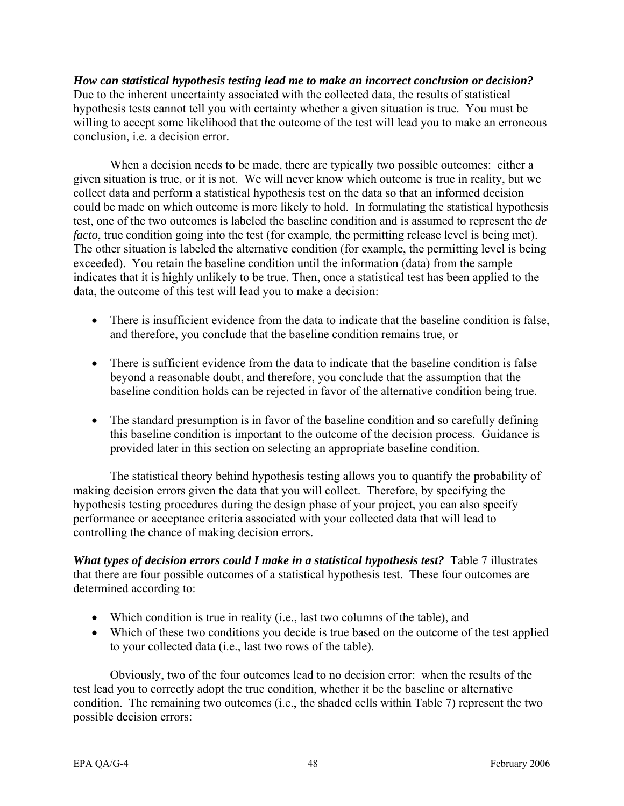*How can statistical hypothesis testing lead me to make an incorrect conclusion or decision?*  Due to the inherent uncertainty associated with the collected data, the results of statistical hypothesis tests cannot tell you with certainty whether a given situation is true. You must be willing to accept some likelihood that the outcome of the test will lead you to make an erroneous conclusion, i.e. a decision error*.* 

When a decision needs to be made, there are typically two possible outcomes: either a given situation is true, or it is not. We will never know which outcome is true in reality, but we collect data and perform a statistical hypothesis test on the data so that an informed decision could be made on which outcome is more likely to hold. In formulating the statistical hypothesis test, one of the two outcomes is labeled the baseline condition and is assumed to represent the *de facto*, true condition going into the test (for example, the permitting release level is being met). The other situation is labeled the alternative condition (for example, the permitting level is being exceeded). You retain the baseline condition until the information (data) from the sample indicates that it is highly unlikely to be true. Then, once a statistical test has been applied to the data, the outcome of this test will lead you to make a decision:

- There is insufficient evidence from the data to indicate that the baseline condition is false, and therefore, you conclude that the baseline condition remains true, or
- There is sufficient evidence from the data to indicate that the baseline condition is false beyond a reasonable doubt, and therefore, you conclude that the assumption that the baseline condition holds can be rejected in favor of the alternative condition being true.
- The standard presumption is in favor of the baseline condition and so carefully defining this baseline condition is important to the outcome of the decision process. Guidance is provided later in this section on selecting an appropriate baseline condition.

The statistical theory behind hypothesis testing allows you to quantify the probability of making decision errors given the data that you will collect. Therefore, by specifying the hypothesis testing procedures during the design phase of your project, you can also specify performance or acceptance criteria associated with your collected data that will lead to controlling the chance of making decision errors.

*What types of decision errors could I make in a statistical hypothesis test?* Table 7 illustrates that there are four possible outcomes of a statistical hypothesis test. These four outcomes are determined according to:

- Which condition is true in reality (i.e., last two columns of the table), and
- Which of these two conditions you decide is true based on the outcome of the test applied to your collected data (i.e., last two rows of the table).

Obviously, two of the four outcomes lead to no decision error: when the results of the test lead you to correctly adopt the true condition, whether it be the baseline or alternative condition. The remaining two outcomes (i.e., the shaded cells within Table 7) represent the two possible decision errors: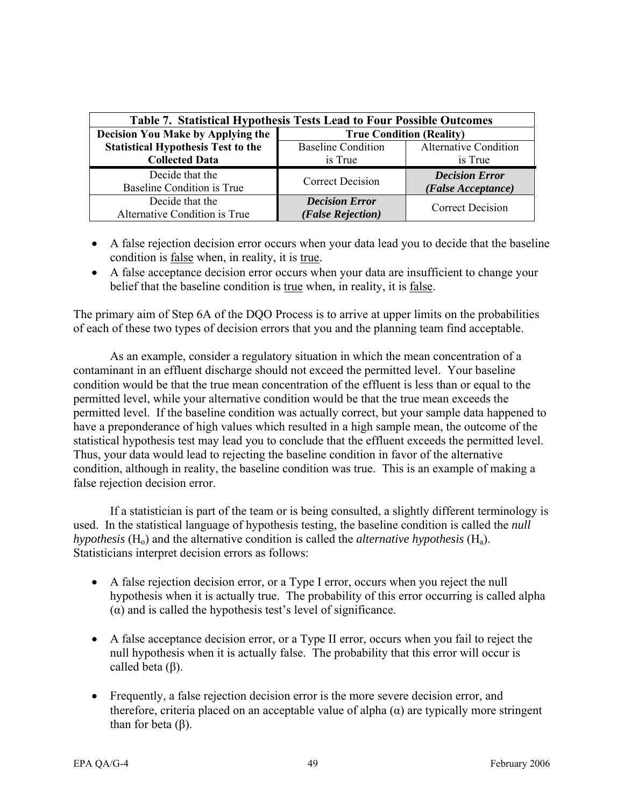| Table 7. Statistical Hypothesis Tests Lead to Four Possible Outcomes |                                 |                              |  |  |
|----------------------------------------------------------------------|---------------------------------|------------------------------|--|--|
| <b>Decision You Make by Applying the</b>                             | <b>True Condition (Reality)</b> |                              |  |  |
| <b>Statistical Hypothesis Test to the</b>                            | <b>Baseline Condition</b>       | <b>Alternative Condition</b> |  |  |
| <b>Collected Data</b>                                                | is True                         | is True                      |  |  |
| Decide that the                                                      | <b>Correct Decision</b>         | <b>Decision Error</b>        |  |  |
| Baseline Condition is True                                           |                                 | (False Acceptance)           |  |  |
| Decide that the                                                      | <b>Decision Error</b>           | <b>Correct Decision</b>      |  |  |
| Alternative Condition is True                                        | (False Rejection)               |                              |  |  |

- A false rejection decision error occurs when your data lead you to decide that the baseline condition is false when, in reality, it is true.
- A false acceptance decision error occurs when your data are insufficient to change your belief that the baseline condition is true when, in reality, it is false.

The primary aim of Step 6A of the DQO Process is to arrive at upper limits on the probabilities of each of these two types of decision errors that you and the planning team find acceptable.

As an example, consider a regulatory situation in which the mean concentration of a contaminant in an effluent discharge should not exceed the permitted level. Your baseline condition would be that the true mean concentration of the effluent is less than or equal to the permitted level, while your alternative condition would be that the true mean exceeds the permitted level. If the baseline condition was actually correct, but your sample data happened to have a preponderance of high values which resulted in a high sample mean, the outcome of the statistical hypothesis test may lead you to conclude that the effluent exceeds the permitted level. Thus, your data would lead to rejecting the baseline condition in favor of the alternative condition, although in reality, the baseline condition was true. This is an example of making a false rejection decision error.

If a statistician is part of the team or is being consulted, a slightly different terminology is used. In the statistical language of hypothesis testing, the baseline condition is called the *null hypothesis*  $(H_0)$  and the alternative condition is called the *alternative hypothesis*  $(H_a)$ . Statisticians interpret decision errors as follows:

- A false rejection decision error, or a Type I error, occurs when you reject the null hypothesis when it is actually true. The probability of this error occurring is called alpha  $(\alpha)$  and is called the hypothesis test's level of significance.
- A false acceptance decision error, or a Type II error, occurs when you fail to reject the null hypothesis when it is actually false. The probability that this error will occur is called beta (β).
- Frequently, a false rejection decision error is the more severe decision error, and therefore, criteria placed on an acceptable value of alpha  $(\alpha)$  are typically more stringent than for beta  $(β)$ .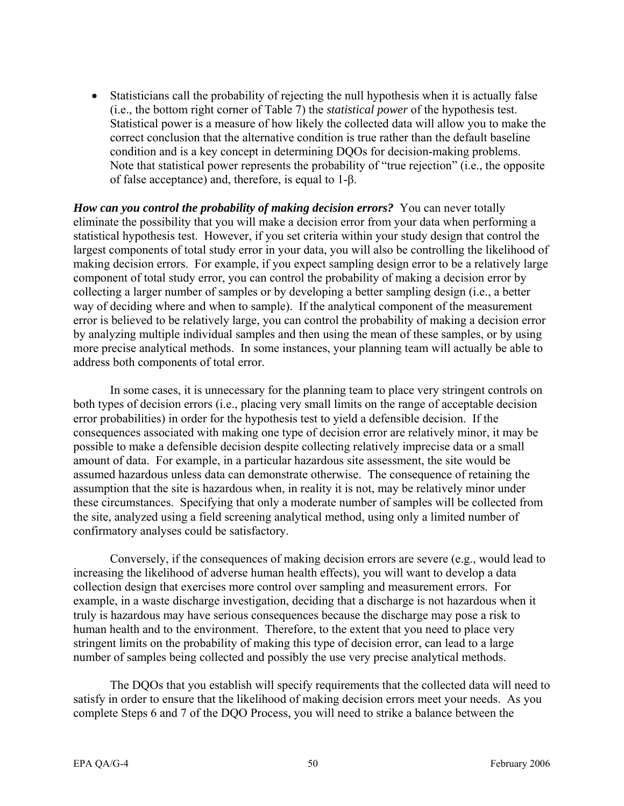• Statisticians call the probability of rejecting the null hypothesis when it is actually false (i.e., the bottom right corner of Table 7) the *statistical power* of the hypothesis test. Statistical power is a measure of how likely the collected data will allow you to make the correct conclusion that the alternative condition is true rather than the default baseline condition and is a key concept in determining DQOs for decision-making problems. Note that statistical power represents the probability of "true rejection" (i.e., the opposite of false acceptance) and, therefore, is equal to 1-β.

*How can you control the probability of making decision errors?* You can never totally eliminate the possibility that you will make a decision error from your data when performing a statistical hypothesis test. However, if you set criteria within your study design that control the largest components of total study error in your data, you will also be controlling the likelihood of making decision errors. For example, if you expect sampling design error to be a relatively large component of total study error, you can control the probability of making a decision error by collecting a larger number of samples or by developing a better sampling design (i.e., a better way of deciding where and when to sample). If the analytical component of the measurement error is believed to be relatively large, you can control the probability of making a decision error by analyzing multiple individual samples and then using the mean of these samples, or by using more precise analytical methods. In some instances, your planning team will actually be able to address both components of total error.

In some cases, it is unnecessary for the planning team to place very stringent controls on both types of decision errors (i.e., placing very small limits on the range of acceptable decision error probabilities) in order for the hypothesis test to yield a defensible decision. If the consequences associated with making one type of decision error are relatively minor, it may be possible to make a defensible decision despite collecting relatively imprecise data or a small amount of data. For example, in a particular hazardous site assessment, the site would be assumed hazardous unless data can demonstrate otherwise. The consequence of retaining the assumption that the site is hazardous when, in reality it is not, may be relatively minor under these circumstances. Specifying that only a moderate number of samples will be collected from the site, analyzed using a field screening analytical method, using only a limited number of confirmatory analyses could be satisfactory.

Conversely, if the consequences of making decision errors are severe (e.g., would lead to increasing the likelihood of adverse human health effects), you will want to develop a data collection design that exercises more control over sampling and measurement errors. For example, in a waste discharge investigation, deciding that a discharge is not hazardous when it truly is hazardous may have serious consequences because the discharge may pose a risk to human health and to the environment. Therefore, to the extent that you need to place very stringent limits on the probability of making this type of decision error, can lead to a large number of samples being collected and possibly the use very precise analytical methods.

The DQOs that you establish will specify requirements that the collected data will need to satisfy in order to ensure that the likelihood of making decision errors meet your needs. As you complete Steps 6 and 7 of the DQO Process, you will need to strike a balance between the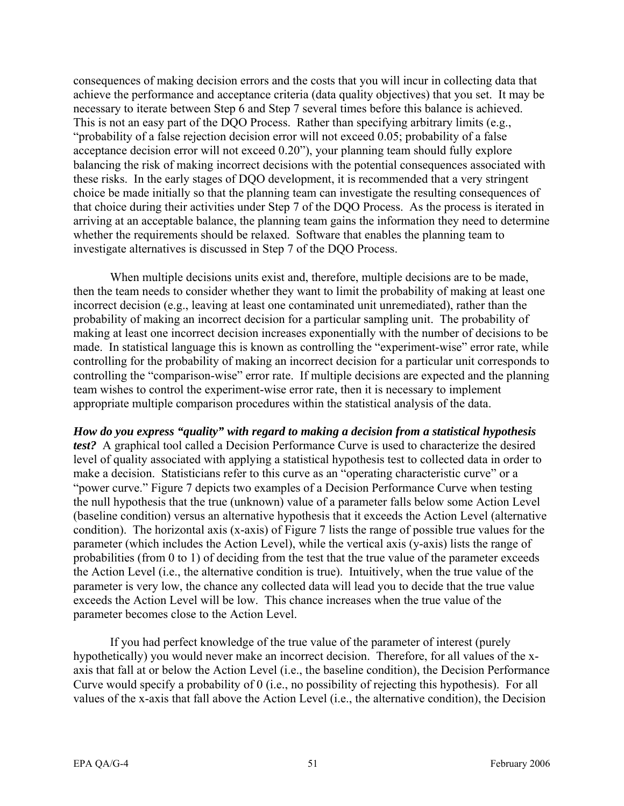consequences of making decision errors and the costs that you will incur in collecting data that achieve the performance and acceptance criteria (data quality objectives) that you set. It may be necessary to iterate between Step 6 and Step 7 several times before this balance is achieved. This is not an easy part of the DQO Process. Rather than specifying arbitrary limits (e.g., "probability of a false rejection decision error will not exceed 0.05; probability of a false acceptance decision error will not exceed 0.20"), your planning team should fully explore balancing the risk of making incorrect decisions with the potential consequences associated with these risks. In the early stages of DQO development, it is recommended that a very stringent choice be made initially so that the planning team can investigate the resulting consequences of that choice during their activities under Step 7 of the DQO Process. As the process is iterated in arriving at an acceptable balance, the planning team gains the information they need to determine whether the requirements should be relaxed. Software that enables the planning team to investigate alternatives is discussed in Step 7 of the DQO Process.

When multiple decisions units exist and, therefore, multiple decisions are to be made, then the team needs to consider whether they want to limit the probability of making at least one incorrect decision (e.g., leaving at least one contaminated unit unremediated), rather than the probability of making an incorrect decision for a particular sampling unit. The probability of making at least one incorrect decision increases exponentially with the number of decisions to be made. In statistical language this is known as controlling the "experiment-wise" error rate, while controlling for the probability of making an incorrect decision for a particular unit corresponds to controlling the "comparison-wise" error rate. If multiple decisions are expected and the planning team wishes to control the experiment-wise error rate, then it is necessary to implement appropriate multiple comparison procedures within the statistical analysis of the data.

*How do you express "quality" with regard to making a decision from a statistical hypothesis test?* A graphical tool called a Decision Performance Curve is used to characterize the desired level of quality associated with applying a statistical hypothesis test to collected data in order to make a decision. Statisticians refer to this curve as an "operating characteristic curve" or a "power curve." Figure 7 depicts two examples of a Decision Performance Curve when testing the null hypothesis that the true (unknown) value of a parameter falls below some Action Level (baseline condition) versus an alternative hypothesis that it exceeds the Action Level (alternative condition). The horizontal axis (x-axis) of Figure 7 lists the range of possible true values for the parameter (which includes the Action Level), while the vertical axis (y-axis) lists the range of probabilities (from 0 to 1) of deciding from the test that the true value of the parameter exceeds the Action Level (i.e., the alternative condition is true). Intuitively, when the true value of the parameter is very low, the chance any collected data will lead you to decide that the true value exceeds the Action Level will be low. This chance increases when the true value of the parameter becomes close to the Action Level.

If you had perfect knowledge of the true value of the parameter of interest (purely hypothetically) you would never make an incorrect decision. Therefore, for all values of the xaxis that fall at or below the Action Level (i.e., the baseline condition), the Decision Performance Curve would specify a probability of 0 (i.e., no possibility of rejecting this hypothesis). For all values of the x-axis that fall above the Action Level (i.e., the alternative condition), the Decision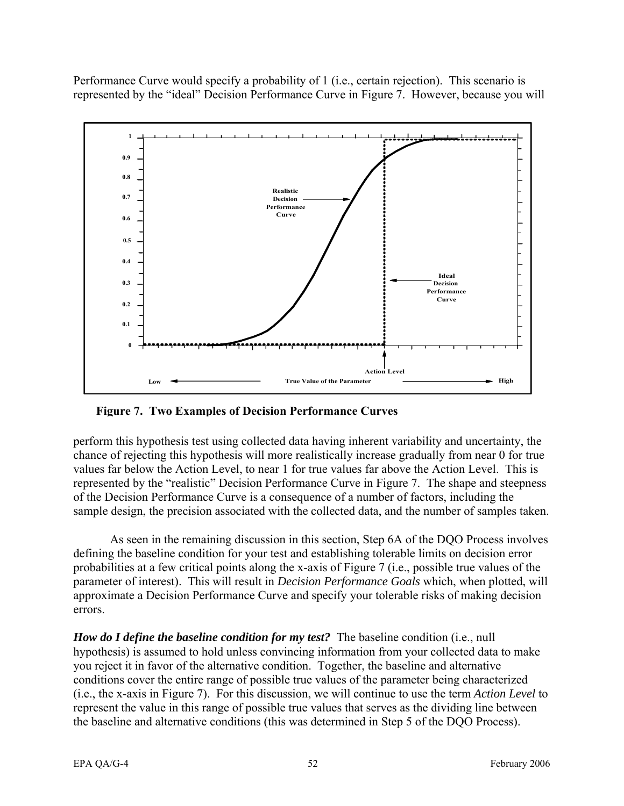Performance Curve would specify a probability of 1 (i.e., certain rejection). This scenario is represented by the "ideal" Decision Performance Curve in Figure 7. However, because you will



**Figure 7. Two Examples of Decision Performance Curves** 

perform this hypothesis test using collected data having inherent variability and uncertainty, the chance of rejecting this hypothesis will more realistically increase gradually from near 0 for true values far below the Action Level, to near 1 for true values far above the Action Level. This is represented by the "realistic" Decision Performance Curve in Figure 7. The shape and steepness of the Decision Performance Curve is a consequence of a number of factors, including the sample design, the precision associated with the collected data, and the number of samples taken.

As seen in the remaining discussion in this section, Step 6A of the DQO Process involves defining the baseline condition for your test and establishing tolerable limits on decision error probabilities at a few critical points along the x-axis of Figure 7 (i.e., possible true values of the parameter of interest). This will result in *Decision Performance Goals* which, when plotted, will approximate a Decision Performance Curve and specify your tolerable risks of making decision errors.

*How do I define the baseline condition for my test?* The baseline condition (i.e., null hypothesis) is assumed to hold unless convincing information from your collected data to make you reject it in favor of the alternative condition. Together, the baseline and alternative conditions cover the entire range of possible true values of the parameter being characterized (i.e., the x-axis in Figure 7). For this discussion, we will continue to use the term *Action Level* to represent the value in this range of possible true values that serves as the dividing line between the baseline and alternative conditions (this was determined in Step 5 of the DQO Process).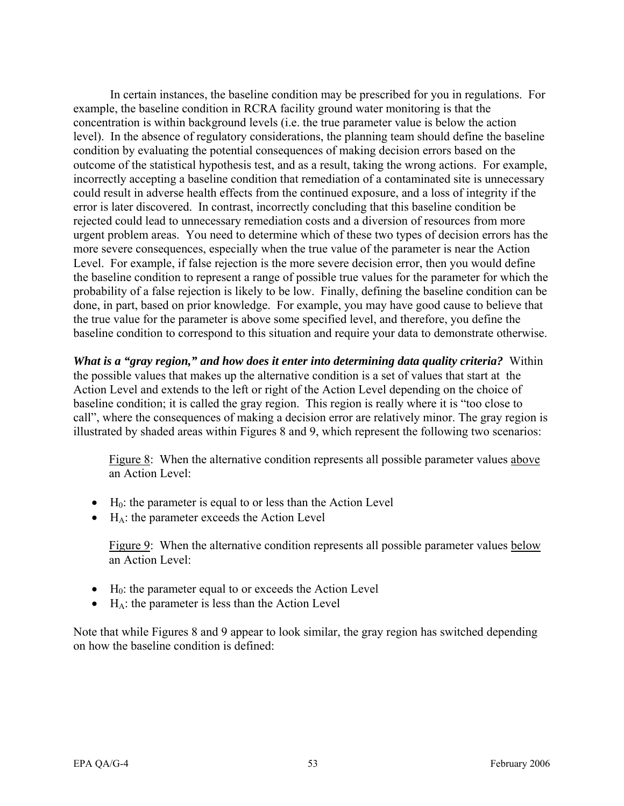In certain instances, the baseline condition may be prescribed for you in regulations. For example, the baseline condition in RCRA facility ground water monitoring is that the concentration is within background levels (i.e. the true parameter value is below the action level). In the absence of regulatory considerations, the planning team should define the baseline condition by evaluating the potential consequences of making decision errors based on the outcome of the statistical hypothesis test, and as a result, taking the wrong actions. For example, incorrectly accepting a baseline condition that remediation of a contaminated site is unnecessary could result in adverse health effects from the continued exposure, and a loss of integrity if the error is later discovered. In contrast, incorrectly concluding that this baseline condition be rejected could lead to unnecessary remediation costs and a diversion of resources from more urgent problem areas. You need to determine which of these two types of decision errors has the more severe consequences, especially when the true value of the parameter is near the Action Level. For example, if false rejection is the more severe decision error, then you would define the baseline condition to represent a range of possible true values for the parameter for which the probability of a false rejection is likely to be low. Finally, defining the baseline condition can be done, in part, based on prior knowledge. For example, you may have good cause to believe that the true value for the parameter is above some specified level, and therefore, you define the baseline condition to correspond to this situation and require your data to demonstrate otherwise.

*What is a "gray region," and how does it enter into determining data quality criteria?* Within the possible values that makes up the alternative condition is a set of values that start at the Action Level and extends to the left or right of the Action Level depending on the choice of baseline condition; it is called the gray region. This region is really where it is "too close to call", where the consequences of making a decision error are relatively minor. The gray region is illustrated by shaded areas within Figures 8 and 9, which represent the following two scenarios:

Figure 8: When the alternative condition represents all possible parameter values above an Action Level:

- $\bullet$  H<sub>0</sub>: the parameter is equal to or less than the Action Level
- $\bullet$  H<sub>A</sub>: the parameter exceeds the Action Level

Figure 9: When the alternative condition represents all possible parameter values below an Action Level:

- $\bullet$  H<sub>0</sub>: the parameter equal to or exceeds the Action Level
- $\bullet$  H<sub>A</sub>: the parameter is less than the Action Level

Note that while Figures 8 and 9 appear to look similar, the gray region has switched depending on how the baseline condition is defined: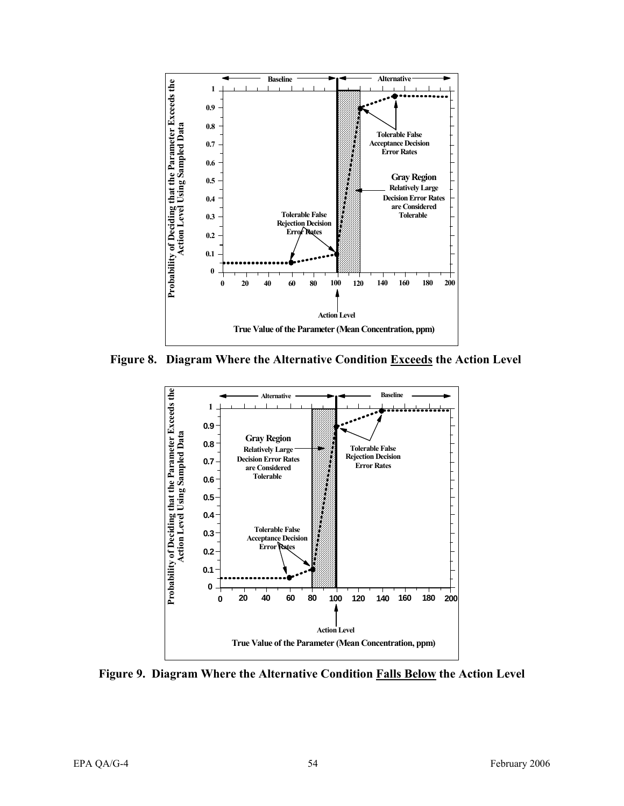

**Figure 8. Diagram Where the Alternative Condition Exceeds the Action Level** 



**Figure 9. Diagram Where the Alternative Condition Falls Below the Action Level**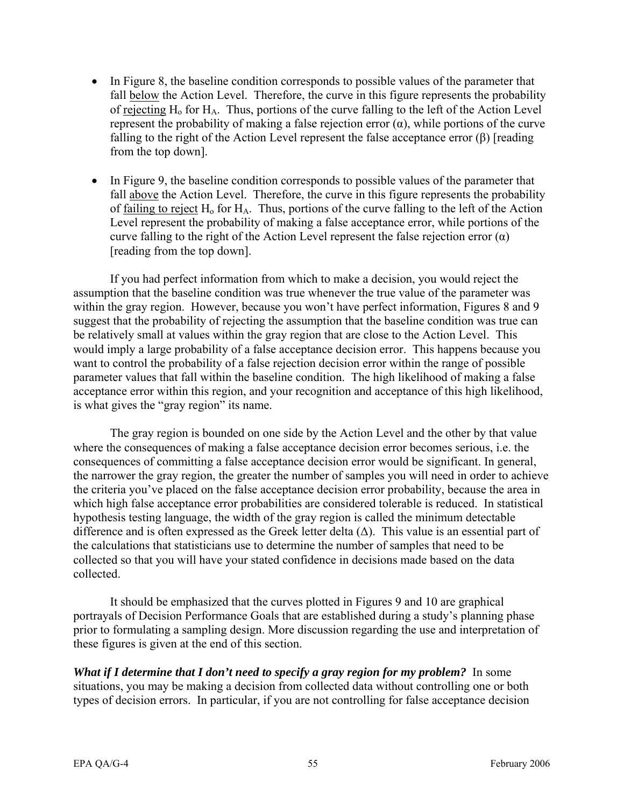- In Figure 8, the baseline condition corresponds to possible values of the parameter that fall below the Action Level. Therefore, the curve in this figure represents the probability of rejecting  $H_0$  for  $H_A$ . Thus, portions of the curve falling to the left of the Action Level represent the probability of making a false rejection error  $(\alpha)$ , while portions of the curve falling to the right of the Action Level represent the false acceptance error  $(\beta)$  [reading from the top down].
- In Figure 9, the baseline condition corresponds to possible values of the parameter that fall above the Action Level. Therefore, the curve in this figure represents the probability of failing to reject  $H_0$  for  $H_A$ . Thus, portions of the curve falling to the left of the Action Level represent the probability of making a false acceptance error, while portions of the curve falling to the right of the Action Level represent the false rejection error  $(\alpha)$ [reading from the top down].

If you had perfect information from which to make a decision, you would reject the assumption that the baseline condition was true whenever the true value of the parameter was within the gray region. However, because you won't have perfect information, Figures 8 and 9 suggest that the probability of rejecting the assumption that the baseline condition was true can be relatively small at values within the gray region that are close to the Action Level. This would imply a large probability of a false acceptance decision error. This happens because you want to control the probability of a false rejection decision error within the range of possible parameter values that fall within the baseline condition. The high likelihood of making a false acceptance error within this region, and your recognition and acceptance of this high likelihood, is what gives the "gray region" its name.

The gray region is bounded on one side by the Action Level and the other by that value where the consequences of making a false acceptance decision error becomes serious, i.e. the consequences of committing a false acceptance decision error would be significant. In general, the narrower the gray region, the greater the number of samples you will need in order to achieve the criteria you've placed on the false acceptance decision error probability, because the area in which high false acceptance error probabilities are considered tolerable is reduced. In statistical hypothesis testing language, the width of the gray region is called the minimum detectable difference and is often expressed as the Greek letter delta  $(\Delta)$ . This value is an essential part of the calculations that statisticians use to determine the number of samples that need to be collected so that you will have your stated confidence in decisions made based on the data collected.

It should be emphasized that the curves plotted in Figures 9 and 10 are graphical portrayals of Decision Performance Goals that are established during a study's planning phase prior to formulating a sampling design. More discussion regarding the use and interpretation of these figures is given at the end of this section.

*What if I determine that I don't need to specify a gray region for my problem?* In some situations, you may be making a decision from collected data without controlling one or both types of decision errors. In particular, if you are not controlling for false acceptance decision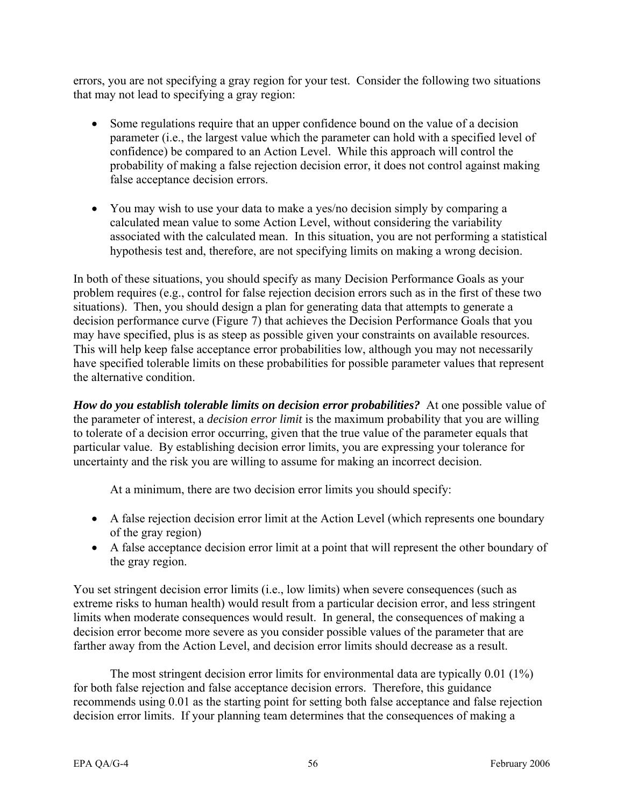errors, you are not specifying a gray region for your test. Consider the following two situations that may not lead to specifying a gray region:

- Some regulations require that an upper confidence bound on the value of a decision parameter (i.e., the largest value which the parameter can hold with a specified level of confidence) be compared to an Action Level. While this approach will control the probability of making a false rejection decision error, it does not control against making false acceptance decision errors.
- You may wish to use your data to make a yes/no decision simply by comparing a calculated mean value to some Action Level, without considering the variability associated with the calculated mean. In this situation, you are not performing a statistical hypothesis test and, therefore, are not specifying limits on making a wrong decision.

In both of these situations, you should specify as many Decision Performance Goals as your problem requires (e.g., control for false rejection decision errors such as in the first of these two situations). Then, you should design a plan for generating data that attempts to generate a decision performance curve (Figure 7) that achieves the Decision Performance Goals that you may have specified, plus is as steep as possible given your constraints on available resources. This will help keep false acceptance error probabilities low, although you may not necessarily have specified tolerable limits on these probabilities for possible parameter values that represent the alternative condition.

*How do you establish tolerable limits on decision error probabilities?* At one possible value of the parameter of interest, a *decision error limit* is the maximum probability that you are willing to tolerate of a decision error occurring, given that the true value of the parameter equals that particular value. By establishing decision error limits, you are expressing your tolerance for uncertainty and the risk you are willing to assume for making an incorrect decision.

At a minimum, there are two decision error limits you should specify:

- A false rejection decision error limit at the Action Level (which represents one boundary of the gray region)
- A false acceptance decision error limit at a point that will represent the other boundary of the gray region.

You set stringent decision error limits (i.e., low limits) when severe consequences (such as extreme risks to human health) would result from a particular decision error, and less stringent limits when moderate consequences would result. In general, the consequences of making a decision error become more severe as you consider possible values of the parameter that are farther away from the Action Level, and decision error limits should decrease as a result.

The most stringent decision error limits for environmental data are typically 0.01 (1%) for both false rejection and false acceptance decision errors. Therefore, this guidance recommends using 0.01 as the starting point for setting both false acceptance and false rejection decision error limits. If your planning team determines that the consequences of making a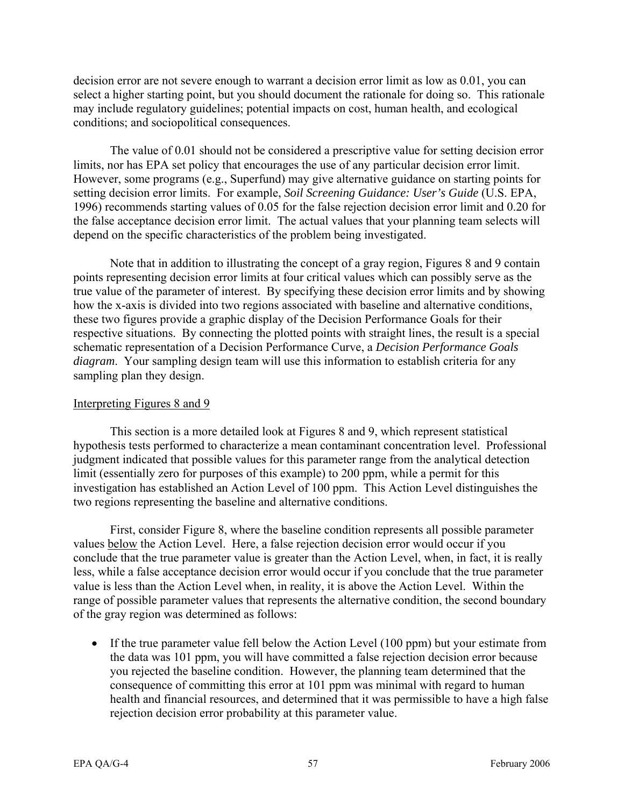decision error are not severe enough to warrant a decision error limit as low as 0.01, you can select a higher starting point, but you should document the rationale for doing so. This rationale may include regulatory guidelines; potential impacts on cost, human health, and ecological conditions; and sociopolitical consequences.

The value of 0.01 should not be considered a prescriptive value for setting decision error limits, nor has EPA set policy that encourages the use of any particular decision error limit. However, some programs (e.g., Superfund) may give alternative guidance on starting points for setting decision error limits. For example, *Soil Screening Guidance: User's Guide* (U.S. EPA, 1996) recommends starting values of 0.05 for the false rejection decision error limit and 0.20 for the false acceptance decision error limit. The actual values that your planning team selects will depend on the specific characteristics of the problem being investigated.

Note that in addition to illustrating the concept of a gray region, Figures 8 and 9 contain points representing decision error limits at four critical values which can possibly serve as the true value of the parameter of interest. By specifying these decision error limits and by showing how the x-axis is divided into two regions associated with baseline and alternative conditions, these two figures provide a graphic display of the Decision Performance Goals for their respective situations. By connecting the plotted points with straight lines, the result is a special schematic representation of a Decision Performance Curve, a *Decision Performance Goals diagram*. Your sampling design team will use this information to establish criteria for any sampling plan they design.

## Interpreting Figures 8 and 9

This section is a more detailed look at Figures 8 and 9, which represent statistical hypothesis tests performed to characterize a mean contaminant concentration level. Professional judgment indicated that possible values for this parameter range from the analytical detection limit (essentially zero for purposes of this example) to 200 ppm, while a permit for this investigation has established an Action Level of 100 ppm. This Action Level distinguishes the two regions representing the baseline and alternative conditions.

First, consider Figure 8, where the baseline condition represents all possible parameter values below the Action Level. Here, a false rejection decision error would occur if you conclude that the true parameter value is greater than the Action Level, when, in fact, it is really less, while a false acceptance decision error would occur if you conclude that the true parameter value is less than the Action Level when, in reality, it is above the Action Level. Within the range of possible parameter values that represents the alternative condition, the second boundary of the gray region was determined as follows:

• If the true parameter value fell below the Action Level (100 ppm) but your estimate from the data was 101 ppm, you will have committed a false rejection decision error because you rejected the baseline condition. However, the planning team determined that the consequence of committing this error at 101 ppm was minimal with regard to human health and financial resources, and determined that it was permissible to have a high false rejection decision error probability at this parameter value.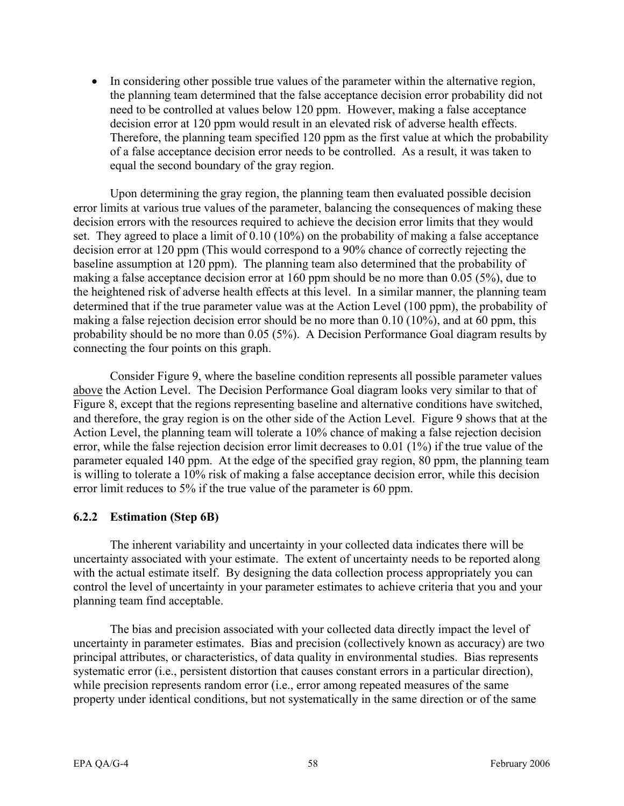• In considering other possible true values of the parameter within the alternative region, the planning team determined that the false acceptance decision error probability did not need to be controlled at values below 120 ppm. However, making a false acceptance decision error at 120 ppm would result in an elevated risk of adverse health effects. Therefore, the planning team specified 120 ppm as the first value at which the probability of a false acceptance decision error needs to be controlled. As a result, it was taken to equal the second boundary of the gray region.

Upon determining the gray region, the planning team then evaluated possible decision error limits at various true values of the parameter, balancing the consequences of making these decision errors with the resources required to achieve the decision error limits that they would set. They agreed to place a limit of 0.10 (10%) on the probability of making a false acceptance decision error at 120 ppm (This would correspond to a 90% chance of correctly rejecting the baseline assumption at 120 ppm). The planning team also determined that the probability of making a false acceptance decision error at 160 ppm should be no more than 0.05 (5%), due to the heightened risk of adverse health effects at this level. In a similar manner, the planning team determined that if the true parameter value was at the Action Level (100 ppm), the probability of making a false rejection decision error should be no more than 0.10 (10%), and at 60 ppm, this probability should be no more than 0.05 (5%). A Decision Performance Goal diagram results by connecting the four points on this graph.

Consider Figure 9, where the baseline condition represents all possible parameter values above the Action Level. The Decision Performance Goal diagram looks very similar to that of Figure 8, except that the regions representing baseline and alternative conditions have switched, and therefore, the gray region is on the other side of the Action Level. Figure 9 shows that at the Action Level, the planning team will tolerate a 10% chance of making a false rejection decision error, while the false rejection decision error limit decreases to 0.01 (1%) if the true value of the parameter equaled 140 ppm. At the edge of the specified gray region, 80 ppm, the planning team is willing to tolerate a 10% risk of making a false acceptance decision error, while this decision error limit reduces to 5% if the true value of the parameter is 60 ppm.

# **6.2.2 Estimation (Step 6B)**

The inherent variability and uncertainty in your collected data indicates there will be uncertainty associated with your estimate. The extent of uncertainty needs to be reported along with the actual estimate itself. By designing the data collection process appropriately you can control the level of uncertainty in your parameter estimates to achieve criteria that you and your planning team find acceptable.

The bias and precision associated with your collected data directly impact the level of uncertainty in parameter estimates. Bias and precision (collectively known as accuracy) are two principal attributes, or characteristics, of data quality in environmental studies. Bias represents systematic error (i.e., persistent distortion that causes constant errors in a particular direction), while precision represents random error (i.e., error among repeated measures of the same property under identical conditions, but not systematically in the same direction or of the same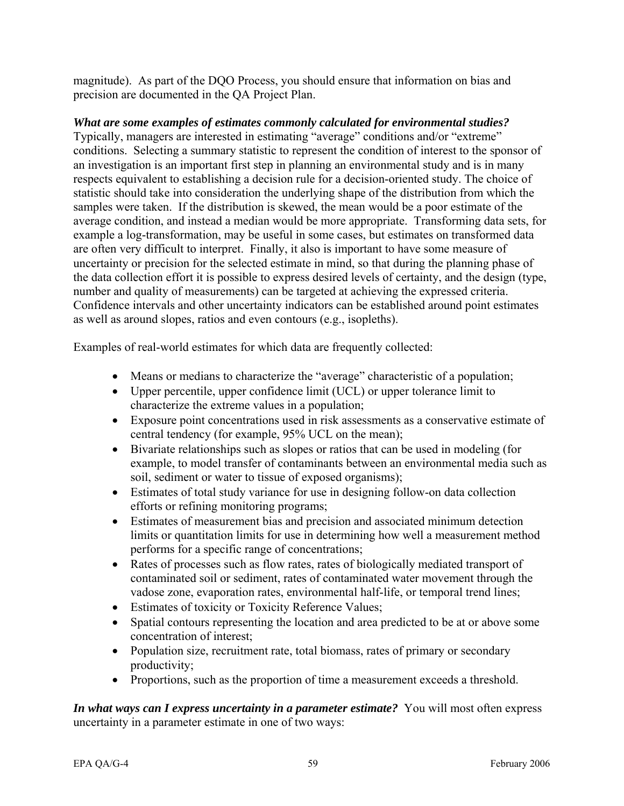magnitude). As part of the DQO Process, you should ensure that information on bias and precision are documented in the QA Project Plan.

*What are some examples of estimates commonly calculated for environmental studies?*  Typically, managers are interested in estimating "average" conditions and/or "extreme" conditions. Selecting a summary statistic to represent the condition of interest to the sponsor of an investigation is an important first step in planning an environmental study and is in many respects equivalent to establishing a decision rule for a decision-oriented study. The choice of statistic should take into consideration the underlying shape of the distribution from which the samples were taken. If the distribution is skewed, the mean would be a poor estimate of the average condition, and instead a median would be more appropriate. Transforming data sets, for example a log-transformation, may be useful in some cases, but estimates on transformed data are often very difficult to interpret. Finally, it also is important to have some measure of uncertainty or precision for the selected estimate in mind, so that during the planning phase of the data collection effort it is possible to express desired levels of certainty, and the design (type, number and quality of measurements) can be targeted at achieving the expressed criteria. Confidence intervals and other uncertainty indicators can be established around point estimates as well as around slopes, ratios and even contours (e.g., isopleths).

Examples of real-world estimates for which data are frequently collected:

- Means or medians to characterize the "average" characteristic of a population;
- Upper percentile, upper confidence limit (UCL) or upper tolerance limit to characterize the extreme values in a population;
- Exposure point concentrations used in risk assessments as a conservative estimate of central tendency (for example, 95% UCL on the mean);
- Bivariate relationships such as slopes or ratios that can be used in modeling (for example, to model transfer of contaminants between an environmental media such as soil, sediment or water to tissue of exposed organisms);
- Estimates of total study variance for use in designing follow-on data collection efforts or refining monitoring programs;
- Estimates of measurement bias and precision and associated minimum detection limits or quantitation limits for use in determining how well a measurement method performs for a specific range of concentrations;
- Rates of processes such as flow rates, rates of biologically mediated transport of contaminated soil or sediment, rates of contaminated water movement through the vadose zone, evaporation rates, environmental half-life, or temporal trend lines;
- Estimates of toxicity or Toxicity Reference Values;
- Spatial contours representing the location and area predicted to be at or above some concentration of interest;
- Population size, recruitment rate, total biomass, rates of primary or secondary productivity;
- Proportions, such as the proportion of time a measurement exceeds a threshold.

*In what ways can I express uncertainty in a parameter estimate?* You will most often express uncertainty in a parameter estimate in one of two ways: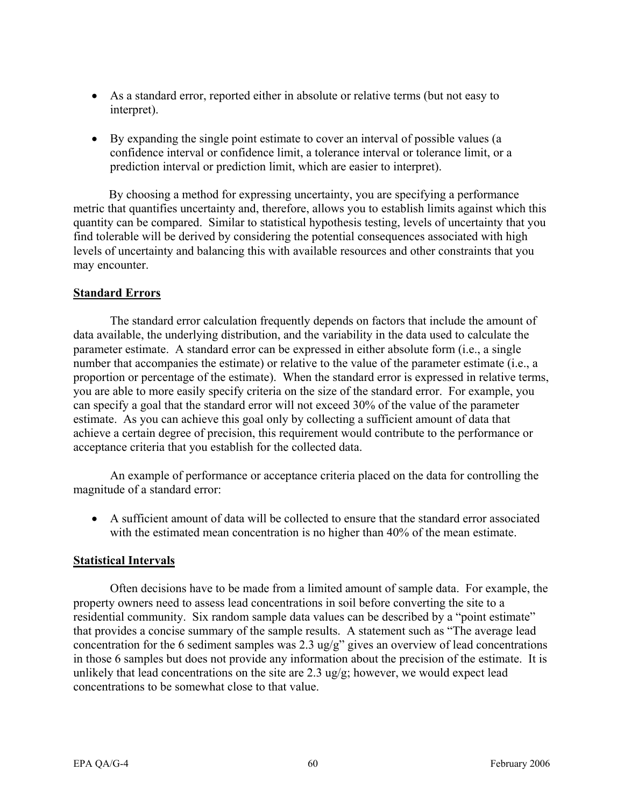- As a standard error, reported either in absolute or relative terms (but not easy to interpret).
- By expanding the single point estimate to cover an interval of possible values (a confidence interval or confidence limit, a tolerance interval or tolerance limit, or a prediction interval or prediction limit, which are easier to interpret).

By choosing a method for expressing uncertainty, you are specifying a performance metric that quantifies uncertainty and, therefore, allows you to establish limits against which this quantity can be compared. Similar to statistical hypothesis testing, levels of uncertainty that you find tolerable will be derived by considering the potential consequences associated with high levels of uncertainty and balancing this with available resources and other constraints that you may encounter.

## **Standard Errors**

The standard error calculation frequently depends on factors that include the amount of data available, the underlying distribution, and the variability in the data used to calculate the parameter estimate. A standard error can be expressed in either absolute form (i.e., a single number that accompanies the estimate) or relative to the value of the parameter estimate (i.e., a proportion or percentage of the estimate). When the standard error is expressed in relative terms, you are able to more easily specify criteria on the size of the standard error. For example, you can specify a goal that the standard error will not exceed 30% of the value of the parameter estimate. As you can achieve this goal only by collecting a sufficient amount of data that achieve a certain degree of precision, this requirement would contribute to the performance or acceptance criteria that you establish for the collected data.

An example of performance or acceptance criteria placed on the data for controlling the magnitude of a standard error:

• A sufficient amount of data will be collected to ensure that the standard error associated with the estimated mean concentration is no higher than 40% of the mean estimate.

## **Statistical Intervals**

Often decisions have to be made from a limited amount of sample data. For example, the property owners need to assess lead concentrations in soil before converting the site to a residential community. Six random sample data values can be described by a "point estimate" that provides a concise summary of the sample results. A statement such as "The average lead concentration for the 6 sediment samples was 2.3 ug/g" gives an overview of lead concentrations in those 6 samples but does not provide any information about the precision of the estimate. It is unlikely that lead concentrations on the site are 2.3 ug/g; however, we would expect lead concentrations to be somewhat close to that value.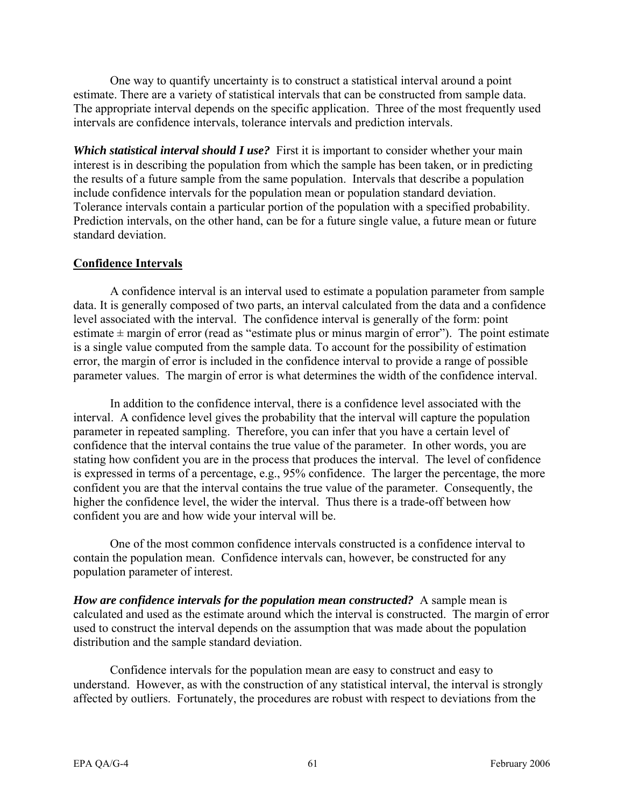One way to quantify uncertainty is to construct a statistical interval around a point estimate. There are a variety of statistical intervals that can be constructed from sample data. The appropriate interval depends on the specific application. Three of the most frequently used intervals are confidence intervals, tolerance intervals and prediction intervals.

*Which statistical interval should I use?* First it is important to consider whether your main interest is in describing the population from which the sample has been taken, or in predicting the results of a future sample from the same population. Intervals that describe a population include confidence intervals for the population mean or population standard deviation. Tolerance intervals contain a particular portion of the population with a specified probability. Prediction intervals, on the other hand, can be for a future single value, a future mean or future standard deviation.

# **Confidence Intervals**

A confidence interval is an interval used to estimate a population parameter from sample data. It is generally composed of two parts, an interval calculated from the data and a confidence level associated with the interval. The confidence interval is generally of the form: point estimate  $\pm$  margin of error (read as "estimate plus or minus margin of error"). The point estimate is a single value computed from the sample data. To account for the possibility of estimation error, the margin of error is included in the confidence interval to provide a range of possible parameter values. The margin of error is what determines the width of the confidence interval.

In addition to the confidence interval, there is a confidence level associated with the interval. A confidence level gives the probability that the interval will capture the population parameter in repeated sampling. Therefore, you can infer that you have a certain level of confidence that the interval contains the true value of the parameter. In other words, you are stating how confident you are in the process that produces the interval. The level of confidence is expressed in terms of a percentage, e.g., 95% confidence. The larger the percentage, the more confident you are that the interval contains the true value of the parameter. Consequently, the higher the confidence level, the wider the interval. Thus there is a trade-off between how confident you are and how wide your interval will be.

One of the most common confidence intervals constructed is a confidence interval to contain the population mean. Confidence intervals can, however, be constructed for any population parameter of interest.

*How are confidence intervals for the population mean constructed?* A sample mean is calculated and used as the estimate around which the interval is constructed. The margin of error used to construct the interval depends on the assumption that was made about the population distribution and the sample standard deviation.

Confidence intervals for the population mean are easy to construct and easy to understand. However, as with the construction of any statistical interval, the interval is strongly affected by outliers. Fortunately, the procedures are robust with respect to deviations from the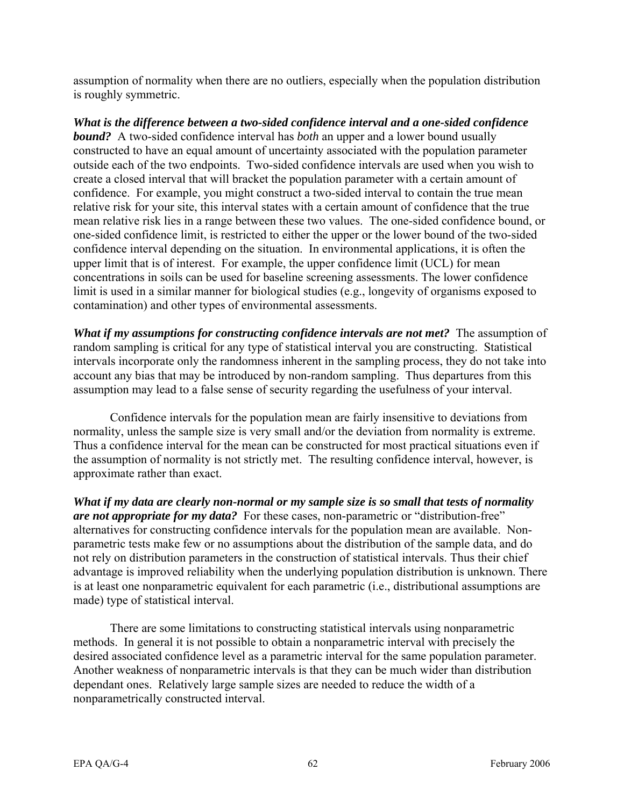assumption of normality when there are no outliers, especially when the population distribution is roughly symmetric.

*What is the difference between a two-sided confidence interval and a one-sided confidence bound?* A two-sided confidence interval has *both* an upper and a lower bound usually constructed to have an equal amount of uncertainty associated with the population parameter outside each of the two endpoints. Two-sided confidence intervals are used when you wish to create a closed interval that will bracket the population parameter with a certain amount of confidence. For example, you might construct a two-sided interval to contain the true mean relative risk for your site, this interval states with a certain amount of confidence that the true mean relative risk lies in a range between these two values. The one-sided confidence bound, or one-sided confidence limit, is restricted to either the upper or the lower bound of the two-sided confidence interval depending on the situation. In environmental applications, it is often the upper limit that is of interest. For example, the upper confidence limit (UCL) for mean concentrations in soils can be used for baseline screening assessments. The lower confidence limit is used in a similar manner for biological studies (e.g., longevity of organisms exposed to contamination) and other types of environmental assessments.

*What if my assumptions for constructing confidence intervals are not met?* The assumption of random sampling is critical for any type of statistical interval you are constructing. Statistical intervals incorporate only the randomness inherent in the sampling process, they do not take into account any bias that may be introduced by non-random sampling. Thus departures from this assumption may lead to a false sense of security regarding the usefulness of your interval.

Confidence intervals for the population mean are fairly insensitive to deviations from normality, unless the sample size is very small and/or the deviation from normality is extreme. Thus a confidence interval for the mean can be constructed for most practical situations even if the assumption of normality is not strictly met. The resulting confidence interval, however, is approximate rather than exact.

*What if my data are clearly non-normal or my sample size is so small that tests of normality are not appropriate for my data?* For these cases, non-parametric or "distribution-free" alternatives for constructing confidence intervals for the population mean are available. Nonparametric tests make few or no assumptions about the distribution of the sample data, and do not rely on distribution parameters in the construction of statistical intervals. Thus their chief advantage is improved reliability when the underlying population distribution is unknown. There is at least one nonparametric equivalent for each parametric (i.e., distributional assumptions are made) type of statistical interval.

There are some limitations to constructing statistical intervals using nonparametric methods. In general it is not possible to obtain a nonparametric interval with precisely the desired associated confidence level as a parametric interval for the same population parameter. Another weakness of nonparametric intervals is that they can be much wider than distribution dependant ones. Relatively large sample sizes are needed to reduce the width of a nonparametrically constructed interval.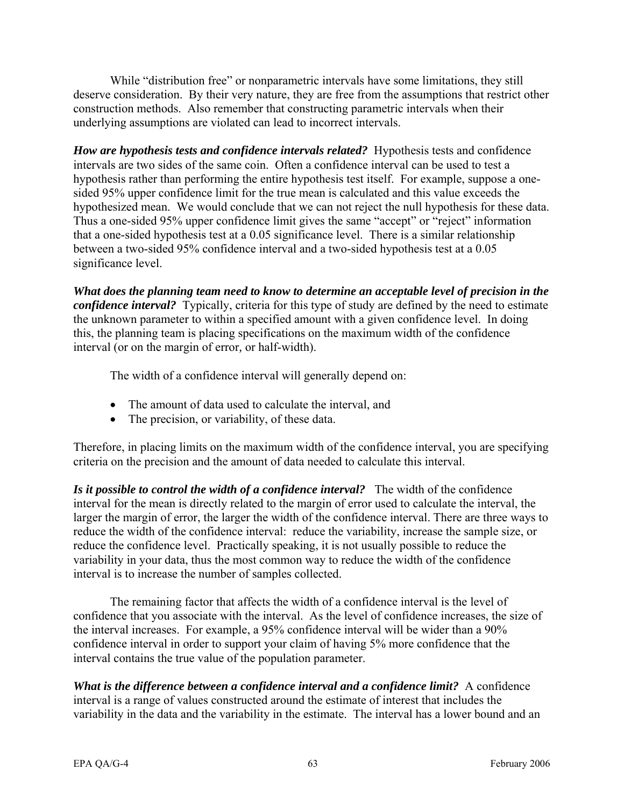While "distribution free" or nonparametric intervals have some limitations, they still deserve consideration. By their very nature, they are free from the assumptions that restrict other construction methods. Also remember that constructing parametric intervals when their underlying assumptions are violated can lead to incorrect intervals.

*How are hypothesis tests and confidence intervals related?* Hypothesis tests and confidence intervals are two sides of the same coin. Often a confidence interval can be used to test a hypothesis rather than performing the entire hypothesis test itself. For example, suppose a onesided 95% upper confidence limit for the true mean is calculated and this value exceeds the hypothesized mean. We would conclude that we can not reject the null hypothesis for these data. Thus a one-sided 95% upper confidence limit gives the same "accept" or "reject" information that a one-sided hypothesis test at a 0.05 significance level. There is a similar relationship between a two-sided 95% confidence interval and a two-sided hypothesis test at a 0.05 significance level.

*What does the planning team need to know to determine an acceptable level of precision in the confidence interval?* Typically, criteria for this type of study are defined by the need to estimate the unknown parameter to within a specified amount with a given confidence level. In doing this, the planning team is placing specifications on the maximum width of the confidence interval (or on the margin of error*,* or half-width).

The width of a confidence interval will generally depend on:

- The amount of data used to calculate the interval, and
- The precision, or variability, of these data.

Therefore, in placing limits on the maximum width of the confidence interval, you are specifying criteria on the precision and the amount of data needed to calculate this interval.

*Is it possible to control the width of a confidence interval?* The width of the confidence interval for the mean is directly related to the margin of error used to calculate the interval, the larger the margin of error, the larger the width of the confidence interval. There are three ways to reduce the width of the confidence interval: reduce the variability, increase the sample size, or reduce the confidence level. Practically speaking, it is not usually possible to reduce the variability in your data, thus the most common way to reduce the width of the confidence interval is to increase the number of samples collected.

The remaining factor that affects the width of a confidence interval is the level of confidence that you associate with the interval. As the level of confidence increases, the size of the interval increases. For example, a 95% confidence interval will be wider than a 90% confidence interval in order to support your claim of having 5% more confidence that the interval contains the true value of the population parameter.

*What is the difference between a confidence interval and a confidence limit?* A confidence interval is a range of values constructed around the estimate of interest that includes the variability in the data and the variability in the estimate. The interval has a lower bound and an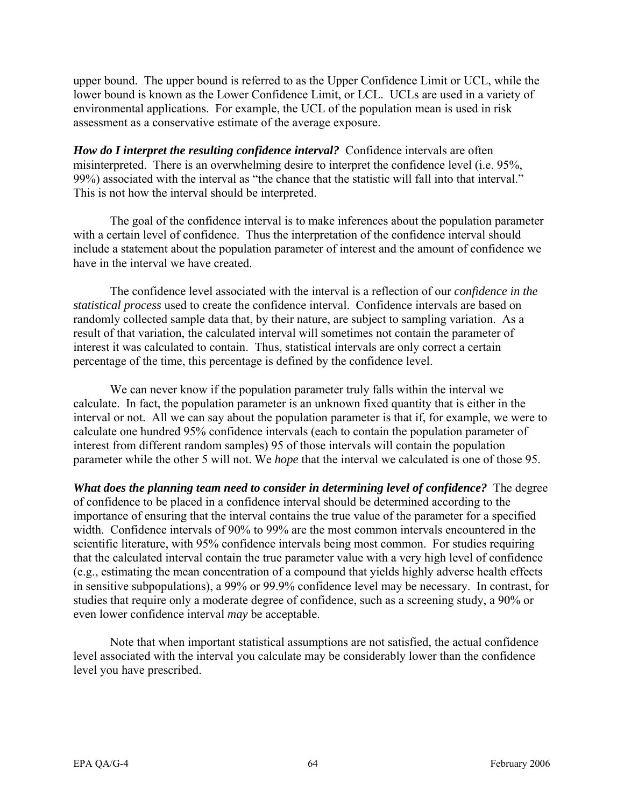upper bound. The upper bound is referred to as the Upper Confidence Limit or UCL, while the lower bound is known as the Lower Confidence Limit, or LCL. UCLs are used in a variety of environmental applications. For example, the UCL of the population mean is used in risk assessment as a conservative estimate of the average exposure.

*How do I interpret the resulting confidence interval?* Confidence intervals are often misinterpreted. There is an overwhelming desire to interpret the confidence level (i.e. 95%, 99%) associated with the interval as "the chance that the statistic will fall into that interval." This is not how the interval should be interpreted.

The goal of the confidence interval is to make inferences about the population parameter with a certain level of confidence. Thus the interpretation of the confidence interval should include a statement about the population parameter of interest and the amount of confidence we have in the interval we have created.

The confidence level associated with the interval is a reflection of our *confidence in the statistical process* used to create the confidence interval. Confidence intervals are based on randomly collected sample data that, by their nature, are subject to sampling variation. As a result of that variation, the calculated interval will sometimes not contain the parameter of interest it was calculated to contain. Thus, statistical intervals are only correct a certain percentage of the time, this percentage is defined by the confidence level.

We can never know if the population parameter truly falls within the interval we calculate. In fact, the population parameter is an unknown fixed quantity that is either in the interval or not. All we can say about the population parameter is that if, for example, we were to calculate one hundred 95% confidence intervals (each to contain the population parameter of interest from different random samples) 95 of those intervals will contain the population parameter while the other 5 will not. We *hope* that the interval we calculated is one of those 95.

*What does the planning team need to consider in determining level of confidence?* The degree of confidence to be placed in a confidence interval should be determined according to the importance of ensuring that the interval contains the true value of the parameter for a specified width. Confidence intervals of 90% to 99% are the most common intervals encountered in the scientific literature, with 95% confidence intervals being most common. For studies requiring that the calculated interval contain the true parameter value with a very high level of confidence (e.g., estimating the mean concentration of a compound that yields highly adverse health effects in sensitive subpopulations), a 99% or 99.9% confidence level may be necessary. In contrast, for studies that require only a moderate degree of confidence, such as a screening study, a 90% or even lower confidence interval *may* be acceptable.

Note that when important statistical assumptions are not satisfied, the actual confidence level associated with the interval you calculate may be considerably lower than the confidence level you have prescribed.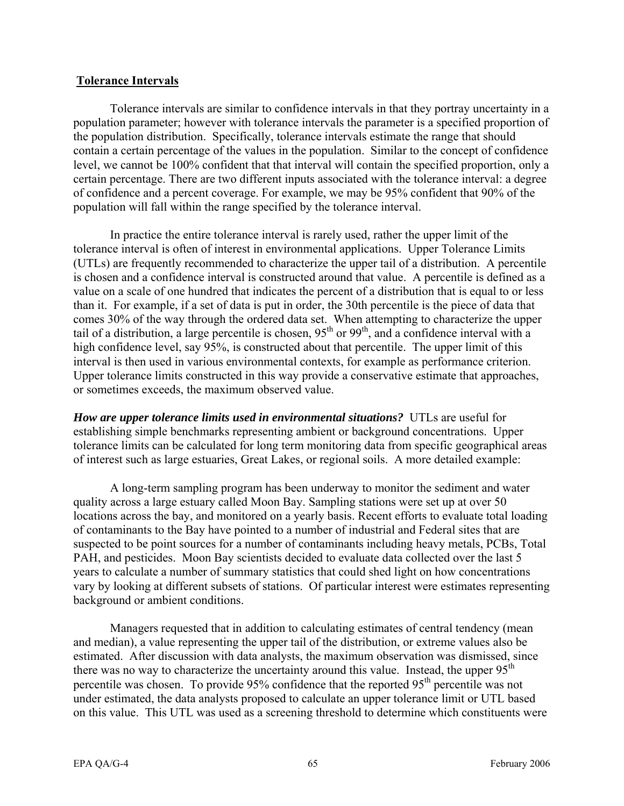### **Tolerance Intervals**

Tolerance intervals are similar to confidence intervals in that they portray uncertainty in a population parameter; however with tolerance intervals the parameter is a specified proportion of the population distribution. Specifically, tolerance intervals estimate the range that should contain a certain percentage of the values in the population. Similar to the concept of confidence level, we cannot be 100% confident that that interval will contain the specified proportion, only a certain percentage. There are two different inputs associated with the tolerance interval: a degree of confidence and a percent coverage. For example, we may be 95% confident that 90% of the population will fall within the range specified by the tolerance interval.

In practice the entire tolerance interval is rarely used, rather the upper limit of the tolerance interval is often of interest in environmental applications. Upper Tolerance Limits (UTLs) are frequently recommended to characterize the upper tail of a distribution. A percentile is chosen and a confidence interval is constructed around that value. A percentile is defined as a value on a scale of one hundred that indicates the percent of a distribution that is equal to or less than it. For example, if a set of data is put in order, the 30th percentile is the piece of data that comes 30% of the way through the ordered data set. When attempting to characterize the upper tail of a distribution, a large percentile is chosen,  $95<sup>th</sup>$  or  $99<sup>th</sup>$ , and a confidence interval with a high confidence level, say 95%, is constructed about that percentile. The upper limit of this interval is then used in various environmental contexts, for example as performance criterion. Upper tolerance limits constructed in this way provide a conservative estimate that approaches, or sometimes exceeds, the maximum observed value.

*How are upper tolerance limits used in environmental situations?* UTLs are useful for establishing simple benchmarks representing ambient or background concentrations. Upper tolerance limits can be calculated for long term monitoring data from specific geographical areas of interest such as large estuaries, Great Lakes, or regional soils. A more detailed example:

A long-term sampling program has been underway to monitor the sediment and water quality across a large estuary called Moon Bay. Sampling stations were set up at over 50 locations across the bay, and monitored on a yearly basis. Recent efforts to evaluate total loading of contaminants to the Bay have pointed to a number of industrial and Federal sites that are suspected to be point sources for a number of contaminants including heavy metals, PCBs, Total PAH, and pesticides. Moon Bay scientists decided to evaluate data collected over the last 5 years to calculate a number of summary statistics that could shed light on how concentrations vary by looking at different subsets of stations. Of particular interest were estimates representing background or ambient conditions.

Managers requested that in addition to calculating estimates of central tendency (mean and median), a value representing the upper tail of the distribution, or extreme values also be estimated. After discussion with data analysts, the maximum observation was dismissed, since there was no way to characterize the uncertainty around this value. Instead, the upper  $95<sup>th</sup>$ percentile was chosen. To provide 95% confidence that the reported 95<sup>th</sup> percentile was not under estimated, the data analysts proposed to calculate an upper tolerance limit or UTL based on this value. This UTL was used as a screening threshold to determine which constituents were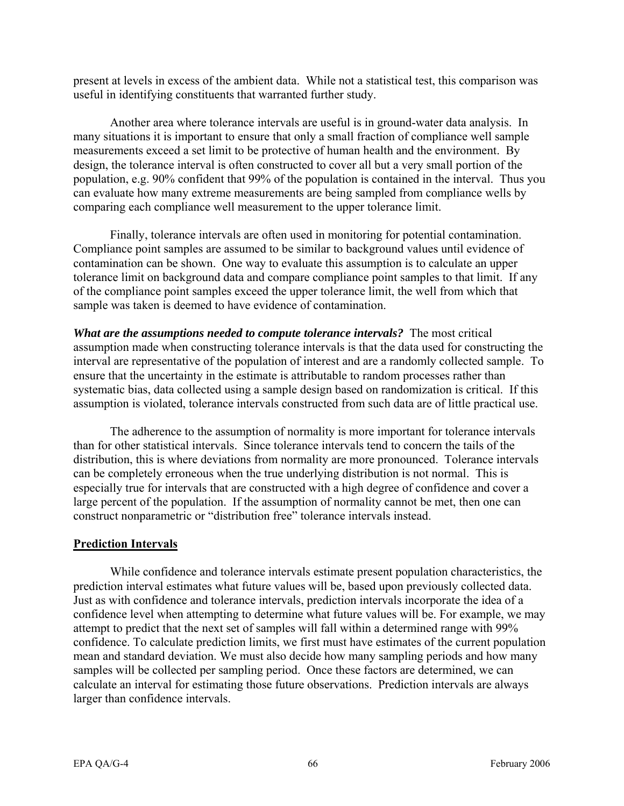present at levels in excess of the ambient data. While not a statistical test, this comparison was useful in identifying constituents that warranted further study.

Another area where tolerance intervals are useful is in ground-water data analysis. In many situations it is important to ensure that only a small fraction of compliance well sample measurements exceed a set limit to be protective of human health and the environment. By design, the tolerance interval is often constructed to cover all but a very small portion of the population, e.g. 90% confident that 99% of the population is contained in the interval. Thus you can evaluate how many extreme measurements are being sampled from compliance wells by comparing each compliance well measurement to the upper tolerance limit.

Finally, tolerance intervals are often used in monitoring for potential contamination. Compliance point samples are assumed to be similar to background values until evidence of contamination can be shown. One way to evaluate this assumption is to calculate an upper tolerance limit on background data and compare compliance point samples to that limit. If any of the compliance point samples exceed the upper tolerance limit, the well from which that sample was taken is deemed to have evidence of contamination.

*What are the assumptions needed to compute tolerance intervals?* The most critical assumption made when constructing tolerance intervals is that the data used for constructing the interval are representative of the population of interest and are a randomly collected sample. To ensure that the uncertainty in the estimate is attributable to random processes rather than systematic bias, data collected using a sample design based on randomization is critical. If this assumption is violated, tolerance intervals constructed from such data are of little practical use.

The adherence to the assumption of normality is more important for tolerance intervals than for other statistical intervals. Since tolerance intervals tend to concern the tails of the distribution, this is where deviations from normality are more pronounced. Tolerance intervals can be completely erroneous when the true underlying distribution is not normal. This is especially true for intervals that are constructed with a high degree of confidence and cover a large percent of the population. If the assumption of normality cannot be met, then one can construct nonparametric or "distribution free" tolerance intervals instead.

### **Prediction Intervals**

While confidence and tolerance intervals estimate present population characteristics, the prediction interval estimates what future values will be, based upon previously collected data. Just as with confidence and tolerance intervals, prediction intervals incorporate the idea of a confidence level when attempting to determine what future values will be. For example, we may attempt to predict that the next set of samples will fall within a determined range with 99% confidence. To calculate prediction limits, we first must have estimates of the current population mean and standard deviation. We must also decide how many sampling periods and how many samples will be collected per sampling period. Once these factors are determined, we can calculate an interval for estimating those future observations. Prediction intervals are always larger than confidence intervals.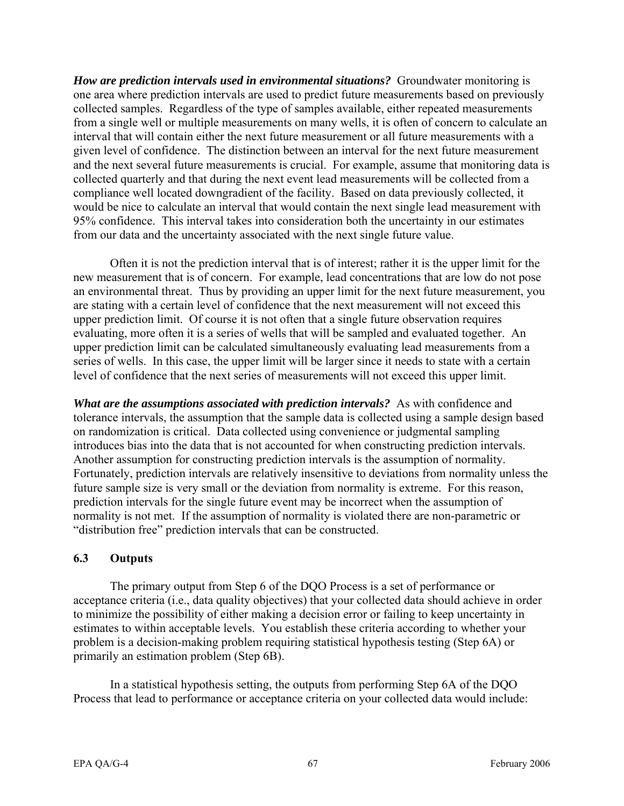*How are prediction intervals used in environmental situations?* Groundwater monitoring is one area where prediction intervals are used to predict future measurements based on previously collected samples. Regardless of the type of samples available, either repeated measurements from a single well or multiple measurements on many wells, it is often of concern to calculate an interval that will contain either the next future measurement or all future measurements with a given level of confidence. The distinction between an interval for the next future measurement and the next several future measurements is crucial. For example, assume that monitoring data is collected quarterly and that during the next event lead measurements will be collected from a compliance well located downgradient of the facility. Based on data previously collected, it would be nice to calculate an interval that would contain the next single lead measurement with 95% confidence. This interval takes into consideration both the uncertainty in our estimates from our data and the uncertainty associated with the next single future value.

Often it is not the prediction interval that is of interest; rather it is the upper limit for the new measurement that is of concern. For example, lead concentrations that are low do not pose an environmental threat. Thus by providing an upper limit for the next future measurement, you are stating with a certain level of confidence that the next measurement will not exceed this upper prediction limit. Of course it is not often that a single future observation requires evaluating, more often it is a series of wells that will be sampled and evaluated together. An upper prediction limit can be calculated simultaneously evaluating lead measurements from a series of wells. In this case, the upper limit will be larger since it needs to state with a certain level of confidence that the next series of measurements will not exceed this upper limit.

*What are the assumptions associated with prediction intervals?* As with confidence and tolerance intervals, the assumption that the sample data is collected using a sample design based on randomization is critical. Data collected using convenience or judgmental sampling introduces bias into the data that is not accounted for when constructing prediction intervals. Another assumption for constructing prediction intervals is the assumption of normality. Fortunately, prediction intervals are relatively insensitive to deviations from normality unless the future sample size is very small or the deviation from normality is extreme. For this reason, prediction intervals for the single future event may be incorrect when the assumption of normality is not met. If the assumption of normality is violated there are non-parametric or "distribution free" prediction intervals that can be constructed.

### **6.3 Outputs**

The primary output from Step 6 of the DQO Process is a set of performance or acceptance criteria (i.e., data quality objectives) that your collected data should achieve in order to minimize the possibility of either making a decision error or failing to keep uncertainty in estimates to within acceptable levels. You establish these criteria according to whether your problem is a decision-making problem requiring statistical hypothesis testing (Step 6A) or primarily an estimation problem (Step 6B).

In a statistical hypothesis setting, the outputs from performing Step 6A of the DQO Process that lead to performance or acceptance criteria on your collected data would include: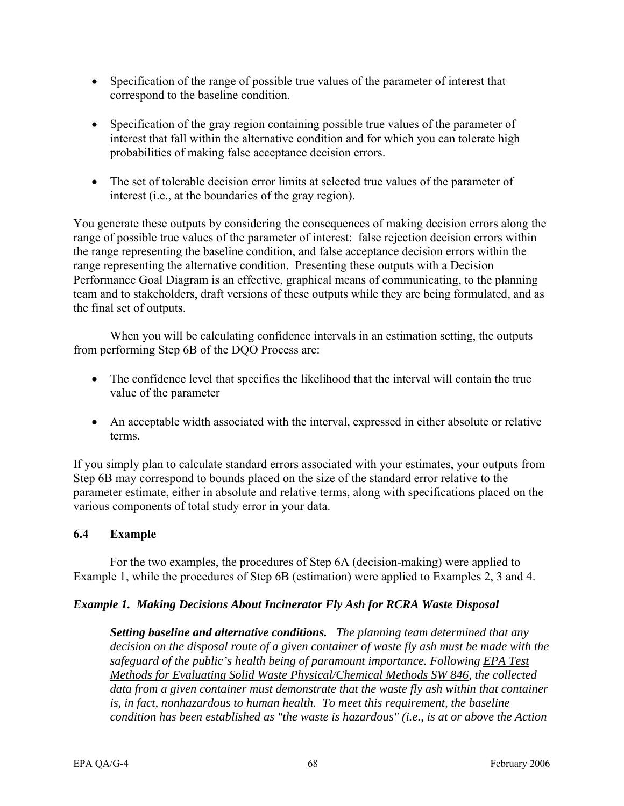- Specification of the range of possible true values of the parameter of interest that correspond to the baseline condition.
- Specification of the gray region containing possible true values of the parameter of interest that fall within the alternative condition and for which you can tolerate high probabilities of making false acceptance decision errors.
- The set of tolerable decision error limits at selected true values of the parameter of interest (i.e., at the boundaries of the gray region).

You generate these outputs by considering the consequences of making decision errors along the range of possible true values of the parameter of interest: false rejection decision errors within the range representing the baseline condition, and false acceptance decision errors within the range representing the alternative condition. Presenting these outputs with a Decision Performance Goal Diagram is an effective, graphical means of communicating, to the planning team and to stakeholders, draft versions of these outputs while they are being formulated, and as the final set of outputs.

When you will be calculating confidence intervals in an estimation setting, the outputs from performing Step 6B of the DQO Process are:

- The confidence level that specifies the likelihood that the interval will contain the true value of the parameter
- An acceptable width associated with the interval, expressed in either absolute or relative terms.

If you simply plan to calculate standard errors associated with your estimates, your outputs from Step 6B may correspond to bounds placed on the size of the standard error relative to the parameter estimate, either in absolute and relative terms, along with specifications placed on the various components of total study error in your data.

### **6.4 Example**

For the two examples, the procedures of Step 6A (decision-making) were applied to Example 1, while the procedures of Step 6B (estimation) were applied to Examples 2, 3 and 4.

### *Example 1. Making Decisions About Incinerator Fly Ash for RCRA Waste Disposal*

*Setting baseline and alternative conditions. The planning team determined that any decision on the disposal route of a given container of waste fly ash must be made with the*  safeguard of the public's health being of paramount importance. Following EPA Test *Methods for Evaluating Solid Waste Physical/Chemical Methods SW 846, the collected data from a given container must demonstrate that the waste fly ash within that container is, in fact, nonhazardous to human health. To meet this requirement, the baseline condition has been established as "the waste is hazardous" (i.e., is at or above the Action*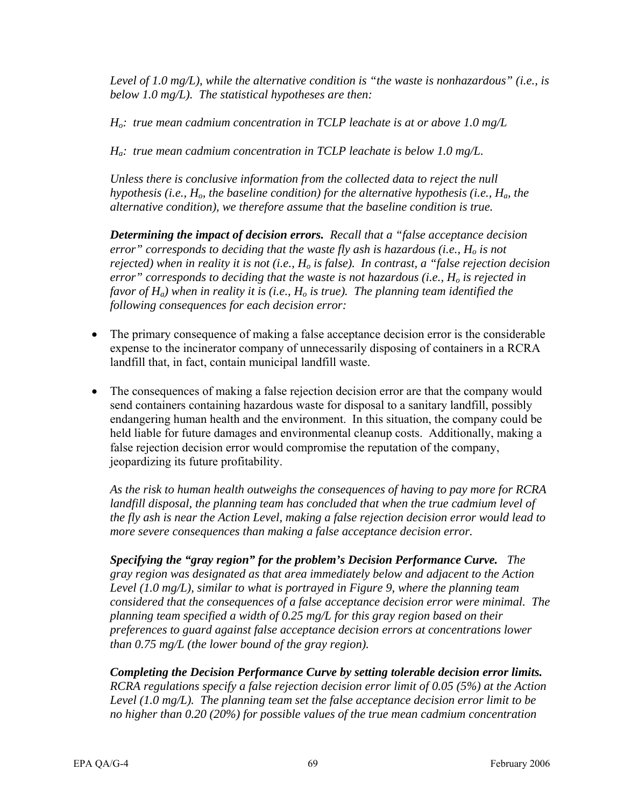*Level of 1.0 mg/L), while the alternative condition is "the waste is nonhazardous" (i.e., is below 1.0 mg/L). The statistical hypotheses are then:* 

*Ho: true mean cadmium concentration in TCLP leachate is at or above 1.0 mg/L* 

*Ha: true mean cadmium concentration in TCLP leachate is below 1.0 mg/L.* 

*Unless there is conclusive information from the collected data to reject the null hypothesis (i.e.,*  $H_0$ *, the baseline condition) for the alternative hypothesis (i.e.,*  $H_a$ *, the alternative condition), we therefore assume that the baseline condition is true.* 

*Determining the impact of decision errors. Recall that a "false acceptance decision error" corresponds to deciding that the waste fly ash is hazardous (i.e.,*  $H_0$  *is not rejected) when in reality it is not (i.e., H<sub>o</sub> is false). In contrast, a "false rejection decision error" corresponds to deciding that the waste is not hazardous (i.e., H<sub>o</sub> is rejected in favor of*  $H_a$ *) when in reality it is (i.e.,*  $H_a$  *is true). The planning team identified the following consequences for each decision error:* 

- The primary consequence of making a false acceptance decision error is the considerable expense to the incinerator company of unnecessarily disposing of containers in a RCRA landfill that, in fact, contain municipal landfill waste.
- The consequences of making a false rejection decision error are that the company would send containers containing hazardous waste for disposal to a sanitary landfill, possibly endangering human health and the environment. In this situation, the company could be held liable for future damages and environmental cleanup costs. Additionally, making a false rejection decision error would compromise the reputation of the company, jeopardizing its future profitability.

*As the risk to human health outweighs the consequences of having to pay more for RCRA*  landfill disposal, the planning team has concluded that when the true cadmium level of *the fly ash is near the Action Level, making a false rejection decision error would lead to more severe consequences than making a false acceptance decision error.* 

*Specifying the "gray region" for the problem's Decision Performance Curve. The gray region was designated as that area immediately below and adjacent to the Action Level (1.0 mg/L), similar to what is portrayed in Figure 9, where the planning team considered that the consequences of a false acceptance decision error were minimal. The planning team specified a width of 0.25 mg/L for this gray region based on their preferences to guard against false acceptance decision errors at concentrations lower than 0.75 mg/L (the lower bound of the gray region).* 

*Completing the Decision Performance Curve by setting tolerable decision error limits. RCRA regulations specify a false rejection decision error limit of 0.05 (5%) at the Action Level (1.0 mg/L). The planning team set the false acceptance decision error limit to be no higher than 0.20 (20%) for possible values of the true mean cadmium concentration*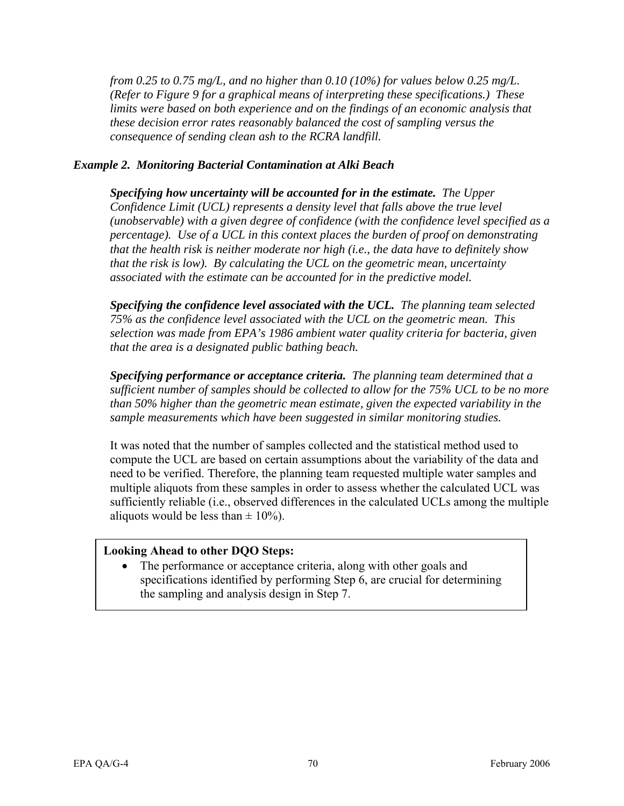*from 0.25 to 0.75 mg/L, and no higher than 0.10 (10%) for values below 0.25 mg/L. (Refer to Figure 9 for a graphical means of interpreting these specifications.) These limits were based on both experience and on the findings of an economic analysis that these decision error rates reasonably balanced the cost of sampling versus the consequence of sending clean ash to the RCRA landfill.* 

#### *Example 2. Monitoring Bacterial Contamination at Alki Beach*

*Specifying how uncertainty will be accounted for in the estimate. The Upper Confidence Limit (UCL) represents a density level that falls above the true level (unobservable) with a given degree of confidence (with the confidence level specified as a percentage). Use of a UCL in this context places the burden of proof on demonstrating that the health risk is neither moderate nor high (i.e., the data have to definitely show that the risk is low). By calculating the UCL on the geometric mean, uncertainty associated with the estimate can be accounted for in the predictive model.* 

*Specifying the confidence level associated with the UCL. The planning team selected 75% as the confidence level associated with the UCL on the geometric mean. This selection was made from EPA's 1986 ambient water quality criteria for bacteria, given that the area is a designated public bathing beach.* 

*Specifying performance or acceptance criteria. The planning team determined that a sufficient number of samples should be collected to allow for the 75% UCL to be no more than 50% higher than the geometric mean estimate, given the expected variability in the sample measurements which have been suggested in similar monitoring studies.* 

It was noted that the number of samples collected and the statistical method used to compute the UCL are based on certain assumptions about the variability of the data and need to be verified. Therefore, the planning team requested multiple water samples and multiple aliquots from these samples in order to assess whether the calculated UCL was sufficiently reliable (i.e., observed differences in the calculated UCLs among the multiple aliquots would be less than  $\pm$  10%).

### **Looking Ahead to other DQO Steps:**

• The performance or acceptance criteria, along with other goals and specifications identified by performing Step 6, are crucial for determining the sampling and analysis design in Step 7.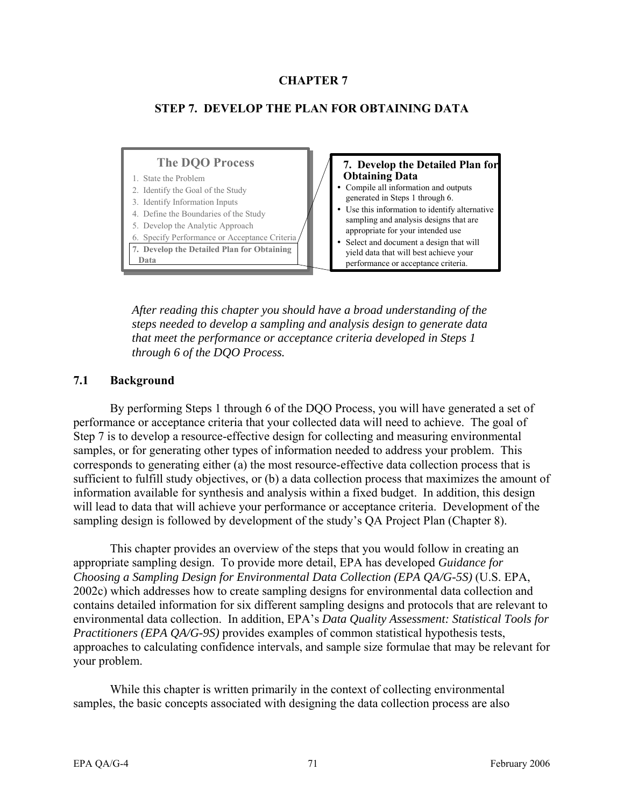### **CHAPTER 7**

### **STEP 7. DEVELOP THE PLAN FOR OBTAINING DATA**

#### **The DQO Process**

#### 1. State the Problem

- 2. Identify the Goal of the Study
- 3. Identify Information Inputs
- 4. Define the Boundaries of the Study
- 5. Develop the Analytic Approach
- 6. Specify Performance or Acceptance Criteria
- **7. Develop the Detailed Plan for Obtaining Data**

#### **7. Develop the Detailed Plan for Obtaining Data**

- Compile all information and outputs generated in Steps 1 through 6.
- Use this information to identify alternative sampling and analysis designs that are appropriate for your intended use
- Select and document a design that will yield data that will best achieve your performance or acceptance criteria.

*After reading this chapter you should have a broad understanding of the steps needed to develop a sampling and analysis design to generate data that meet the performance or acceptance criteria developed in Steps 1 through 6 of the DQO Process.* 

#### **7.1 Background**

By performing Steps 1 through 6 of the DQO Process, you will have generated a set of performance or acceptance criteria that your collected data will need to achieve. The goal of Step 7 is to develop a resource-effective design for collecting and measuring environmental samples, or for generating other types of information needed to address your problem. This corresponds to generating either (a) the most resource-effective data collection process that is sufficient to fulfill study objectives, or (b) a data collection process that maximizes the amount of information available for synthesis and analysis within a fixed budget. In addition, this design will lead to data that will achieve your performance or acceptance criteria. Development of the sampling design is followed by development of the study's QA Project Plan (Chapter 8).

This chapter provides an overview of the steps that you would follow in creating an appropriate sampling design. To provide more detail, EPA has developed *Guidance for Choosing a Sampling Design for Environmental Data Collection (EPA QA/G-5S)* (U.S. EPA, 2002c) which addresses how to create sampling designs for environmental data collection and contains detailed information for six different sampling designs and protocols that are relevant to environmental data collection. In addition, EPA's *Data Quality Assessment: Statistical Tools for Practitioners (EPA QA/G-9S)* provides examples of common statistical hypothesis tests, approaches to calculating confidence intervals, and sample size formulae that may be relevant for your problem.

While this chapter is written primarily in the context of collecting environmental samples, the basic concepts associated with designing the data collection process are also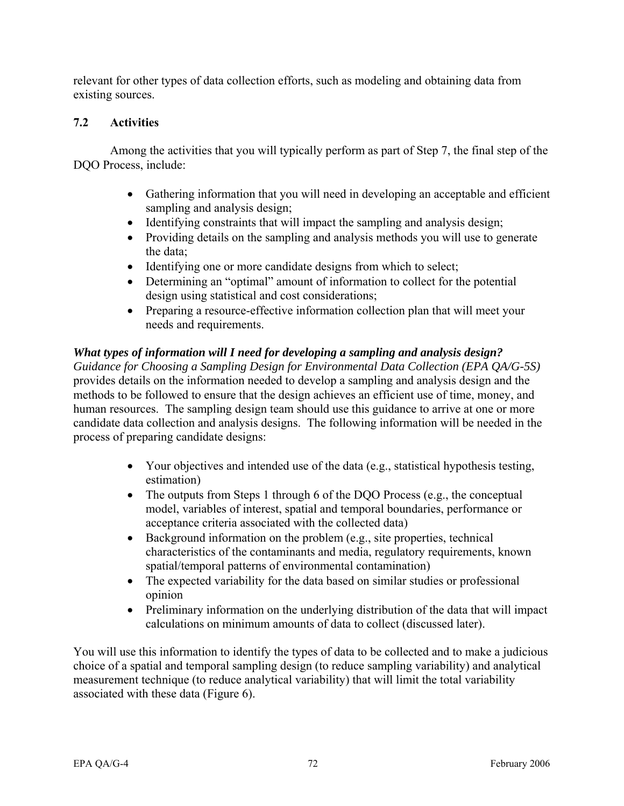relevant for other types of data collection efforts, such as modeling and obtaining data from existing sources.

# **7.2 Activities**

Among the activities that you will typically perform as part of Step 7, the final step of the DQO Process, include:

- Gathering information that you will need in developing an acceptable and efficient sampling and analysis design;
- Identifying constraints that will impact the sampling and analysis design;
- Providing details on the sampling and analysis methods you will use to generate the data;
- Identifying one or more candidate designs from which to select;
- Determining an "optimal" amount of information to collect for the potential design using statistical and cost considerations;
- Preparing a resource-effective information collection plan that will meet your needs and requirements.

# *What types of information will I need for developing a sampling and analysis design?*

*Guidance for Choosing a Sampling Design for Environmental Data Collection (EPA QA/G-5S)*  provides details on the information needed to develop a sampling and analysis design and the methods to be followed to ensure that the design achieves an efficient use of time, money, and human resources. The sampling design team should use this guidance to arrive at one or more candidate data collection and analysis designs. The following information will be needed in the process of preparing candidate designs:

- Your objectives and intended use of the data (e.g., statistical hypothesis testing, estimation)
- The outputs from Steps 1 through 6 of the DQO Process (e.g., the conceptual model, variables of interest, spatial and temporal boundaries, performance or acceptance criteria associated with the collected data)
- Background information on the problem (e.g., site properties, technical characteristics of the contaminants and media, regulatory requirements, known spatial/temporal patterns of environmental contamination)
- The expected variability for the data based on similar studies or professional opinion
- Preliminary information on the underlying distribution of the data that will impact calculations on minimum amounts of data to collect (discussed later).

You will use this information to identify the types of data to be collected and to make a judicious choice of a spatial and temporal sampling design (to reduce sampling variability) and analytical measurement technique (to reduce analytical variability) that will limit the total variability associated with these data (Figure 6).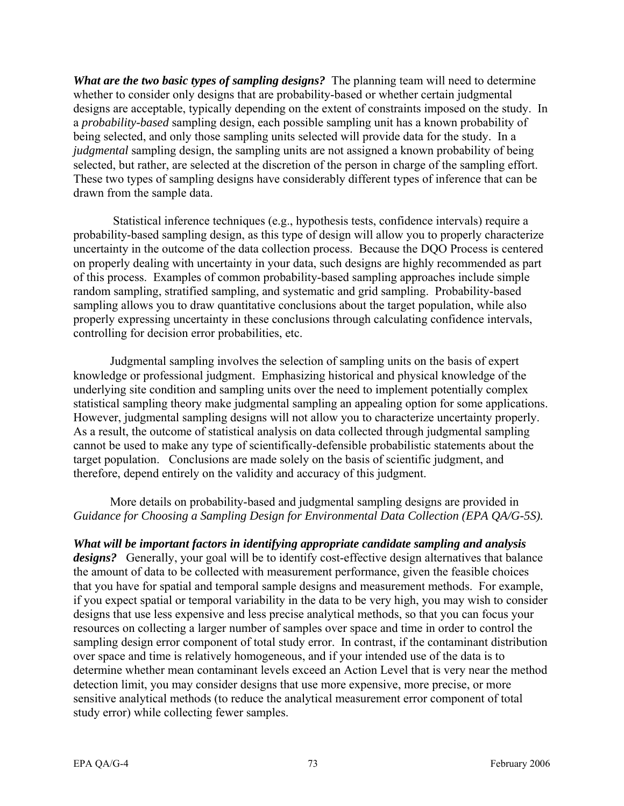*What are the two basic types of sampling designs?* The planning team will need to determine whether to consider only designs that are probability-based or whether certain judgmental designs are acceptable, typically depending on the extent of constraints imposed on the study. In a *probability-based* sampling design, each possible sampling unit has a known probability of being selected, and only those sampling units selected will provide data for the study. In a *judgmental* sampling design, the sampling units are not assigned a known probability of being selected, but rather, are selected at the discretion of the person in charge of the sampling effort. These two types of sampling designs have considerably different types of inference that can be drawn from the sample data.

 Statistical inference techniques (e.g., hypothesis tests, confidence intervals) require a probability-based sampling design, as this type of design will allow you to properly characterize uncertainty in the outcome of the data collection process. Because the DQO Process is centered on properly dealing with uncertainty in your data, such designs are highly recommended as part of this process. Examples of common probability-based sampling approaches include simple random sampling, stratified sampling, and systematic and grid sampling. Probability-based sampling allows you to draw quantitative conclusions about the target population, while also properly expressing uncertainty in these conclusions through calculating confidence intervals, controlling for decision error probabilities, etc.

Judgmental sampling involves the selection of sampling units on the basis of expert knowledge or professional judgment. Emphasizing historical and physical knowledge of the underlying site condition and sampling units over the need to implement potentially complex statistical sampling theory make judgmental sampling an appealing option for some applications. However, judgmental sampling designs will not allow you to characterize uncertainty properly. As a result, the outcome of statistical analysis on data collected through judgmental sampling cannot be used to make any type of scientifically-defensible probabilistic statements about the target population. Conclusions are made solely on the basis of scientific judgment, and therefore, depend entirely on the validity and accuracy of this judgment.

### More details on probability-based and judgmental sampling designs are provided in *Guidance for Choosing a Sampling Design for Environmental Data Collection (EPA QA/G-5S).*

*What will be important factors in identifying appropriate candidate sampling and analysis designs?* Generally, your goal will be to identify cost-effective design alternatives that balance the amount of data to be collected with measurement performance, given the feasible choices that you have for spatial and temporal sample designs and measurement methods. For example, if you expect spatial or temporal variability in the data to be very high, you may wish to consider designs that use less expensive and less precise analytical methods, so that you can focus your resources on collecting a larger number of samples over space and time in order to control the sampling design error component of total study error. In contrast, if the contaminant distribution over space and time is relatively homogeneous, and if your intended use of the data is to determine whether mean contaminant levels exceed an Action Level that is very near the method detection limit, you may consider designs that use more expensive, more precise, or more sensitive analytical methods (to reduce the analytical measurement error component of total study error) while collecting fewer samples.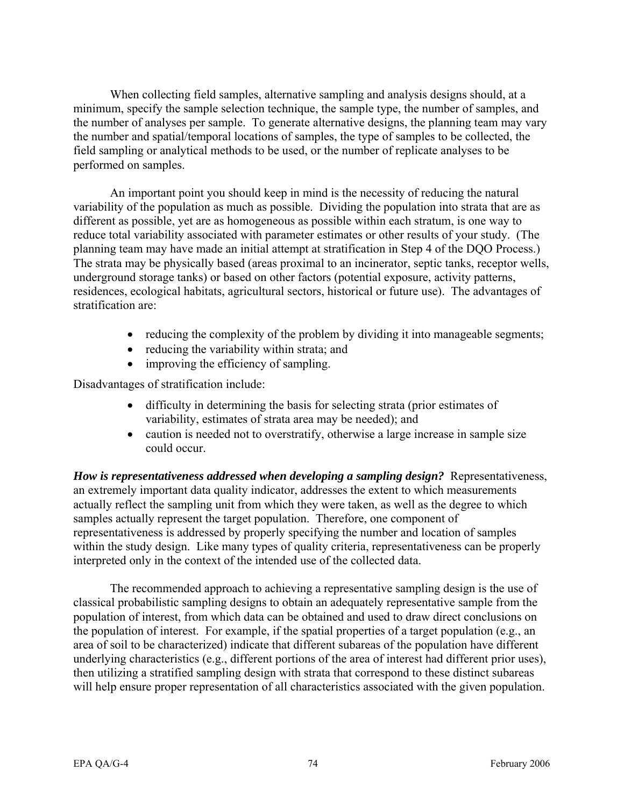When collecting field samples, alternative sampling and analysis designs should, at a minimum, specify the sample selection technique, the sample type, the number of samples, and the number of analyses per sample. To generate alternative designs, the planning team may vary the number and spatial/temporal locations of samples, the type of samples to be collected, the field sampling or analytical methods to be used, or the number of replicate analyses to be performed on samples.

An important point you should keep in mind is the necessity of reducing the natural variability of the population as much as possible. Dividing the population into strata that are as different as possible, yet are as homogeneous as possible within each stratum, is one way to reduce total variability associated with parameter estimates or other results of your study. (The planning team may have made an initial attempt at stratification in Step 4 of the DQO Process.) The strata may be physically based (areas proximal to an incinerator, septic tanks, receptor wells, underground storage tanks) or based on other factors (potential exposure, activity patterns, residences, ecological habitats, agricultural sectors, historical or future use). The advantages of stratification are:

- reducing the complexity of the problem by dividing it into manageable segments;
- reducing the variability within strata; and
- improving the efficiency of sampling.

Disadvantages of stratification include:

- difficulty in determining the basis for selecting strata (prior estimates of variability, estimates of strata area may be needed); and
- caution is needed not to overstratify, otherwise a large increase in sample size could occur.

*How is representativeness addressed when developing a sampling design?* Representativeness, an extremely important data quality indicator, addresses the extent to which measurements actually reflect the sampling unit from which they were taken, as well as the degree to which samples actually represent the target population. Therefore, one component of representativeness is addressed by properly specifying the number and location of samples within the study design. Like many types of quality criteria, representativeness can be properly interpreted only in the context of the intended use of the collected data.

The recommended approach to achieving a representative sampling design is the use of classical probabilistic sampling designs to obtain an adequately representative sample from the population of interest, from which data can be obtained and used to draw direct conclusions on the population of interest. For example, if the spatial properties of a target population (e.g., an area of soil to be characterized) indicate that different subareas of the population have different underlying characteristics (e.g., different portions of the area of interest had different prior uses), then utilizing a stratified sampling design with strata that correspond to these distinct subareas will help ensure proper representation of all characteristics associated with the given population.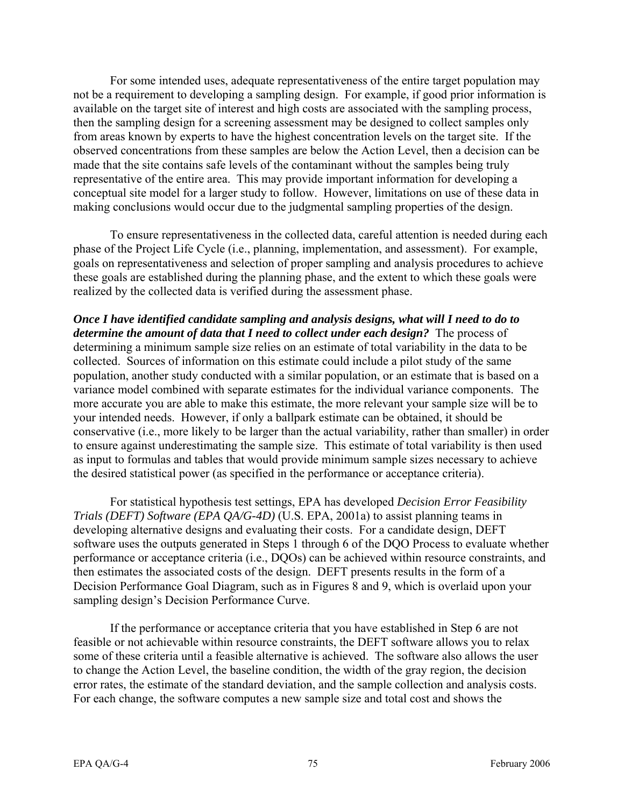For some intended uses, adequate representativeness of the entire target population may not be a requirement to developing a sampling design. For example, if good prior information is available on the target site of interest and high costs are associated with the sampling process, then the sampling design for a screening assessment may be designed to collect samples only from areas known by experts to have the highest concentration levels on the target site. If the observed concentrations from these samples are below the Action Level, then a decision can be made that the site contains safe levels of the contaminant without the samples being truly representative of the entire area. This may provide important information for developing a conceptual site model for a larger study to follow. However, limitations on use of these data in making conclusions would occur due to the judgmental sampling properties of the design.

To ensure representativeness in the collected data, careful attention is needed during each phase of the Project Life Cycle (i.e., planning, implementation, and assessment). For example, goals on representativeness and selection of proper sampling and analysis procedures to achieve these goals are established during the planning phase, and the extent to which these goals were realized by the collected data is verified during the assessment phase.

*Once I have identified candidate sampling and analysis designs, what will I need to do to determine the amount of data that I need to collect under each design?* The process of determining a minimum sample size relies on an estimate of total variability in the data to be collected. Sources of information on this estimate could include a pilot study of the same population, another study conducted with a similar population, or an estimate that is based on a variance model combined with separate estimates for the individual variance components. The more accurate you are able to make this estimate, the more relevant your sample size will be to your intended needs. However, if only a ballpark estimate can be obtained, it should be conservative (i.e., more likely to be larger than the actual variability, rather than smaller) in order to ensure against underestimating the sample size. This estimate of total variability is then used as input to formulas and tables that would provide minimum sample sizes necessary to achieve the desired statistical power (as specified in the performance or acceptance criteria).

For statistical hypothesis test settings, EPA has developed *Decision Error Feasibility Trials (DEFT) Software (EPA QA/G-4D)* (U.S. EPA, 2001a) to assist planning teams in developing alternative designs and evaluating their costs. For a candidate design, DEFT software uses the outputs generated in Steps 1 through 6 of the DQO Process to evaluate whether performance or acceptance criteria (i.e., DQOs) can be achieved within resource constraints, and then estimates the associated costs of the design. DEFT presents results in the form of a Decision Performance Goal Diagram, such as in Figures 8 and 9, which is overlaid upon your sampling design's Decision Performance Curve.

If the performance or acceptance criteria that you have established in Step 6 are not feasible or not achievable within resource constraints, the DEFT software allows you to relax some of these criteria until a feasible alternative is achieved. The software also allows the user to change the Action Level, the baseline condition, the width of the gray region, the decision error rates, the estimate of the standard deviation, and the sample collection and analysis costs. For each change, the software computes a new sample size and total cost and shows the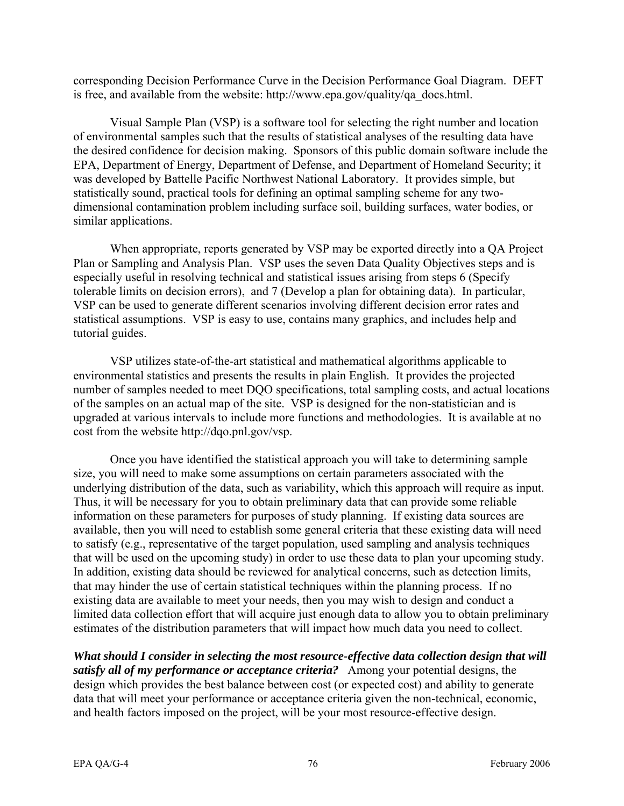corresponding Decision Performance Curve in the Decision Performance Goal Diagram. DEFT is free, and available from the website: [http://www.epa.gov/quality/qa\\_docs.html.](http://www.epa.gov/quality/qa_docs.html) 

Visual Sample Plan (VSP) is a software tool for selecting the right number and location of environmental samples such that the results of statistical analyses of the resulting data have the desired confidence for decision making. Sponsors of this public domain software include the EPA, Department of Energy, Department of Defense, and Department of Homeland Security; it was developed by Battelle Pacific Northwest National Laboratory. It provides simple, but statistically sound, practical tools for defining an optimal sampling scheme for any twodimensional contamination problem including surface soil, building surfaces, water bodies, or similar applications.

When appropriate, reports generated by VSP may be exported directly into a QA Project Plan or Sampling and Analysis Plan. VSP uses the seven Data Quality Objectives steps and is especially useful in resolving technical and statistical issues arising from steps 6 (Specify tolerable limits on decision errors), and 7 (Develop a plan for obtaining data). In particular, VSP can be used to generate different scenarios involving different decision error rates and statistical assumptions. VSP is easy to use, contains many graphics, and includes help and tutorial guides.

VSP utilizes state-of-the-art statistical and mathematical algorithms applicable to environmental statistics and presents the results in plain English. It provides the projected number of samples needed to meet DQO specifications, total sampling costs, and actual locations of the samples on an actual map of the site. VSP is designed for the non-statistician and is upgraded at various intervals to include more functions and methodologies. It is available at no cost from the website [http://dqo.pnl.gov/vsp.](http://vsp.pnnl.gov/)

Once you have identified the statistical approach you will take to determining sample size, you will need to make some assumptions on certain parameters associated with the underlying distribution of the data, such as variability, which this approach will require as input. Thus, it will be necessary for you to obtain preliminary data that can provide some reliable information on these parameters for purposes of study planning. If existing data sources are available, then you will need to establish some general criteria that these existing data will need to satisfy (e.g., representative of the target population, used sampling and analysis techniques that will be used on the upcoming study) in order to use these data to plan your upcoming study. In addition, existing data should be reviewed for analytical concerns, such as detection limits, that may hinder the use of certain statistical techniques within the planning process. If no existing data are available to meet your needs, then you may wish to design and conduct a limited data collection effort that will acquire just enough data to allow you to obtain preliminary estimates of the distribution parameters that will impact how much data you need to collect.

*What should I consider in selecting the most resource-effective data collection design that will satisfy all of my performance or acceptance criteria?* Among your potential designs, the design which provides the best balance between cost (or expected cost) and ability to generate data that will meet your performance or acceptance criteria given the non-technical, economic, and health factors imposed on the project, will be your most resource-effective design.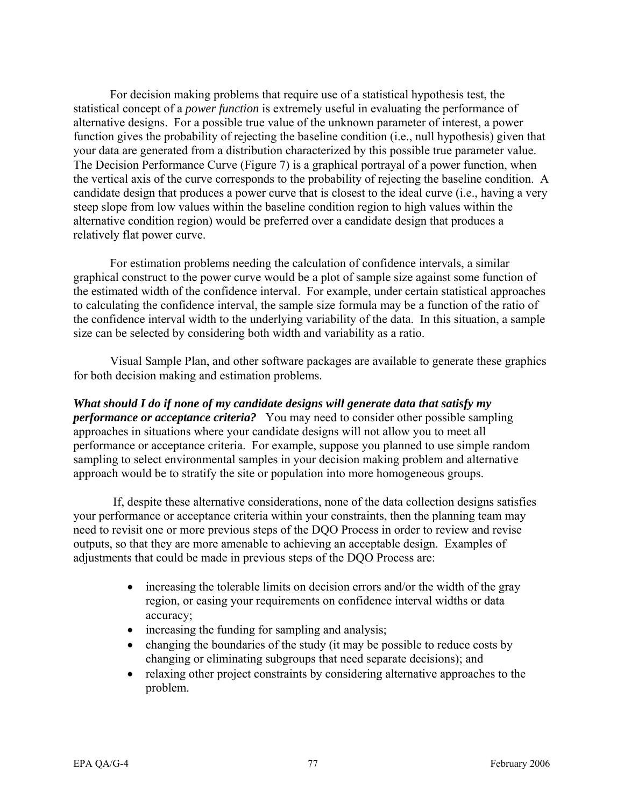For decision making problems that require use of a statistical hypothesis test, the statistical concept of a *power function* is extremely useful in evaluating the performance of alternative designs. For a possible true value of the unknown parameter of interest, a power function gives the probability of rejecting the baseline condition (i.e., null hypothesis) given that your data are generated from a distribution characterized by this possible true parameter value. The Decision Performance Curve (Figure 7) is a graphical portrayal of a power function, when the vertical axis of the curve corresponds to the probability of rejecting the baseline condition. A candidate design that produces a power curve that is closest to the ideal curve (i.e., having a very steep slope from low values within the baseline condition region to high values within the alternative condition region) would be preferred over a candidate design that produces a relatively flat power curve.

For estimation problems needing the calculation of confidence intervals, a similar graphical construct to the power curve would be a plot of sample size against some function of the estimated width of the confidence interval. For example, under certain statistical approaches to calculating the confidence interval, the sample size formula may be a function of the ratio of the confidence interval width to the underlying variability of the data. In this situation, a sample size can be selected by considering both width and variability as a ratio.

Visual Sample Plan, and other software packages are available to generate these graphics for both decision making and estimation problems.

*What should I do if none of my candidate designs will generate data that satisfy my performance or acceptance criteria?* You may need to consider other possible sampling approaches in situations where your candidate designs will not allow you to meet all performance or acceptance criteria. For example, suppose you planned to use simple random sampling to select environmental samples in your decision making problem and alternative approach would be to stratify the site or population into more homogeneous groups.

 If, despite these alternative considerations, none of the data collection designs satisfies your performance or acceptance criteria within your constraints, then the planning team may need to revisit one or more previous steps of the DQO Process in order to review and revise outputs, so that they are more amenable to achieving an acceptable design. Examples of adjustments that could be made in previous steps of the DQO Process are:

- increasing the tolerable limits on decision errors and/or the width of the gray region, or easing your requirements on confidence interval widths or data accuracy;
- increasing the funding for sampling and analysis;
- changing the boundaries of the study (it may be possible to reduce costs by changing or eliminating subgroups that need separate decisions); and
- relaxing other project constraints by considering alternative approaches to the problem.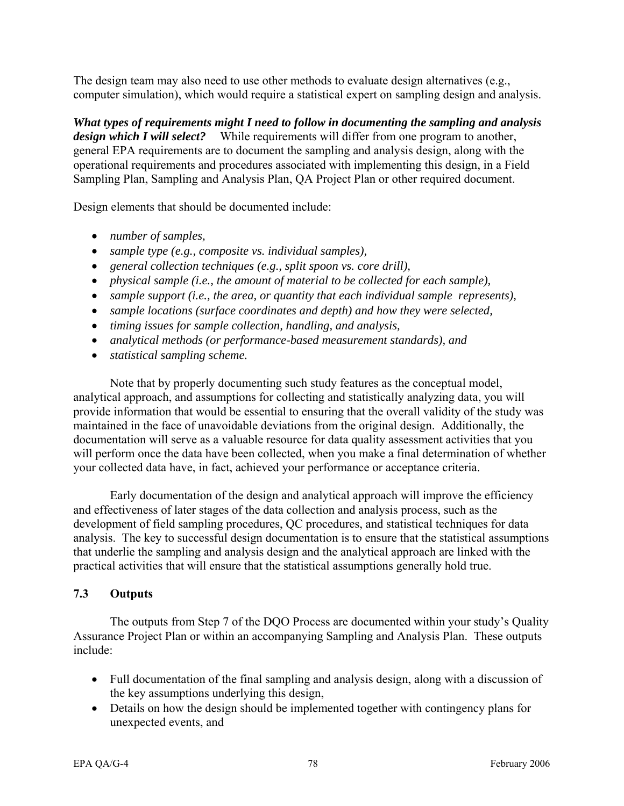The design team may also need to use other methods to evaluate design alternatives (e.g., computer simulation), which would require a statistical expert on sampling design and analysis.

*What types of requirements might I need to follow in documenting the sampling and analysis design which I will select?* While requirements will differ from one program to another, general EPA requirements are to document the sampling and analysis design, along with the operational requirements and procedures associated with implementing this design, in a Field Sampling Plan, Sampling and Analysis Plan, QA Project Plan or other required document.

Design elements that should be documented include:

- *number of samples,*
- *sample type (e.g., composite vs. individual samples),*
- *general collection techniques (e.g., split spoon vs. core drill),*
- *physical sample (i.e., the amount of material to be collected for each sample),*
- *sample support (i.e., the area, or quantity that each individual sample represents),*
- *sample locations (surface coordinates and depth) and how they were selected,*
- *timing issues for sample collection, handling, and analysis,*
- *analytical methods (or performance-based measurement standards), and*
- *statistical sampling scheme.*

Note that by properly documenting such study features as the conceptual model, analytical approach, and assumptions for collecting and statistically analyzing data, you will provide information that would be essential to ensuring that the overall validity of the study was maintained in the face of unavoidable deviations from the original design. Additionally, the documentation will serve as a valuable resource for data quality assessment activities that you will perform once the data have been collected, when you make a final determination of whether your collected data have, in fact, achieved your performance or acceptance criteria.

Early documentation of the design and analytical approach will improve the efficiency and effectiveness of later stages of the data collection and analysis process, such as the development of field sampling procedures, QC procedures, and statistical techniques for data analysis. The key to successful design documentation is to ensure that the statistical assumptions that underlie the sampling and analysis design and the analytical approach are linked with the practical activities that will ensure that the statistical assumptions generally hold true.

# **7.3 Outputs**

The outputs from Step 7 of the DQO Process are documented within your study's Quality Assurance Project Plan or within an accompanying Sampling and Analysis Plan. These outputs include:

- Full documentation of the final sampling and analysis design, along with a discussion of the key assumptions underlying this design,
- Details on how the design should be implemented together with contingency plans for unexpected events, and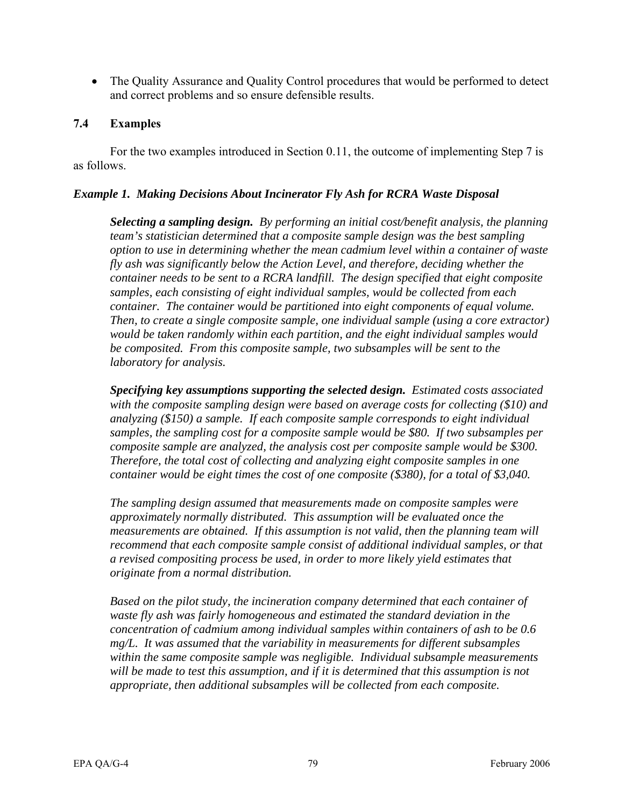• The Quality Assurance and Quality Control procedures that would be performed to detect and correct problems and so ensure defensible results.

### **7.4 Examples**

For the two examples introduced in Section 0.11, the outcome of implementing Step 7 is as follows.

#### *Example 1. Making Decisions About Incinerator Fly Ash for RCRA Waste Disposal*

*Selecting a sampling design. By performing an initial cost/benefit analysis, the planning team's statistician determined that a composite sample design was the best sampling option to use in determining whether the mean cadmium level within a container of waste fly ash was significantly below the Action Level, and therefore, deciding whether the container needs to be sent to a RCRA landfill. The design specified that eight composite samples, each consisting of eight individual samples, would be collected from each container. The container would be partitioned into eight components of equal volume. Then, to create a single composite sample, one individual sample (using a core extractor) would be taken randomly within each partition, and the eight individual samples would be composited. From this composite sample, two subsamples will be sent to the laboratory for analysis.* 

*Specifying key assumptions supporting the selected design. Estimated costs associated with the composite sampling design were based on average costs for collecting (\$10) and analyzing (\$150) a sample. If each composite sample corresponds to eight individual samples, the sampling cost for a composite sample would be \$80. If two subsamples per composite sample are analyzed, the analysis cost per composite sample would be \$300. Therefore, the total cost of collecting and analyzing eight composite samples in one container would be eight times the cost of one composite (\$380), for a total of \$3,040.* 

*The sampling design assumed that measurements made on composite samples were approximately normally distributed. This assumption will be evaluated once the measurements are obtained. If this assumption is not valid, then the planning team will recommend that each composite sample consist of additional individual samples, or that a revised compositing process be used, in order to more likely yield estimates that originate from a normal distribution.* 

*Based on the pilot study, the incineration company determined that each container of waste fly ash was fairly homogeneous and estimated the standard deviation in the concentration of cadmium among individual samples within containers of ash to be 0.6 mg/L. It was assumed that the variability in measurements for different subsamples within the same composite sample was negligible. Individual subsample measurements*  will be made to test this assumption, and if it is determined that this assumption is not *appropriate, then additional subsamples will be collected from each composite.*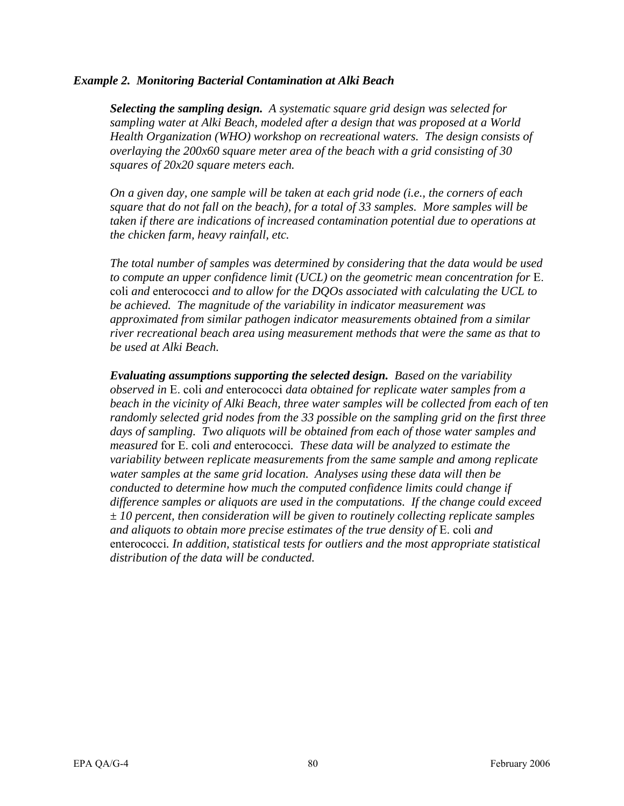#### *Example 2. Monitoring Bacterial Contamination at Alki Beach*

*Selecting the sampling design. A systematic square grid design was selected for sampling water at Alki Beach, modeled after a design that was proposed at a World Health Organization (WHO) workshop on recreational waters. The design consists of overlaying the 200x60 square meter area of the beach with a grid consisting of 30 squares of 20x20 square meters each.* 

*On a given day, one sample will be taken at each grid node (i.e., the corners of each square that do not fall on the beach), for a total of 33 samples. More samples will be taken if there are indications of increased contamination potential due to operations at the chicken farm, heavy rainfall, etc.* 

*The total number of samples was determined by considering that the data would be used to compute an upper confidence limit (UCL) on the geometric mean concentration for* E. coli *and* enterococci *and to allow for the DQOs associated with calculating the UCL to be achieved. The magnitude of the variability in indicator measurement was approximated from similar pathogen indicator measurements obtained from a similar river recreational beach area using measurement methods that were the same as that to be used at Alki Beach.* 

*Evaluating assumptions supporting the selected design. Based on the variability observed in* E. coli *and* enterococci *data obtained for replicate water samples from a beach in the vicinity of Alki Beach, three water samples will be collected from each of ten randomly selected grid nodes from the 33 possible on the sampling grid on the first three days of sampling. Two aliquots will be obtained from each of those water samples and measured* for E. coli *and* enterococci*. These data will be analyzed to estimate the variability between replicate measurements from the same sample and among replicate water samples at the same grid location. Analyses using these data will then be conducted to determine how much the computed confidence limits could change if difference samples or aliquots are used in the computations. If the change could exceed ± 10 percent, then consideration will be given to routinely collecting replicate samples and aliquots to obtain more precise estimates of the true density of* E. coli *and*  enterococci*. In addition, statistical tests for outliers and the most appropriate statistical distribution of the data will be conducted.*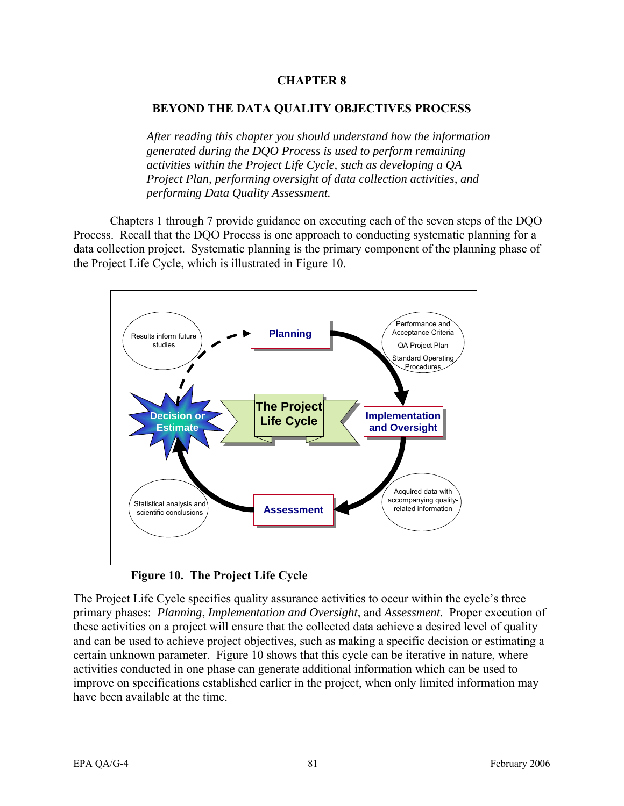## **CHAPTER 8**

### **BEYOND THE DATA QUALITY OBJECTIVES PROCESS**

*After reading this chapter you should understand how the information generated during the DQO Process is used to perform remaining activities within the Project Life Cycle, such as developing a QA Project Plan, performing oversight of data collection activities, and performing Data Quality Assessment.* 

Chapters 1 through 7 provide guidance on executing each of the seven steps of the DQO Process. Recall that the DQO Process is one approach to conducting systematic planning for a data collection project. Systematic planning is the primary component of the planning phase of the Project Life Cycle, which is illustrated in Figure 10.



**Figure 10. The Project Life Cycle** 

The Project Life Cycle specifies quality assurance activities to occur within the cycle's three primary phases: *Planning*, *Implementation and Oversight*, and *Assessment*. Proper execution of these activities on a project will ensure that the collected data achieve a desired level of quality and can be used to achieve project objectives, such as making a specific decision or estimating a certain unknown parameter. Figure 10 shows that this cycle can be iterative in nature, where activities conducted in one phase can generate additional information which can be used to improve on specifications established earlier in the project, when only limited information may have been available at the time.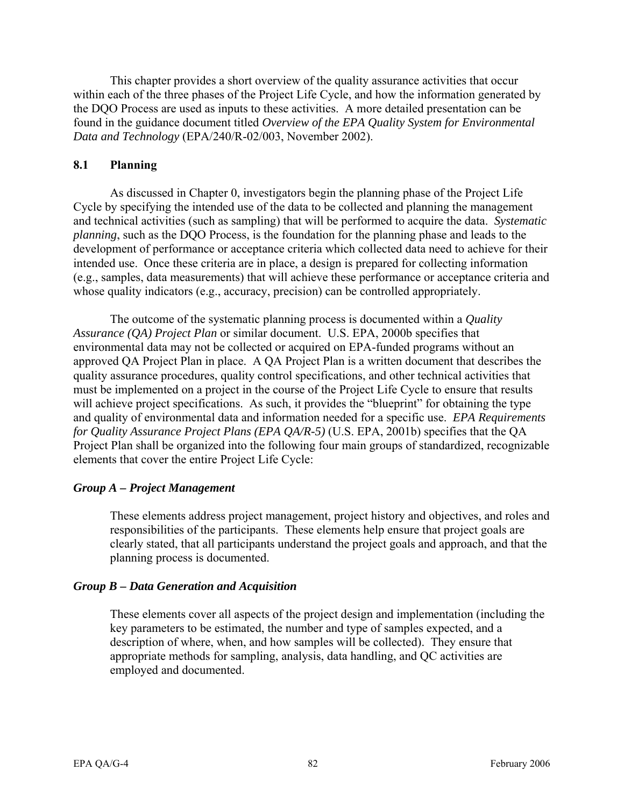This chapter provides a short overview of the quality assurance activities that occur within each of the three phases of the Project Life Cycle, and how the information generated by the DQO Process are used as inputs to these activities. A more detailed presentation can be found in the guidance document titled *Overview of the EPA Quality System for Environmental Data and Technology* (EPA/240/R-02/003, November 2002).

### **8.1 Planning**

As discussed in Chapter 0, investigators begin the planning phase of the Project Life Cycle by specifying the intended use of the data to be collected and planning the management and technical activities (such as sampling) that will be performed to acquire the data. *Systematic planning*, such as the DQO Process, is the foundation for the planning phase and leads to the development of performance or acceptance criteria which collected data need to achieve for their intended use. Once these criteria are in place, a design is prepared for collecting information (e.g., samples, data measurements) that will achieve these performance or acceptance criteria and whose quality indicators (e.g., accuracy, precision) can be controlled appropriately.

The outcome of the systematic planning process is documented within a *Quality Assurance (QA) Project Plan* or similar document. U.S. EPA, 2000b specifies that environmental data may not be collected or acquired on EPA-funded programs without an approved QA Project Plan in place. A QA Project Plan is a written document that describes the quality assurance procedures, quality control specifications, and other technical activities that must be implemented on a project in the course of the Project Life Cycle to ensure that results will achieve project specifications. As such, it provides the "blueprint" for obtaining the type and quality of environmental data and information needed for a specific use. *EPA Requirements for Quality Assurance Project Plans (EPA QA/R-5)* (U.S. EPA, 2001b) specifies that the QA Project Plan shall be organized into the following four main groups of standardized, recognizable elements that cover the entire Project Life Cycle:

### *Group A – Project Management*

These elements address project management, project history and objectives, and roles and responsibilities of the participants. These elements help ensure that project goals are clearly stated, that all participants understand the project goals and approach, and that the planning process is documented.

### *Group B – Data Generation and Acquisition*

These elements cover all aspects of the project design and implementation (including the key parameters to be estimated, the number and type of samples expected, and a description of where, when, and how samples will be collected). They ensure that appropriate methods for sampling, analysis, data handling, and QC activities are employed and documented.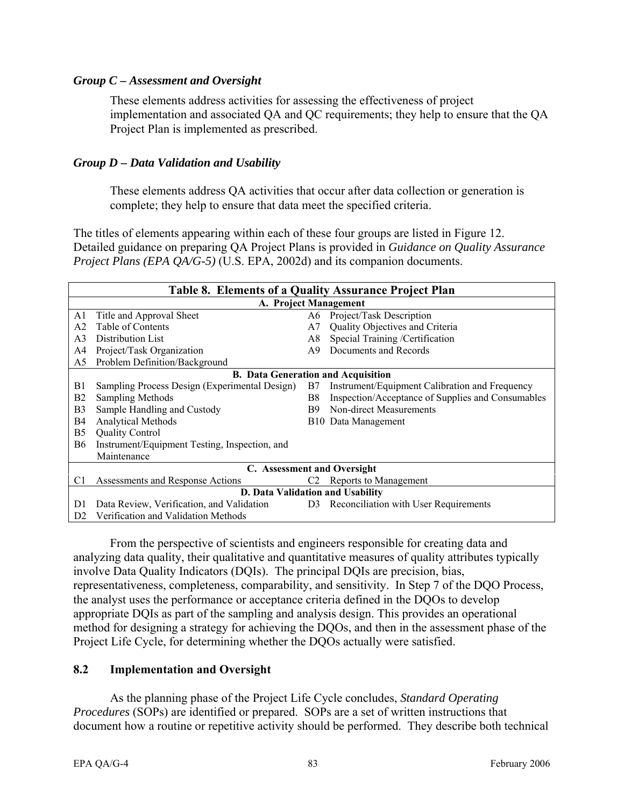#### *Group C – Assessment and Oversight*

These elements address activities for assessing the effectiveness of project implementation and associated QA and QC requirements; they help to ensure that the QA Project Plan is implemented as prescribed.

### *Group D – Data Validation and Usability*

These elements address QA activities that occur after data collection or generation is complete; they help to ensure that data meet the specified criteria.

The titles of elements appearing within each of these four groups are listed in Figure 12. Detailed guidance on preparing QA Project Plans is provided in *Guidance on Quality Assurance Project Plans (EPA QA/G-5)* (U.S. EPA, 2002d) and its companion documents.

| Table 8. Elements of a Quality Assurance Project Plan |                                                                                    |    |                                                   |  |  |  |  |
|-------------------------------------------------------|------------------------------------------------------------------------------------|----|---------------------------------------------------|--|--|--|--|
| A. Project Management                                 |                                                                                    |    |                                                   |  |  |  |  |
| A1                                                    | Title and Approval Sheet                                                           | A6 | Project/Task Description                          |  |  |  |  |
| A2                                                    | Table of Contents                                                                  | A7 | Quality Objectives and Criteria                   |  |  |  |  |
| A <sub>3</sub>                                        | Distribution List                                                                  | A8 | Special Training /Certification                   |  |  |  |  |
| A4                                                    | Project/Task Organization                                                          | A9 | Documents and Records                             |  |  |  |  |
| A5                                                    | Problem Definition/Background                                                      |    |                                                   |  |  |  |  |
| <b>B.</b> Data Generation and Acquisition             |                                                                                    |    |                                                   |  |  |  |  |
| B1                                                    | Sampling Process Design (Experimental Design)                                      | B7 | Instrument/Equipment Calibration and Frequency    |  |  |  |  |
| <b>B2</b>                                             | <b>Sampling Methods</b>                                                            | B8 | Inspection/Acceptance of Supplies and Consumables |  |  |  |  |
| B <sub>3</sub>                                        | Sample Handling and Custody                                                        | B9 | Non-direct Measurements                           |  |  |  |  |
| B4                                                    | <b>Analytical Methods</b>                                                          |    | B <sub>10</sub> Data Management                   |  |  |  |  |
| B <sub>5</sub>                                        | <b>Quality Control</b>                                                             |    |                                                   |  |  |  |  |
| <b>B6</b>                                             | Instrument/Equipment Testing, Inspection, and                                      |    |                                                   |  |  |  |  |
|                                                       | Maintenance                                                                        |    |                                                   |  |  |  |  |
| C. Assessment and Oversight                           |                                                                                    |    |                                                   |  |  |  |  |
| C1                                                    | Assessments and Response Actions                                                   | C2 | Reports to Management                             |  |  |  |  |
| D. Data Validation and Usability                      |                                                                                    |    |                                                   |  |  |  |  |
| D1                                                    | Data Review, Verification, and Validation D3 Reconciliation with User Requirements |    |                                                   |  |  |  |  |
| D <sub>2</sub>                                        | Verification and Validation Methods                                                |    |                                                   |  |  |  |  |

From the perspective of scientists and engineers responsible for creating data and analyzing data quality, their qualitative and quantitative measures of quality attributes typically involve Data Quality Indicators (DQIs). The principal DQIs are precision, bias, representativeness, completeness, comparability, and sensitivity. In Step 7 of the DQO Process, the analyst uses the performance or acceptance criteria defined in the DQOs to develop appropriate DQIs as part of the sampling and analysis design. This provides an operational method for designing a strategy for achieving the DQOs, and then in the assessment phase of the Project Life Cycle, for determining whether the DQOs actually were satisfied.

#### **8.2 Implementation and Oversight**

As the planning phase of the Project Life Cycle concludes, *Standard Operating Procedures* (SOPs) are identified or prepared. SOPs are a set of written instructions that document how a routine or repetitive activity should be performed. They describe both technical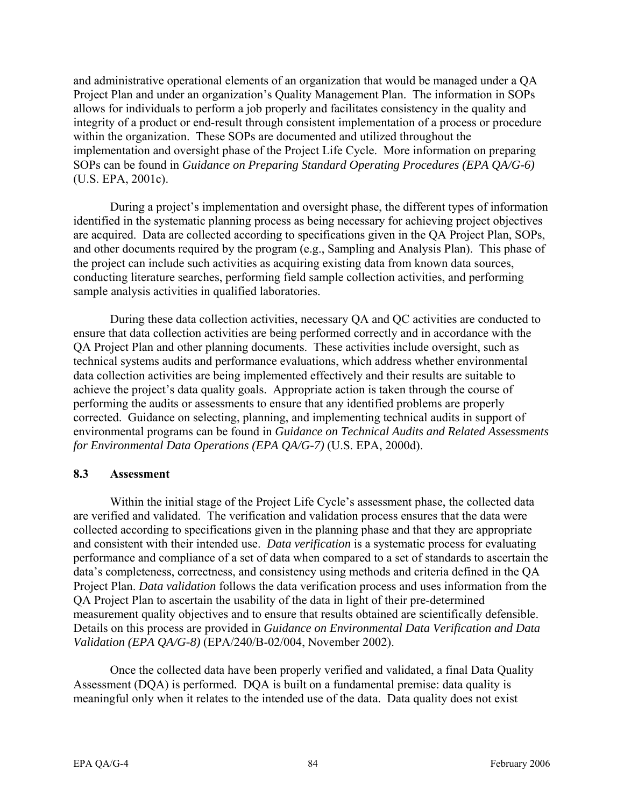and administrative operational elements of an organization that would be managed under a QA Project Plan and under an organization's Quality Management Plan. The information in SOPs allows for individuals to perform a job properly and facilitates consistency in the quality and integrity of a product or end-result through consistent implementation of a process or procedure within the organization. These SOPs are documented and utilized throughout the implementation and oversight phase of the Project Life Cycle. More information on preparing SOPs can be found in *Guidance on Preparing Standard Operating Procedures (EPA QA/G-6)*  (U.S. EPA, 2001c).

During a project's implementation and oversight phase, the different types of information identified in the systematic planning process as being necessary for achieving project objectives are acquired. Data are collected according to specifications given in the QA Project Plan, SOPs, and other documents required by the program (e.g., Sampling and Analysis Plan). This phase of the project can include such activities as acquiring existing data from known data sources, conducting literature searches, performing field sample collection activities, and performing sample analysis activities in qualified laboratories.

During these data collection activities, necessary QA and QC activities are conducted to ensure that data collection activities are being performed correctly and in accordance with the QA Project Plan and other planning documents. These activities include oversight, such as technical systems audits and performance evaluations, which address whether environmental data collection activities are being implemented effectively and their results are suitable to achieve the project's data quality goals. Appropriate action is taken through the course of performing the audits or assessments to ensure that any identified problems are properly corrected. Guidance on selecting, planning, and implementing technical audits in support of environmental programs can be found in *Guidance on Technical Audits and Related Assessments for Environmental Data Operations (EPA QA/G-7)* (U.S. EPA, 2000d).

#### **8.3 Assessment**

Within the initial stage of the Project Life Cycle's assessment phase, the collected data are verified and validated. The verification and validation process ensures that the data were collected according to specifications given in the planning phase and that they are appropriate and consistent with their intended use. *Data verification* is a systematic process for evaluating performance and compliance of a set of data when compared to a set of standards to ascertain the data's completeness, correctness, and consistency using methods and criteria defined in the QA Project Plan. *Data validation* follows the data verification process and uses information from the QA Project Plan to ascertain the usability of the data in light of their pre-determined measurement quality objectives and to ensure that results obtained are scientifically defensible. Details on this process are provided in *Guidance on Environmental Data Verification and Data Validation (EPA QA/G-8)* (EPA/240/B-02/004, November 2002).

Once the collected data have been properly verified and validated, a final Data Quality Assessment (DQA) is performed. DQA is built on a fundamental premise: data quality is meaningful only when it relates to the intended use of the data. Data quality does not exist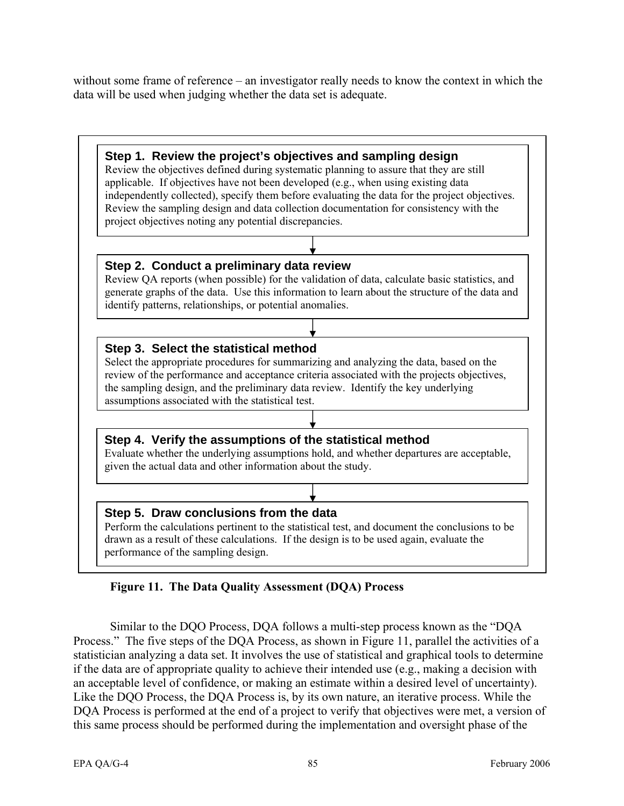without some frame of reference – an investigator really needs to know the context in which the data will be used when judging whether the data set is adequate.



# **Figure 11. The Data Quality Assessment (DQA) Process**

Similar to the DQO Process, DQA follows a multi-step process known as the "DQA Process." The five steps of the DQA Process, as shown in Figure 11, parallel the activities of a statistician analyzing a data set. It involves the use of statistical and graphical tools to determine if the data are of appropriate quality to achieve their intended use (e.g., making a decision with an acceptable level of confidence, or making an estimate within a desired level of uncertainty). Like the DQO Process, the DQA Process is, by its own nature, an iterative process. While the DQA Process is performed at the end of a project to verify that objectives were met, a version of this same process should be performed during the implementation and oversight phase of the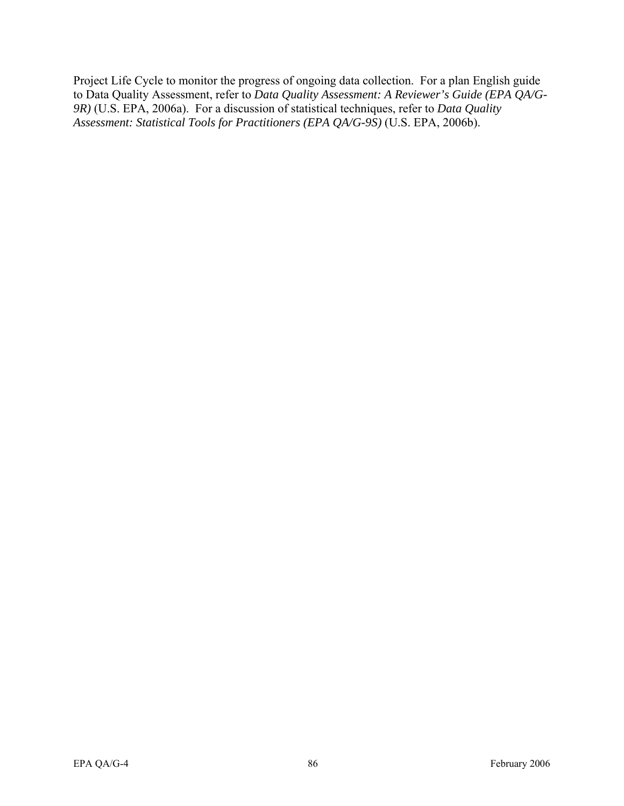Project Life Cycle to monitor the progress of ongoing data collection. For a plan English guide to Data Quality Assessment, refer to *Data Quality Assessment: A Reviewer's Guide (EPA QA/G-9R)* (U.S. EPA, 2006a). For a discussion of statistical techniques, refer to *Data Quality Assessment: Statistical Tools for Practitioners (EPA QA/G-9S)* (U.S. EPA, 2006b).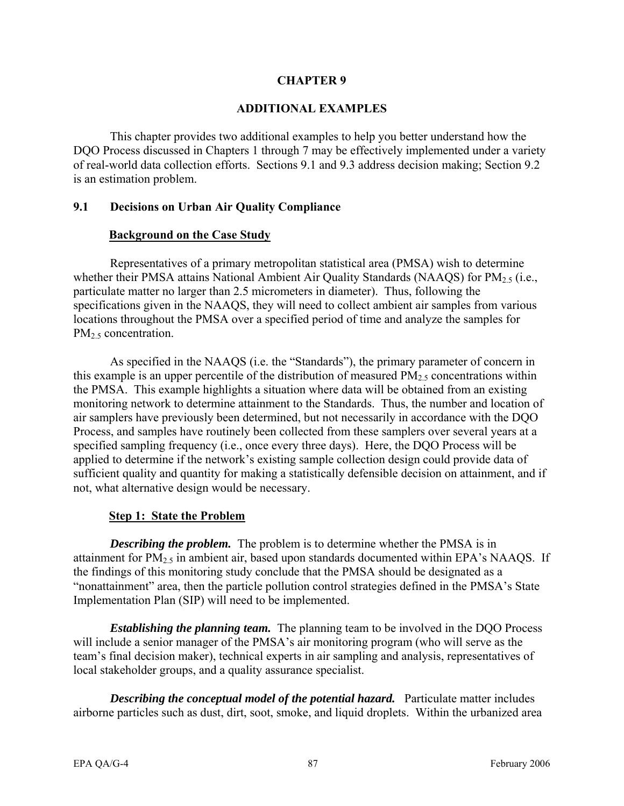### **CHAPTER 9**

#### **ADDITIONAL EXAMPLES**

This chapter provides two additional examples to help you better understand how the DQO Process discussed in Chapters 1 through 7 may be effectively implemented under a variety of real-world data collection efforts. Sections 9.1 and 9.3 address decision making; Section 9.2 is an estimation problem.

### **9.1 Decisions on Urban Air Quality Compliance**

#### **Background on the Case Study**

Representatives of a primary metropolitan statistical area (PMSA) wish to determine whether their PMSA attains National Ambient Air Quality Standards (NAAQS) for  $PM_{2.5}$  (i.e., particulate matter no larger than 2.5 micrometers in diameter). Thus, following the specifications given in the NAAQS, they will need to collect ambient air samples from various locations throughout the PMSA over a specified period of time and analyze the samples for  $PM<sub>2.5</sub> concentration.$ 

As specified in the NAAQS (i.e. the "Standards"), the primary parameter of concern in this example is an upper percentile of the distribution of measured  $PM<sub>2.5</sub>$  concentrations within the PMSA. This example highlights a situation where data will be obtained from an existing monitoring network to determine attainment to the Standards. Thus, the number and location of air samplers have previously been determined, but not necessarily in accordance with the DQO Process, and samples have routinely been collected from these samplers over several years at a specified sampling frequency (i.e., once every three days). Here, the DQO Process will be applied to determine if the network's existing sample collection design could provide data of sufficient quality and quantity for making a statistically defensible decision on attainment, and if not, what alternative design would be necessary.

### **Step 1: State the Problem**

*Describing the problem.* The problem is to determine whether the PMSA is in attainment for  $PM<sub>2.5</sub>$  in ambient air, based upon standards documented within EPA's NAAQS. If the findings of this monitoring study conclude that the PMSA should be designated as a "nonattainment" area, then the particle pollution control strategies defined in the PMSA's State Implementation Plan (SIP) will need to be implemented.

*Establishing the planning team.* The planning team to be involved in the DQO Process will include a senior manager of the PMSA's air monitoring program (who will serve as the team's final decision maker), technical experts in air sampling and analysis, representatives of local stakeholder groups, and a quality assurance specialist.

*Describing the conceptual model of the potential hazard.* Particulate matter includes airborne particles such as dust, dirt, soot, smoke, and liquid droplets. Within the urbanized area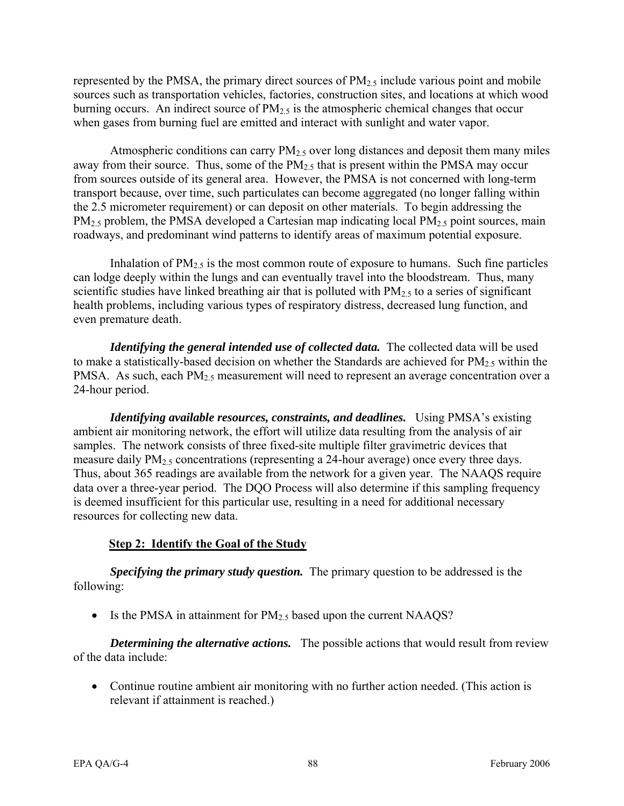represented by the PMSA, the primary direct sources of  $PM_{2.5}$  include various point and mobile sources such as transportation vehicles, factories, construction sites, and locations at which wood burning occurs. An indirect source of  $PM<sub>2.5</sub>$  is the atmospheric chemical changes that occur when gases from burning fuel are emitted and interact with sunlight and water vapor.

Atmospheric conditions can carry  $PM<sub>2.5</sub>$  over long distances and deposit them many miles away from their source. Thus, some of the  $PM_{2.5}$  that is present within the PMSA may occur from sources outside of its general area. However, the PMSA is not concerned with long-term transport because, over time, such particulates can become aggregated (no longer falling within the 2.5 micrometer requirement) or can deposit on other materials. To begin addressing the  $PM_{2.5}$  problem, the PMSA developed a Cartesian map indicating local  $PM_{2.5}$  point sources, main roadways, and predominant wind patterns to identify areas of maximum potential exposure.

Inhalation of  $PM_{2.5}$  is the most common route of exposure to humans. Such fine particles can lodge deeply within the lungs and can eventually travel into the bloodstream. Thus, many scientific studies have linked breathing air that is polluted with  $PM_{2.5}$  to a series of significant health problems, including various types of respiratory distress, decreased lung function, and even premature death.

*Identifying the general intended use of collected data.* The collected data will be used to make a statistically-based decision on whether the Standards are achieved for  $PM_{2.5}$  within the PMSA. As such, each  $PM<sub>2.5</sub>$  measurement will need to represent an average concentration over a 24-hour period.

*Identifying available resources, constraints, and deadlines.* Using PMSA's existing ambient air monitoring network, the effort will utilize data resulting from the analysis of air samples. The network consists of three fixed-site multiple filter gravimetric devices that measure daily  $PM<sub>2.5</sub>$  concentrations (representing a 24-hour average) once every three days. Thus, about 365 readings are available from the network for a given year. The NAAQS require data over a three-year period. The DQO Process will also determine if this sampling frequency is deemed insufficient for this particular use, resulting in a need for additional necessary resources for collecting new data.

# **Step 2: Identify the Goal of the Study**

*Specifying the primary study question.* The primary question to be addressed is the following:

• Is the PMSA in attainment for  $PM_{2.5}$  based upon the current NAAQS?

*Determining the alternative actions.* The possible actions that would result from review of the data include:

• Continue routine ambient air monitoring with no further action needed. (This action is relevant if attainment is reached.)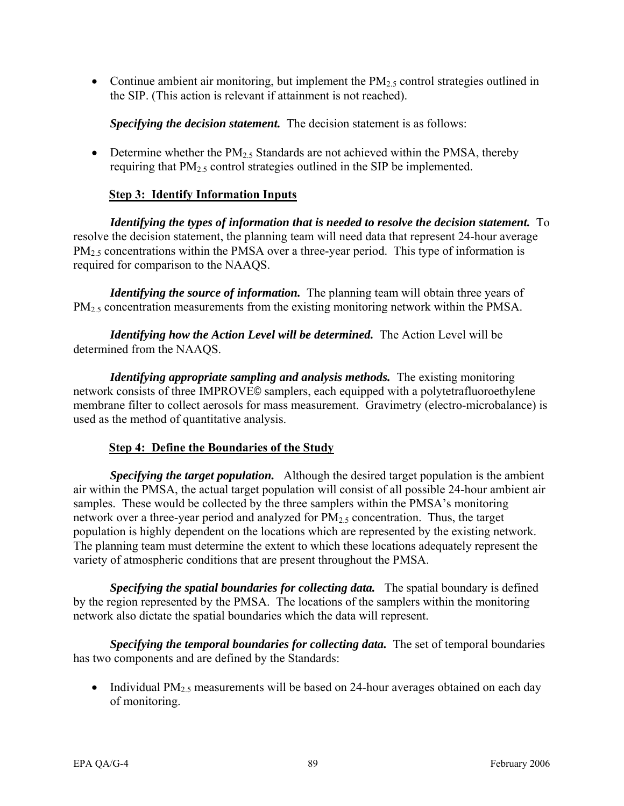• Continue ambient air monitoring, but implement the  $PM_{2.5}$  control strategies outlined in the SIP. (This action is relevant if attainment is not reached).

*Specifying the decision statement.* The decision statement is as follows:

• Determine whether the  $PM<sub>2.5</sub>$  Standards are not achieved within the PMSA, thereby requiring that  $PM_{2.5}$  control strategies outlined in the SIP be implemented.

### **Step 3: Identify Information Inputs**

*Identifying the types of information that is needed to resolve the decision statement.* To resolve the decision statement, the planning team will need data that represent 24-hour average  $PM<sub>2.5</sub> concentrations within the PMSA over a three-year period. This type of information is$ required for comparison to the NAAQS.

*Identifying the source of information.* The planning team will obtain three years of PM<sub>2.5</sub> concentration measurements from the existing monitoring network within the PMSA.

*Identifying how the Action Level will be determined.* The Action Level will be determined from the NAAQS.

*Identifying appropriate sampling and analysis methods.* The existing monitoring network consists of three IMPROVE© samplers, each equipped with a polytetrafluoroethylene membrane filter to collect aerosols for mass measurement. Gravimetry (electro-microbalance) is used as the method of quantitative analysis.

#### **Step 4: Define the Boundaries of the Study**

*Specifying the target population.* Although the desired target population is the ambient air within the PMSA, the actual target population will consist of all possible 24-hour ambient air samples. These would be collected by the three samplers within the PMSA's monitoring network over a three-year period and analyzed for  $PM<sub>2.5</sub>$  concentration. Thus, the target population is highly dependent on the locations which are represented by the existing network. The planning team must determine the extent to which these locations adequately represent the variety of atmospheric conditions that are present throughout the PMSA.

*Specifying the spatial boundaries for collecting data.* The spatial boundary is defined by the region represented by the PMSA. The locations of the samplers within the monitoring network also dictate the spatial boundaries which the data will represent.

*Specifying the temporal boundaries for collecting data.* The set of temporal boundaries has two components and are defined by the Standards:

• Individual  $PM<sub>2.5</sub>$  measurements will be based on 24-hour averages obtained on each day of monitoring.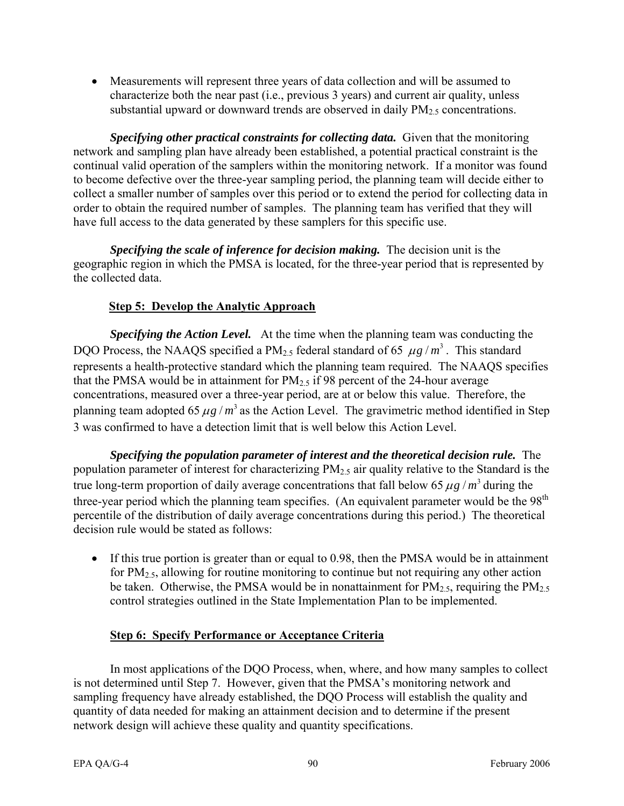• Measurements will represent three years of data collection and will be assumed to characterize both the near past (i.e., previous 3 years) and current air quality, unless substantial upward or downward trends are observed in daily  $PM_{2.5}$  concentrations.

*Specifying other practical constraints for collecting data.* Given that the monitoring network and sampling plan have already been established, a potential practical constraint is the continual valid operation of the samplers within the monitoring network. If a monitor was found to become defective over the three-year sampling period, the planning team will decide either to collect a smaller number of samples over this period or to extend the period for collecting data in order to obtain the required number of samples. The planning team has verified that they will have full access to the data generated by these samplers for this specific use.

*Specifying the scale of inference for decision making.* The decision unit is the geographic region in which the PMSA is located, for the three-year period that is represented by the collected data.

# **Step 5: Develop the Analytic Approach**

*Specifying the Action Level.* At the time when the planning team was conducting the DQO Process, the NAAQS specified a  $PM_{2.5}$  federal standard of 65  $\mu g/m^3$ . This standard represents a health-protective standard which the planning team required. The NAAQS specifies that the PMSA would be in attainment for  $PM_{2.5}$  if 98 percent of the 24-hour average concentrations, measured over a three-year period, are at or below this value. Therefore, the planning team adopted 65  $\mu$ g /  $m^3$  as the Action Level. The gravimetric method identified in Step 3 was confirmed to have a detection limit that is well below this Action Level.

*Specifying the population parameter of interest and the theoretical decision rule.* The population parameter of interest for characterizing PM2.5 air quality relative to the Standard is the true long-term proportion of daily average concentrations that fall below 65  $\mu$ g /  $m^3$  during the three-year period which the planning team specifies. (An equivalent parameter would be the  $98<sup>th</sup>$ percentile of the distribution of daily average concentrations during this period.) The theoretical decision rule would be stated as follows:

• If this true portion is greater than or equal to 0.98, then the PMSA would be in attainment for  $PM_{2.5}$ , allowing for routine monitoring to continue but not requiring any other action be taken. Otherwise, the PMSA would be in nonattainment for  $PM_{2.5}$ , requiring the  $PM_{2.5}$ control strategies outlined in the State Implementation Plan to be implemented.

# **Step 6: Specify Performance or Acceptance Criteria**

In most applications of the DQO Process, when, where, and how many samples to collect is not determined until Step 7. However, given that the PMSA's monitoring network and sampling frequency have already established, the DQO Process will establish the quality and quantity of data needed for making an attainment decision and to determine if the present network design will achieve these quality and quantity specifications.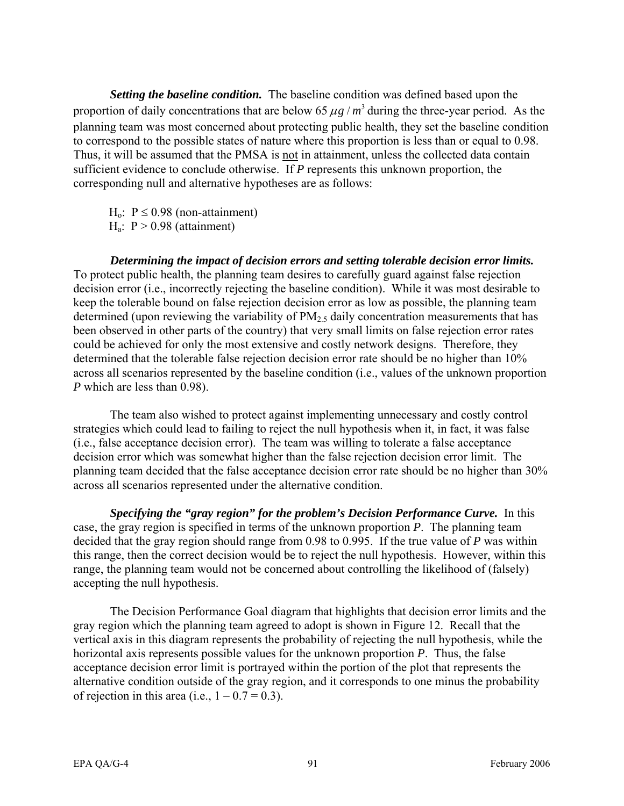*Setting the baseline condition.* The baseline condition was defined based upon the proportion of daily concentrations that are below 65  $\mu$ g /  $m^3$  during the three-year period. As the planning team was most concerned about protecting public health, they set the baseline condition to correspond to the possible states of nature where this proportion is less than or equal to 0.98. Thus, it will be assumed that the PMSA is not in attainment, unless the collected data contain sufficient evidence to conclude otherwise. If *P* represents this unknown proportion, the corresponding null and alternative hypotheses are as follows:

H<sub>o</sub>:  $P \le 0.98$  (non-attainment)  $H_a$ :  $P > 0.98$  (attainment)

*Determining the impact of decision errors and setting tolerable decision error limits.*  To protect public health, the planning team desires to carefully guard against false rejection decision error (i.e., incorrectly rejecting the baseline condition). While it was most desirable to keep the tolerable bound on false rejection decision error as low as possible, the planning team determined (upon reviewing the variability of  $PM<sub>2.5</sub>$  daily concentration measurements that has been observed in other parts of the country) that very small limits on false rejection error rates could be achieved for only the most extensive and costly network designs. Therefore, they determined that the tolerable false rejection decision error rate should be no higher than 10% across all scenarios represented by the baseline condition (i.e., values of the unknown proportion *P* which are less than 0.98).

The team also wished to protect against implementing unnecessary and costly control strategies which could lead to failing to reject the null hypothesis when it, in fact, it was false (i.e., false acceptance decision error). The team was willing to tolerate a false acceptance decision error which was somewhat higher than the false rejection decision error limit. The planning team decided that the false acceptance decision error rate should be no higher than 30% across all scenarios represented under the alternative condition.

*Specifying the "gray region" for the problem's Decision Performance Curve.* In this case, the gray region is specified in terms of the unknown proportion *P*. The planning team decided that the gray region should range from 0.98 to 0.995. If the true value of *P* was within this range, then the correct decision would be to reject the null hypothesis. However, within this range, the planning team would not be concerned about controlling the likelihood of (falsely) accepting the null hypothesis.

The Decision Performance Goal diagram that highlights that decision error limits and the gray region which the planning team agreed to adopt is shown in Figure 12. Recall that the vertical axis in this diagram represents the probability of rejecting the null hypothesis, while the horizontal axis represents possible values for the unknown proportion *P*. Thus, the false acceptance decision error limit is portrayed within the portion of the plot that represents the alternative condition outside of the gray region, and it corresponds to one minus the probability of rejection in this area (i.e.,  $1 - 0.7 = 0.3$ ).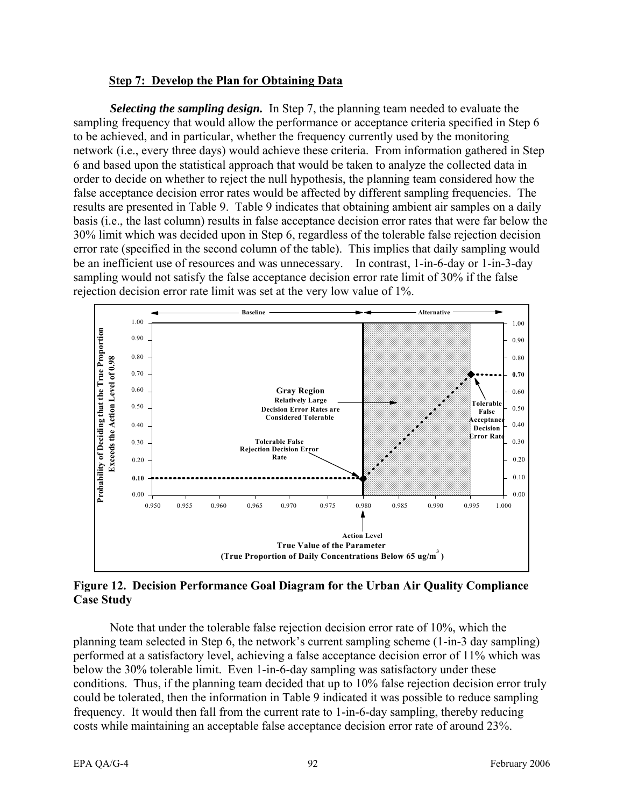#### **Step 7: Develop the Plan for Obtaining Data**

 be an inefficient use of resources and was unnecessary. In contrast, 1-in-6-day or 1-in-3-day *Selecting the sampling design.* In Step 7, the planning team needed to evaluate the sampling frequency that would allow the performance or acceptance criteria specified in Step 6 to be achieved, and in particular, whether the frequency currently used by the monitoring network (i.e., every three days) would achieve these criteria. From information gathered in Step 6 and based upon the statistical approach that would be taken to analyze the collected data in order to decide on whether to reject the null hypothesis, the planning team considered how the false acceptance decision error rates would be affected by different sampling frequencies. The results are presented in Table 9. Table 9 indicates that obtaining ambient air samples on a daily basis (i.e., the last column) results in false acceptance decision error rates that were far below the 30% limit which was decided upon in Step 6, regardless of the tolerable false rejection decision error rate (specified in the second column of the table). This implies that daily sampling would sampling would not satisfy the false acceptance decision error rate limit of 30% if the false rejection decision error rate limit was set at the very low value of 1%.



### **Figure 12. Decision Performance Goal Diagram for the Urban Air Quality Compliance Case Study**

Note that under the tolerable false rejection decision error rate of 10%, which the planning team selected in Step 6, the network's current sampling scheme (1-in-3 day sampling) performed at a satisfactory level, achieving a false acceptance decision error of 11% which was below the 30% tolerable limit. Even 1-in-6-day sampling was satisfactory under these conditions. Thus, if the planning team decided that up to 10% false rejection decision error truly could be tolerated, then the information in Table 9 indicated it was possible to reduce sampling frequency. It would then fall from the current rate to 1-in-6-day sampling, thereby reducing costs while maintaining an acceptable false acceptance decision error rate of around 23%.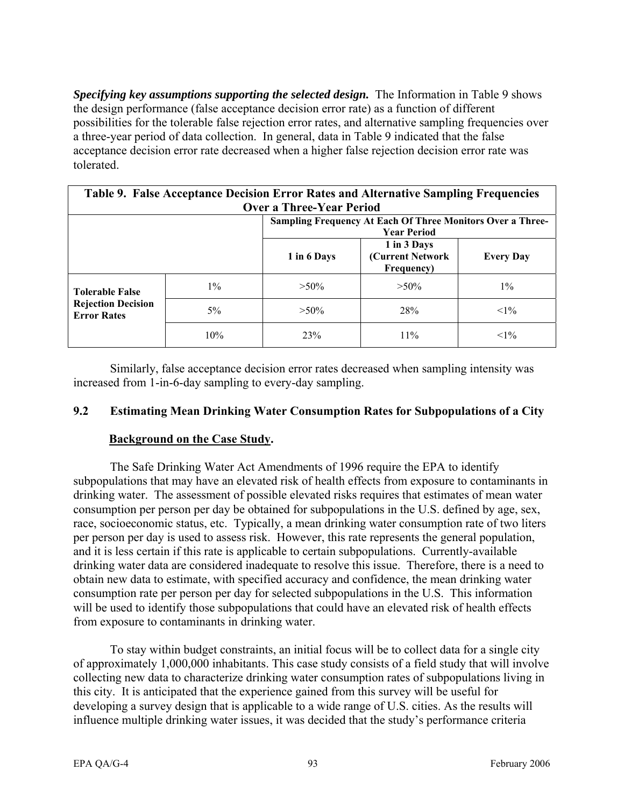*Specifying key assumptions supporting the selected design.* The Information in Table 9 shows the design performance (false acceptance decision error rate) as a function of different possibilities for the tolerable false rejection error rates, and alternative sampling frequencies over a three-year period of data collection. In general, data in Table 9 indicated that the false acceptance decision error rate decreased when a higher false rejection decision error rate was tolerated.

| Table 9. False Acceptance Decision Error Rates and Alternative Sampling Frequencies |       |                                                                   |                                               |                  |  |  |  |  |
|-------------------------------------------------------------------------------------|-------|-------------------------------------------------------------------|-----------------------------------------------|------------------|--|--|--|--|
| <b>Over a Three-Year Period</b>                                                     |       |                                                                   |                                               |                  |  |  |  |  |
|                                                                                     |       | <b>Sampling Frequency At Each Of Three Monitors Over a Three-</b> |                                               |                  |  |  |  |  |
|                                                                                     |       | <b>Year Period</b>                                                |                                               |                  |  |  |  |  |
|                                                                                     |       | 1 in 6 Days                                                       | 1 in 3 Days<br>(Current Network<br>Frequency) | <b>Every Day</b> |  |  |  |  |
| <b>Tolerable False</b>                                                              | $1\%$ | $>50\%$                                                           | $>50\%$                                       | $1\%$            |  |  |  |  |
| <b>Rejection Decision</b><br><b>Error Rates</b>                                     | $5\%$ | $>50\%$                                                           | <b>28%</b>                                    | $<1\%$           |  |  |  |  |
|                                                                                     | 10%   | 23%                                                               | 11%                                           | $<1\%$           |  |  |  |  |

Similarly, false acceptance decision error rates decreased when sampling intensity was increased from 1-in-6-day sampling to every-day sampling.

### **9.2 Estimating Mean Drinking Water Consumption Rates for Subpopulations of a City**

### **Background on the Case Study.**

The Safe Drinking Water Act Amendments of 1996 require the EPA to identify subpopulations that may have an elevated risk of health effects from exposure to contaminants in drinking water. The assessment of possible elevated risks requires that estimates of mean water consumption per person per day be obtained for subpopulations in the U.S. defined by age, sex, race, socioeconomic status, etc. Typically, a mean drinking water consumption rate of two liters per person per day is used to assess risk. However, this rate represents the general population, and it is less certain if this rate is applicable to certain subpopulations. Currently-available drinking water data are considered inadequate to resolve this issue. Therefore, there is a need to obtain new data to estimate, with specified accuracy and confidence, the mean drinking water consumption rate per person per day for selected subpopulations in the U.S. This information will be used to identify those subpopulations that could have an elevated risk of health effects from exposure to contaminants in drinking water.

To stay within budget constraints, an initial focus will be to collect data for a single city of approximately 1,000,000 inhabitants. This case study consists of a field study that will involve collecting new data to characterize drinking water consumption rates of subpopulations living in this city. It is anticipated that the experience gained from this survey will be useful for developing a survey design that is applicable to a wide range of U.S. cities. As the results will influence multiple drinking water issues, it was decided that the study's performance criteria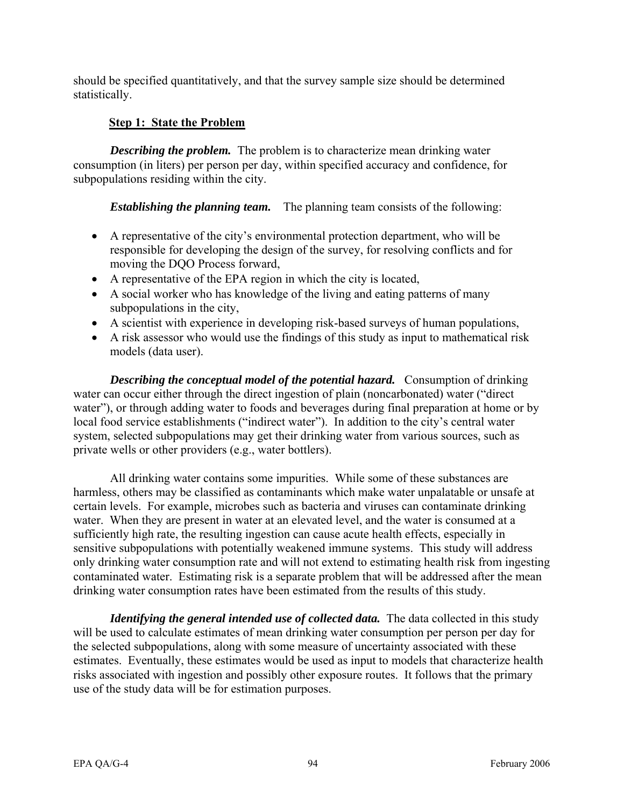should be specified quantitatively, and that the survey sample size should be determined statistically.

# **Step 1: State the Problem**

*Describing the problem.* The problem is to characterize mean drinking water consumption (in liters) per person per day, within specified accuracy and confidence, for subpopulations residing within the city.

*Establishing the planning team.* The planning team consists of the following:

- A representative of the city's environmental protection department, who will be responsible for developing the design of the survey, for resolving conflicts and for moving the DQO Process forward,
- A representative of the EPA region in which the city is located,
- A social worker who has knowledge of the living and eating patterns of many subpopulations in the city,
- A scientist with experience in developing risk-based surveys of human populations,
- A risk assessor who would use the findings of this study as input to mathematical risk models (data user).

*Describing the conceptual model of the potential hazard.* Consumption of drinking water can occur either through the direct ingestion of plain (noncarbonated) water ("direct water"), or through adding water to foods and beverages during final preparation at home or by local food service establishments ("indirect water"). In addition to the city's central water system, selected subpopulations may get their drinking water from various sources, such as private wells or other providers (e.g., water bottlers).

All drinking water contains some impurities. While some of these substances are harmless, others may be classified as contaminants which make water unpalatable or unsafe at certain levels. For example, microbes such as bacteria and viruses can contaminate drinking water. When they are present in water at an elevated level, and the water is consumed at a sufficiently high rate, the resulting ingestion can cause acute health effects, especially in sensitive subpopulations with potentially weakened immune systems. This study will address only drinking water consumption rate and will not extend to estimating health risk from ingesting contaminated water. Estimating risk is a separate problem that will be addressed after the mean drinking water consumption rates have been estimated from the results of this study.

*Identifying the general intended use of collected data.* The data collected in this study will be used to calculate estimates of mean drinking water consumption per person per day for the selected subpopulations, along with some measure of uncertainty associated with these estimates. Eventually, these estimates would be used as input to models that characterize health risks associated with ingestion and possibly other exposure routes. It follows that the primary use of the study data will be for estimation purposes.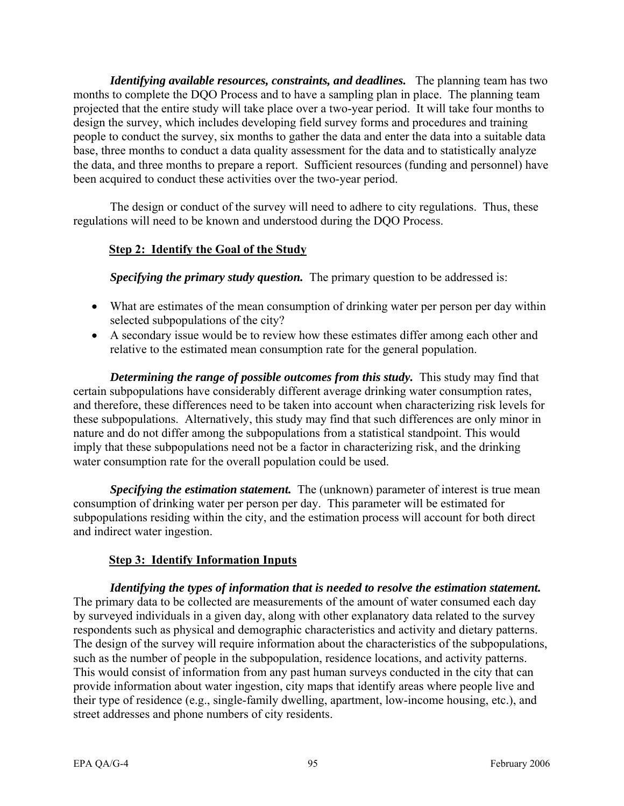*Identifying available resources, constraints, and deadlines.* The planning team has two months to complete the DQO Process and to have a sampling plan in place. The planning team projected that the entire study will take place over a two-year period. It will take four months to design the survey, which includes developing field survey forms and procedures and training people to conduct the survey, six months to gather the data and enter the data into a suitable data base, three months to conduct a data quality assessment for the data and to statistically analyze the data, and three months to prepare a report. Sufficient resources (funding and personnel) have been acquired to conduct these activities over the two-year period.

The design or conduct of the survey will need to adhere to city regulations. Thus, these regulations will need to be known and understood during the DQO Process.

# **Step 2: Identify the Goal of the Study**

*Specifying the primary study question.* The primary question to be addressed is:

- What are estimates of the mean consumption of drinking water per person per day within selected subpopulations of the city?
- A secondary issue would be to review how these estimates differ among each other and relative to the estimated mean consumption rate for the general population.

*Determining the range of possible outcomes from this study.* This study may find that certain subpopulations have considerably different average drinking water consumption rates, and therefore, these differences need to be taken into account when characterizing risk levels for these subpopulations. Alternatively, this study may find that such differences are only minor in nature and do not differ among the subpopulations from a statistical standpoint. This would imply that these subpopulations need not be a factor in characterizing risk, and the drinking water consumption rate for the overall population could be used.

*Specifying the estimation statement.* The (unknown) parameter of interest is true mean consumption of drinking water per person per day. This parameter will be estimated for subpopulations residing within the city, and the estimation process will account for both direct and indirect water ingestion.

### **Step 3: Identify Information Inputs**

*Identifying the types of information that is needed to resolve the estimation statement.*  The primary data to be collected are measurements of the amount of water consumed each day by surveyed individuals in a given day, along with other explanatory data related to the survey respondents such as physical and demographic characteristics and activity and dietary patterns. The design of the survey will require information about the characteristics of the subpopulations, such as the number of people in the subpopulation, residence locations, and activity patterns. This would consist of information from any past human surveys conducted in the city that can provide information about water ingestion, city maps that identify areas where people live and their type of residence (e.g., single-family dwelling, apartment, low-income housing, etc.), and street addresses and phone numbers of city residents.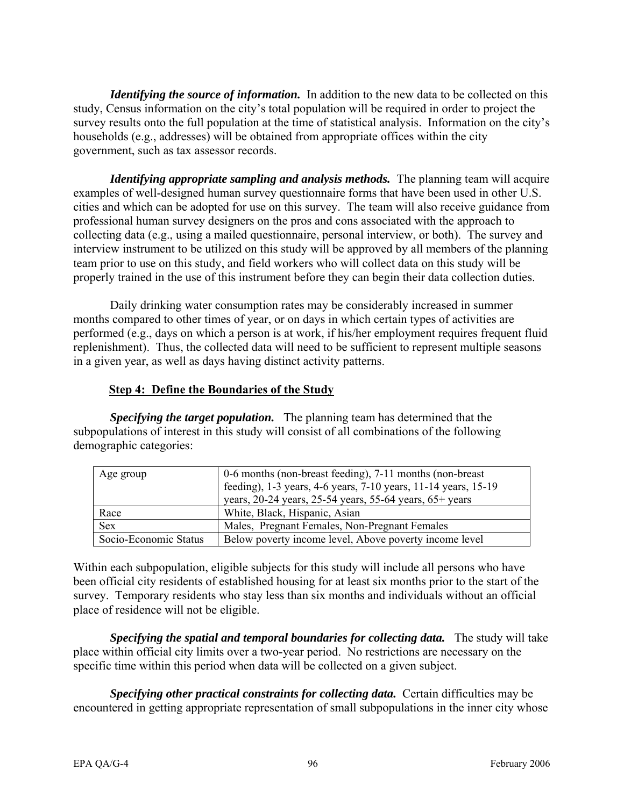*Identifying the source of information.* In addition to the new data to be collected on this study, Census information on the city's total population will be required in order to project the survey results onto the full population at the time of statistical analysis. Information on the city's households (e.g., addresses) will be obtained from appropriate offices within the city government, such as tax assessor records.

*Identifying appropriate sampling and analysis methods.* The planning team will acquire examples of well-designed human survey questionnaire forms that have been used in other U.S. cities and which can be adopted for use on this survey. The team will also receive guidance from professional human survey designers on the pros and cons associated with the approach to collecting data (e.g., using a mailed questionnaire, personal interview, or both). The survey and interview instrument to be utilized on this study will be approved by all members of the planning team prior to use on this study, and field workers who will collect data on this study will be properly trained in the use of this instrument before they can begin their data collection duties.

Daily drinking water consumption rates may be considerably increased in summer months compared to other times of year, or on days in which certain types of activities are performed (e.g., days on which a person is at work, if his/her employment requires frequent fluid replenishment). Thus, the collected data will need to be sufficient to represent multiple seasons in a given year, as well as days having distinct activity patterns.

### **Step 4: Define the Boundaries of the Study**

*Specifying the target population.* The planning team has determined that the subpopulations of interest in this study will consist of all combinations of the following demographic categories:

| Age group             | 0-6 months (non-breast feeding), 7-11 months (non-breast)       |  |  |
|-----------------------|-----------------------------------------------------------------|--|--|
|                       | feeding), 1-3 years, 4-6 years, 7-10 years, 11-14 years, 15-19  |  |  |
|                       | years, $20-24$ years, $25-54$ years, $55-64$ years, $65+$ years |  |  |
| Race                  | White, Black, Hispanic, Asian                                   |  |  |
| <b>Sex</b>            | Males, Pregnant Females, Non-Pregnant Females                   |  |  |
| Socio-Economic Status | Below poverty income level, Above poverty income level          |  |  |

Within each subpopulation, eligible subjects for this study will include all persons who have been official city residents of established housing for at least six months prior to the start of the survey. Temporary residents who stay less than six months and individuals without an official place of residence will not be eligible.

*Specifying the spatial and temporal boundaries for collecting data.* The study will take place within official city limits over a two-year period. No restrictions are necessary on the specific time within this period when data will be collected on a given subject.

*Specifying other practical constraints for collecting data.* Certain difficulties may be encountered in getting appropriate representation of small subpopulations in the inner city whose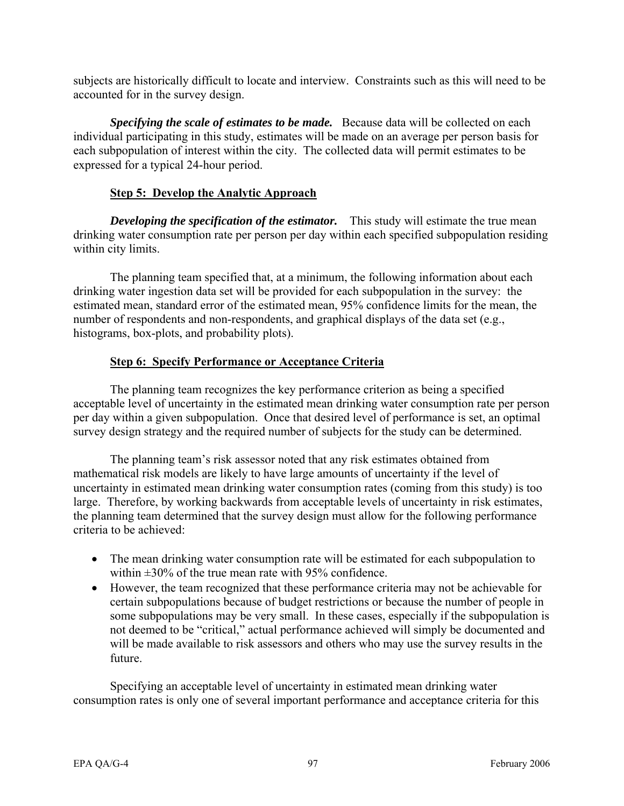subjects are historically difficult to locate and interview. Constraints such as this will need to be accounted for in the survey design.

*Specifying the scale of estimates to be made.* Because data will be collected on each individual participating in this study, estimates will be made on an average per person basis for each subpopulation of interest within the city. The collected data will permit estimates to be expressed for a typical 24-hour period.

## **Step 5: Develop the Analytic Approach**

*Developing the specification of the estimator.* This study will estimate the true mean drinking water consumption rate per person per day within each specified subpopulation residing within city limits.

The planning team specified that, at a minimum, the following information about each drinking water ingestion data set will be provided for each subpopulation in the survey: the estimated mean, standard error of the estimated mean, 95% confidence limits for the mean, the number of respondents and non-respondents, and graphical displays of the data set (e.g., histograms, box-plots, and probability plots).

# **Step 6: Specify Performance or Acceptance Criteria**

The planning team recognizes the key performance criterion as being a specified acceptable level of uncertainty in the estimated mean drinking water consumption rate per person per day within a given subpopulation. Once that desired level of performance is set, an optimal survey design strategy and the required number of subjects for the study can be determined.

The planning team's risk assessor noted that any risk estimates obtained from mathematical risk models are likely to have large amounts of uncertainty if the level of uncertainty in estimated mean drinking water consumption rates (coming from this study) is too large. Therefore, by working backwards from acceptable levels of uncertainty in risk estimates, the planning team determined that the survey design must allow for the following performance criteria to be achieved:

- The mean drinking water consumption rate will be estimated for each subpopulation to within ±30% of the true mean rate with 95% confidence.
- However, the team recognized that these performance criteria may not be achievable for certain subpopulations because of budget restrictions or because the number of people in some subpopulations may be very small. In these cases, especially if the subpopulation is not deemed to be "critical," actual performance achieved will simply be documented and will be made available to risk assessors and others who may use the survey results in the future.

Specifying an acceptable level of uncertainty in estimated mean drinking water consumption rates is only one of several important performance and acceptance criteria for this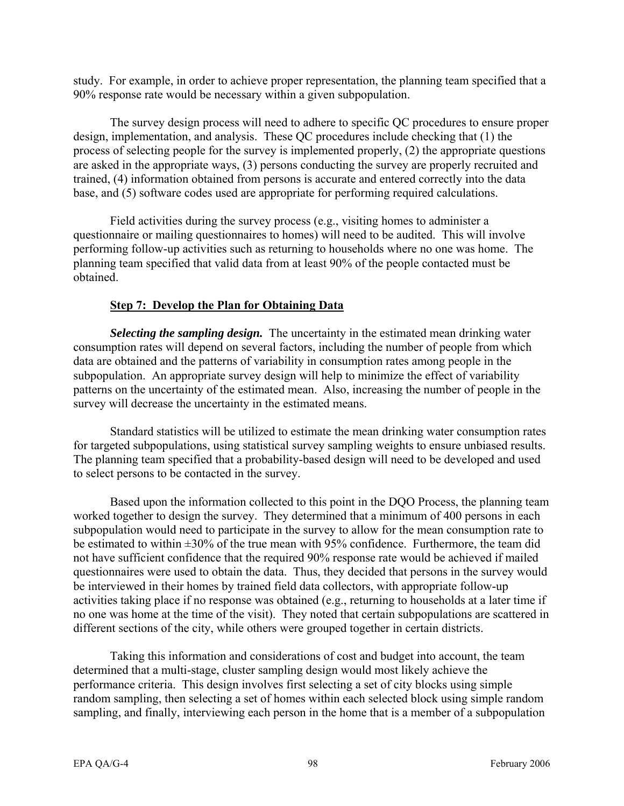study. For example, in order to achieve proper representation, the planning team specified that a 90% response rate would be necessary within a given subpopulation.

The survey design process will need to adhere to specific QC procedures to ensure proper design, implementation, and analysis. These QC procedures include checking that (1) the process of selecting people for the survey is implemented properly, (2) the appropriate questions are asked in the appropriate ways, (3) persons conducting the survey are properly recruited and trained, (4) information obtained from persons is accurate and entered correctly into the data base, and (5) software codes used are appropriate for performing required calculations.

Field activities during the survey process (e.g., visiting homes to administer a questionnaire or mailing questionnaires to homes) will need to be audited. This will involve performing follow-up activities such as returning to households where no one was home. The planning team specified that valid data from at least 90% of the people contacted must be obtained.

### **Step 7: Develop the Plan for Obtaining Data**

*Selecting the sampling design.* The uncertainty in the estimated mean drinking water consumption rates will depend on several factors, including the number of people from which data are obtained and the patterns of variability in consumption rates among people in the subpopulation. An appropriate survey design will help to minimize the effect of variability patterns on the uncertainty of the estimated mean. Also, increasing the number of people in the survey will decrease the uncertainty in the estimated means.

Standard statistics will be utilized to estimate the mean drinking water consumption rates for targeted subpopulations, using statistical survey sampling weights to ensure unbiased results. The planning team specified that a probability-based design will need to be developed and used to select persons to be contacted in the survey.

Based upon the information collected to this point in the DQO Process, the planning team worked together to design the survey. They determined that a minimum of 400 persons in each subpopulation would need to participate in the survey to allow for the mean consumption rate to be estimated to within ±30% of the true mean with 95% confidence. Furthermore, the team did not have sufficient confidence that the required 90% response rate would be achieved if mailed questionnaires were used to obtain the data. Thus, they decided that persons in the survey would be interviewed in their homes by trained field data collectors, with appropriate follow-up activities taking place if no response was obtained (e.g., returning to households at a later time if no one was home at the time of the visit). They noted that certain subpopulations are scattered in different sections of the city, while others were grouped together in certain districts.

Taking this information and considerations of cost and budget into account, the team determined that a multi-stage, cluster sampling design would most likely achieve the performance criteria. This design involves first selecting a set of city blocks using simple random sampling, then selecting a set of homes within each selected block using simple random sampling, and finally, interviewing each person in the home that is a member of a subpopulation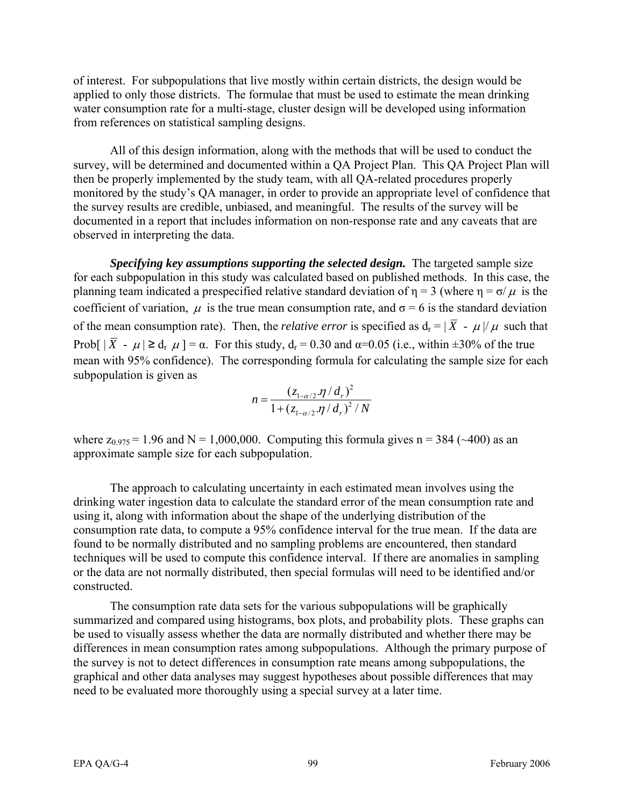of interest. For subpopulations that live mostly within certain districts, the design would be applied to only those districts. The formulae that must be used to estimate the mean drinking water consumption rate for a multi-stage, cluster design will be developed using information from references on statistical sampling designs.

All of this design information, along with the methods that will be used to conduct the survey, will be determined and documented within a QA Project Plan. This QA Project Plan will then be properly implemented by the study team, with all QA-related procedures properly monitored by the study's QA manager, in order to provide an appropriate level of confidence that the survey results are credible, unbiased, and meaningful. The results of the survey will be documented in a report that includes information on non-response rate and any caveats that are observed in interpreting the data.

*Specifying key assumptions supporting the selected design.* The targeted sample size for each subpopulation in this study was calculated based on published methods. In this case, the planning team indicated a prespecified relative standard deviation of  $\eta = 3$  (where  $\eta = \sigma/\mu$  is the coefficient of variation,  $\mu$  is the true mean consumption rate, and  $\sigma = 6$  is the standard deviation of the mean consumption rate). Then, the *relative error* is specified as  $d_r = |\bar{X} - \mu|/\mu$  such that Prob[  $|\bar{X} - \mu| \ge d_r$   $\mu$ ] =  $\alpha$ . For this study,  $d_r = 0.30$  and  $\alpha = 0.05$  (i.e., within  $\pm 30\%$  of the true mean with 95% confidence). The corresponding formula for calculating the sample size for each subpopulation is given as

$$
n = \frac{(z_{1-\alpha/2} \cdot \eta / d_r)^2}{1 + (z_{1-\alpha/2} \cdot \eta / d_r)^2 / N}
$$

where  $z_{0.975} = 1.96$  and N = 1,000,000. Computing this formula gives n = 384 (~400) as an approximate sample size for each subpopulation.

The approach to calculating uncertainty in each estimated mean involves using the drinking water ingestion data to calculate the standard error of the mean consumption rate and using it, along with information about the shape of the underlying distribution of the consumption rate data, to compute a 95% confidence interval for the true mean. If the data are found to be normally distributed and no sampling problems are encountered, then standard techniques will be used to compute this confidence interval. If there are anomalies in sampling or the data are not normally distributed, then special formulas will need to be identified and/or constructed.

The consumption rate data sets for the various subpopulations will be graphically summarized and compared using histograms, box plots, and probability plots. These graphs can be used to visually assess whether the data are normally distributed and whether there may be differences in mean consumption rates among subpopulations. Although the primary purpose of the survey is not to detect differences in consumption rate means among subpopulations, the graphical and other data analyses may suggest hypotheses about possible differences that may need to be evaluated more thoroughly using a special survey at a later time.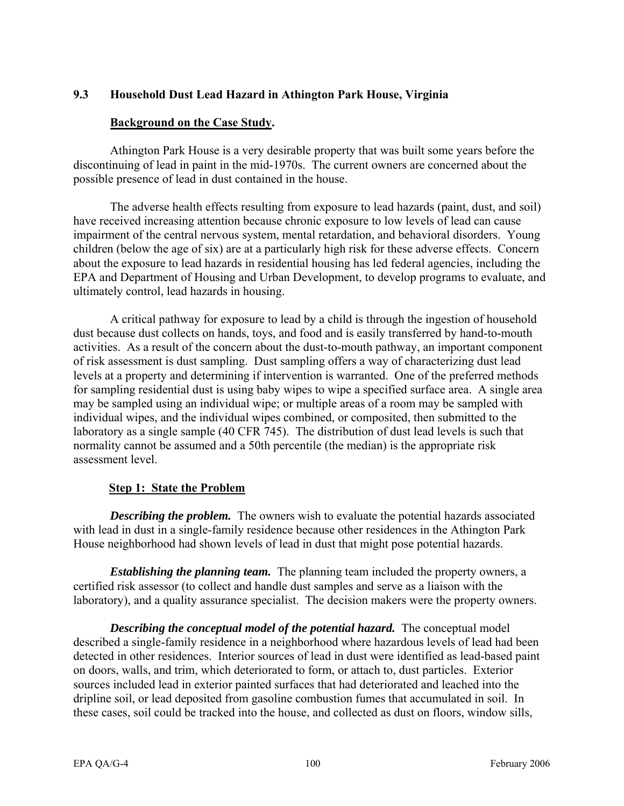# **9.3 Household Dust Lead Hazard in Athington Park House, Virginia**

### **Background on the Case Study.**

Athington Park House is a very desirable property that was built some years before the discontinuing of lead in paint in the mid-1970s. The current owners are concerned about the possible presence of lead in dust contained in the house.

The adverse health effects resulting from exposure to lead hazards (paint, dust, and soil) have received increasing attention because chronic exposure to low levels of lead can cause impairment of the central nervous system, mental retardation, and behavioral disorders. Young children (below the age of six) are at a particularly high risk for these adverse effects. Concern about the exposure to lead hazards in residential housing has led federal agencies, including the EPA and Department of Housing and Urban Development, to develop programs to evaluate, and ultimately control, lead hazards in housing.

A critical pathway for exposure to lead by a child is through the ingestion of household dust because dust collects on hands, toys, and food and is easily transferred by hand-to-mouth activities. As a result of the concern about the dust-to-mouth pathway, an important component of risk assessment is dust sampling. Dust sampling offers a way of characterizing dust lead levels at a property and determining if intervention is warranted. One of the preferred methods for sampling residential dust is using baby wipes to wipe a specified surface area. A single area may be sampled using an individual wipe; or multiple areas of a room may be sampled with individual wipes, and the individual wipes combined, or composited, then submitted to the laboratory as a single sample (40 CFR 745). The distribution of dust lead levels is such that normality cannot be assumed and a 50th percentile (the median) is the appropriate risk assessment level.

## **Step 1: State the Problem**

**Describing the problem.** The owners wish to evaluate the potential hazards associated with lead in dust in a single-family residence because other residences in the Athington Park House neighborhood had shown levels of lead in dust that might pose potential hazards.

*Establishing the planning team.* The planning team included the property owners, a certified risk assessor (to collect and handle dust samples and serve as a liaison with the laboratory), and a quality assurance specialist. The decision makers were the property owners.

*Describing the conceptual model of the potential hazard.* The conceptual model described a single-family residence in a neighborhood where hazardous levels of lead had been detected in other residences. Interior sources of lead in dust were identified as lead-based paint on doors, walls, and trim, which deteriorated to form, or attach to, dust particles. Exterior sources included lead in exterior painted surfaces that had deteriorated and leached into the dripline soil, or lead deposited from gasoline combustion fumes that accumulated in soil. In these cases, soil could be tracked into the house, and collected as dust on floors, window sills,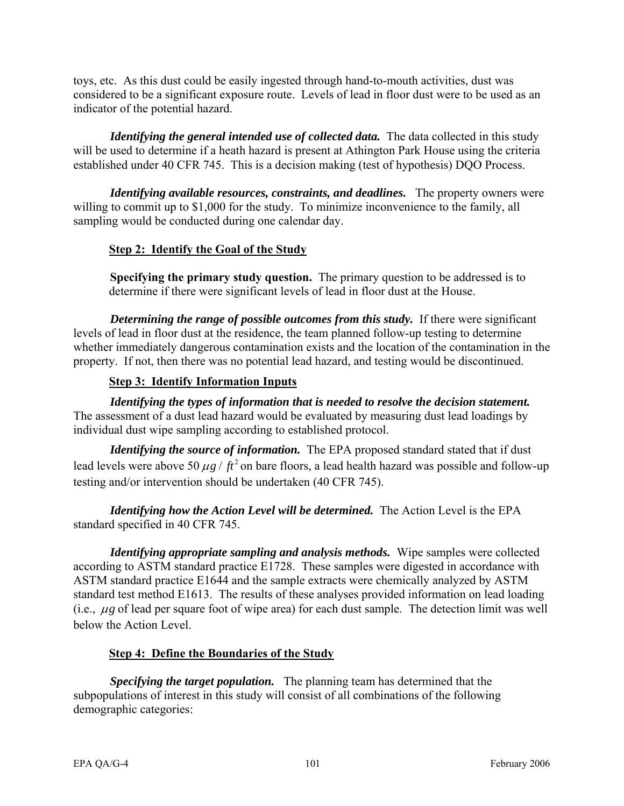toys, etc. As this dust could be easily ingested through hand-to-mouth activities, dust was considered to be a significant exposure route. Levels of lead in floor dust were to be used as an indicator of the potential hazard.

*Identifying the general intended use of collected data.* The data collected in this study will be used to determine if a heath hazard is present at Athington Park House using the criteria established under 40 CFR 745. This is a decision making (test of hypothesis) DQO Process.

*Identifying available resources, constraints, and deadlines.* The property owners were willing to commit up to \$1,000 for the study. To minimize inconvenience to the family, all sampling would be conducted during one calendar day.

# **Step 2: Identify the Goal of the Study**

**Specifying the primary study question.** The primary question to be addressed is to determine if there were significant levels of lead in floor dust at the House.

*Determining the range of possible outcomes from this study.* If there were significant levels of lead in floor dust at the residence, the team planned follow-up testing to determine whether immediately dangerous contamination exists and the location of the contamination in the property. If not, then there was no potential lead hazard, and testing would be discontinued.

# **Step 3: Identify Information Inputs**

*Identifying the types of information that is needed to resolve the decision statement.*  The assessment of a dust lead hazard would be evaluated by measuring dust lead loadings by individual dust wipe sampling according to established protocol.

*Identifying the source of information.* The EPA proposed standard stated that if dust lead levels were above 50  $\mu$ g /  $ft^2$  on bare floors, a lead health hazard was possible and follow-up testing and/or intervention should be undertaken (40 CFR 745).

*Identifying how the Action Level will be determined.* The Action Level is the EPA standard specified in 40 CFR 745.

*Identifying appropriate sampling and analysis methods.* Wipe samples were collected according to ASTM standard practice E1728. These samples were digested in accordance with ASTM standard practice E1644 and the sample extracts were chemically analyzed by ASTM standard test method E1613. The results of these analyses provided information on lead loading (i.e., μ*g* of lead per square foot of wipe area) for each dust sample. The detection limit was well below the Action Level.

## **Step 4: Define the Boundaries of the Study**

*Specifying the target population.* The planning team has determined that the subpopulations of interest in this study will consist of all combinations of the following demographic categories: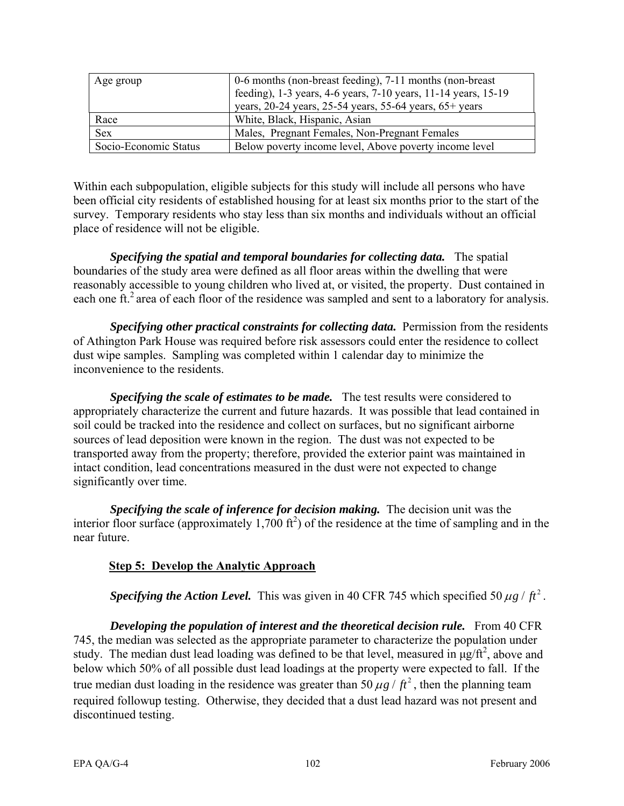| Age group             | 0-6 months (non-breast feeding), 7-11 months (non-breast)<br>feeding), 1-3 years, 4-6 years, 7-10 years, 11-14 years, 15-19<br>years, $20-24$ years, $25-54$ years, $55-64$ years, $65+$ years |  |
|-----------------------|------------------------------------------------------------------------------------------------------------------------------------------------------------------------------------------------|--|
| Race                  | White, Black, Hispanic, Asian                                                                                                                                                                  |  |
| <b>Sex</b>            | Males, Pregnant Females, Non-Pregnant Females                                                                                                                                                  |  |
| Socio-Economic Status | Below poverty income level, Above poverty income level                                                                                                                                         |  |

Within each subpopulation, eligible subjects for this study will include all persons who have been official city residents of established housing for at least six months prior to the start of the survey. Temporary residents who stay less than six months and individuals without an official place of residence will not be eligible.

*Specifying the spatial and temporal boundaries for collecting data.* The spatial boundaries of the study area were defined as all floor areas within the dwelling that were reasonably accessible to young children who lived at, or visited, the property. Dust contained in each one ft.<sup>2</sup> area of each floor of the residence was sampled and sent to a laboratory for analysis.

*Specifying other practical constraints for collecting data.* Permission from the residents of Athington Park House was required before risk assessors could enter the residence to collect dust wipe samples. Sampling was completed within 1 calendar day to minimize the inconvenience to the residents.

*Specifying the scale of estimates to be made.* The test results were considered to appropriately characterize the current and future hazards. It was possible that lead contained in soil could be tracked into the residence and collect on surfaces, but no significant airborne sources of lead deposition were known in the region. The dust was not expected to be transported away from the property; therefore, provided the exterior paint was maintained in intact condition, lead concentrations measured in the dust were not expected to change significantly over time.

*Specifying the scale of inference for decision making.* The decision unit was the interior floor surface (approximately  $1,700$  ft<sup>2</sup>) of the residence at the time of sampling and in the near future.

# **Step 5: Develop the Analytic Approach**

*Specifying the Action Level.* This was given in 40 CFR 745 which specified 50  $\mu$ g /  $ft^2$ .

*Developing the population of interest and the theoretical decision rule.* **From 40 CFR** 745, the median was selected as the appropriate parameter to characterize the population under study. The median dust lead loading was defined to be that level, measured in  $\mu$ g/ft<sup>2</sup>, above and below which 50% of all possible dust lead loadings at the property were expected to fall. If the true median dust loading in the residence was greater than 50  $\mu$ g /  $\hat{t}^2$ , then the planning team required followup testing. Otherwise, they decided that a dust lead hazard was not present and discontinued testing.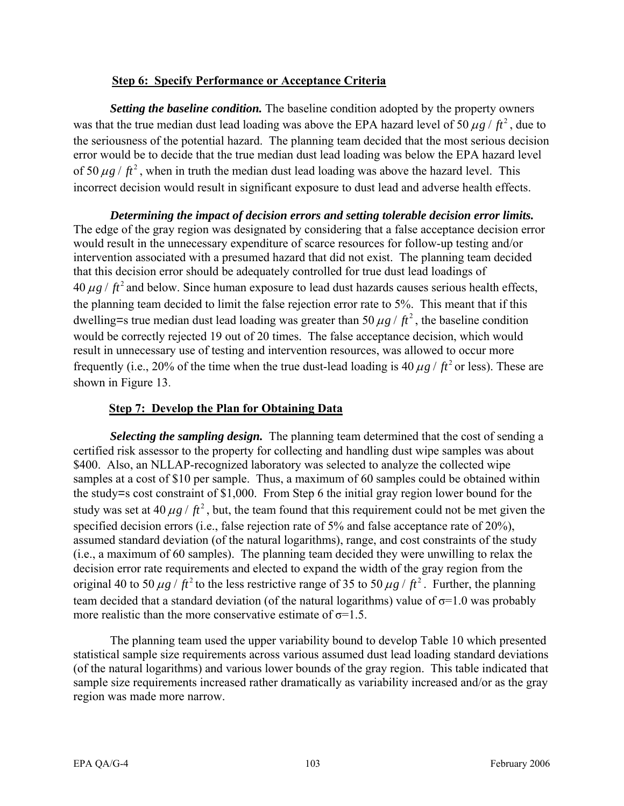### **Step 6: Specify Performance or Acceptance Criteria**

*Setting the baseline condition.* The baseline condition adopted by the property owners was that the true median dust lead loading was above the EPA hazard level of 50  $\mu$ g /  $ft^2$ , due to the seriousness of the potential hazard. The planning team decided that the most serious decision error would be to decide that the true median dust lead loading was below the EPA hazard level of 50  $\mu$ g /  $ft^2$ , when in truth the median dust lead loading was above the hazard level. This incorrect decision would result in significant exposure to dust lead and adverse health effects.

*Determining the impact of decision errors and setting tolerable decision error limits.*  The edge of the gray region was designated by considering that a false acceptance decision error would result in the unnecessary expenditure of scarce resources for follow-up testing and/or intervention associated with a presumed hazard that did not exist. The planning team decided that this decision error should be adequately controlled for true dust lead loadings of  $40 \mu g$  /  $ft^2$  and below. Since human exposure to lead dust hazards causes serious health effects, the planning team decided to limit the false rejection error rate to 5%. This meant that if this dwelling=s true median dust lead loading was greater than 50  $\mu$ g /  $ft^2$ , the baseline condition would be correctly rejected 19 out of 20 times. The false acceptance decision, which would result in unnecessary use of testing and intervention resources, was allowed to occur more frequently (i.e., 20% of the time when the true dust-lead loading is  $40 \mu g / ft^2$  or less). These are shown in Figure 13.

### **Step 7: Develop the Plan for Obtaining Data**

*Selecting the sampling design.* The planning team determined that the cost of sending a certified risk assessor to the property for collecting and handling dust wipe samples was about \$400. Also, an NLLAP-recognized laboratory was selected to analyze the collected wipe samples at a cost of \$10 per sample. Thus, a maximum of 60 samples could be obtained within the study=s cost constraint of \$1,000. From Step 6 the initial gray region lower bound for the study was set at 40  $\mu$ g /  $ft^2$ , but, the team found that this requirement could not be met given the specified decision errors (i.e., false rejection rate of 5% and false acceptance rate of 20%), assumed standard deviation (of the natural logarithms), range, and cost constraints of the study (i.e., a maximum of 60 samples). The planning team decided they were unwilling to relax the decision error rate requirements and elected to expand the width of the gray region from the original 40 to 50  $\mu$ *g* /  $ft^2$  to the less restrictive range of 35 to 50  $\mu$ *g* /  $ft^2$ . Further, the planning team decided that a standard deviation (of the natural logarithms) value of  $\sigma$ =1.0 was probably more realistic than the more conservative estimate of  $\sigma$ =1.5.

The planning team used the upper variability bound to develop Table 10 which presented statistical sample size requirements across various assumed dust lead loading standard deviations (of the natural logarithms) and various lower bounds of the gray region. This table indicated that sample size requirements increased rather dramatically as variability increased and/or as the gray region was made more narrow.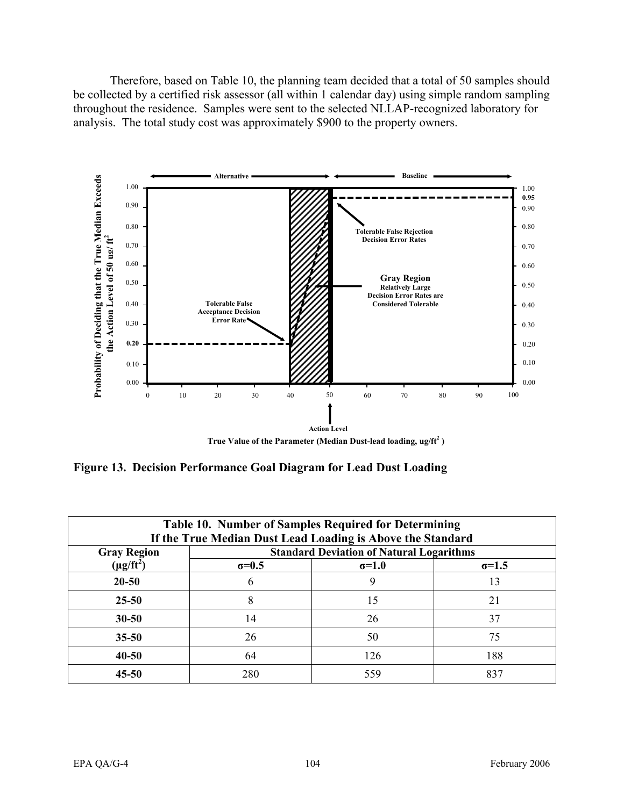Therefore, based on Table 10, the planning team decided that a total of 50 samples should be collected by a certified risk assessor (all within 1 calendar day) using simple random sampling throughout the residence. Samples were sent to the selected NLLAP-recognized laboratory for analysis. The total study cost was approximately \$900 to the property owners.



**Figure 13. Decision Performance Goal Diagram for Lead Dust Loading** 

| Table 10. Number of Samples Required for Determining<br>If the True Median Dust Lead Loading is Above the Standard |                                                 |              |               |
|--------------------------------------------------------------------------------------------------------------------|-------------------------------------------------|--------------|---------------|
| <b>Gray Region</b>                                                                                                 | <b>Standard Deviation of Natural Logarithms</b> |              |               |
| $(\mu g / ft^2)$                                                                                                   | $\sigma=0.5$                                    | $\sigma=1.0$ | $\sigma$ =1.5 |
| $20 - 50$                                                                                                          | 6                                               | 9            | 13            |
| $25 - 50$                                                                                                          | 8                                               | 15           | 21            |
| $30 - 50$                                                                                                          | 14                                              | 26           | 37            |
| $35 - 50$                                                                                                          | 26                                              | 50           | 75            |
| $40 - 50$                                                                                                          | 64                                              | 126          | 188           |
| 45-50                                                                                                              | 280                                             | 559          | 837           |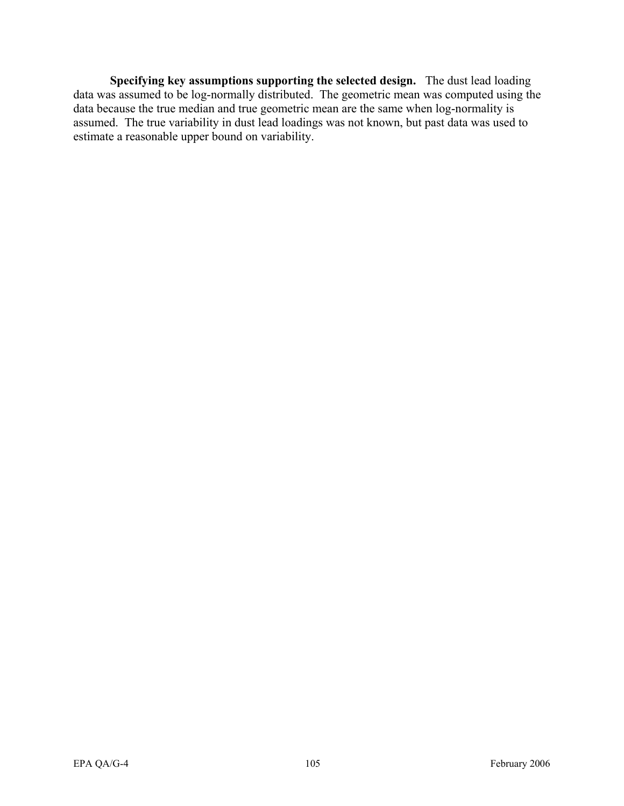**Specifying key assumptions supporting the selected design.** The dust lead loading data was assumed to be log-normally distributed. The geometric mean was computed using the data because the true median and true geometric mean are the same when log-normality is assumed. The true variability in dust lead loadings was not known, but past data was used to estimate a reasonable upper bound on variability.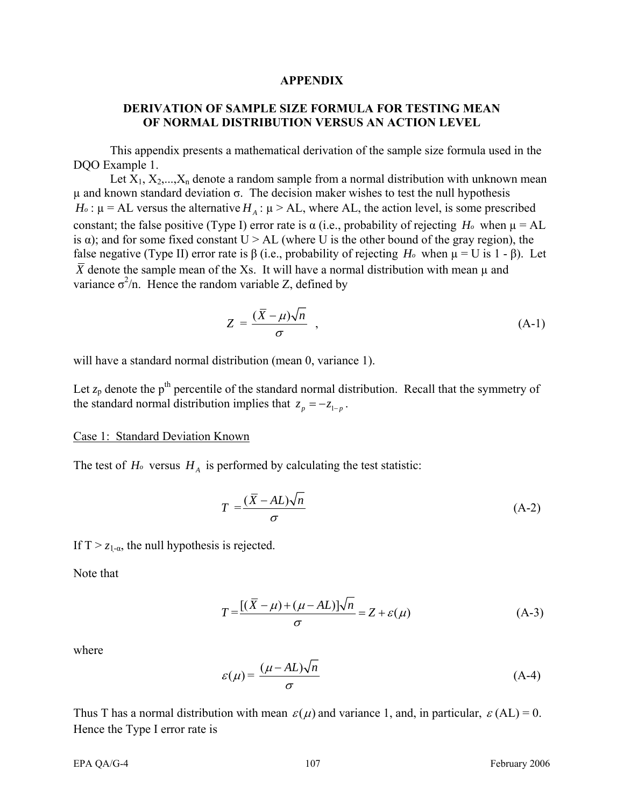#### **APPENDIX**

### **DERIVATION OF SAMPLE SIZE FORMULA FOR TESTING MEAN OF NORMAL DISTRIBUTION VERSUS AN ACTION LEVEL**

This appendix presents a mathematical derivation of the sample size formula used in the DQO Example 1.

Let  $X_1, X_2, \ldots, X_n$  denote a random sample from a normal distribution with unknown mean  $μ$  and known standard deviation  $σ$ . The decision maker wishes to test the null hypothesis  $H_0$ :  $\mu$  = AL versus the alternative  $H_A$ :  $\mu$  > AL, where AL, the action level, is some prescribed constant; the false positive (Type I) error rate is  $\alpha$  (i.e., probability of rejecting *H<sub>o</sub>* when  $\mu = AL$ is  $\alpha$ ); and for some fixed constant U > AL (where U is the other bound of the gray region), the false negative (Type II) error rate is β (i.e., probability of rejecting  $H_0$  when  $\mu = U$  is 1 - β). Let  $\overline{X}$  denote the sample mean of the Xs. It will have a normal distribution with mean  $\mu$  and variance  $\sigma^2/n$ . Hence the random variable Z, defined by

$$
Z = \frac{(\bar{X} - \mu)\sqrt{n}}{\sigma} \tag{A-1}
$$

will have a standard normal distribution (mean 0, variance 1).

Let  $z_p$  denote the p<sup>th</sup> percentile of the standard normal distribution. Recall that the symmetry of the standard normal distribution implies that  $z_p = -z_{1-p}$ .

#### Case 1: Standard Deviation Known

The test of  $H_0$  versus  $H_A$  is performed by calculating the test statistic:

$$
T = \frac{(\bar{X} - AL)\sqrt{n}}{\sigma} \tag{A-2}
$$

If  $T > z_{1-\alpha}$ , the null hypothesis is rejected.  $\overline{a}$ 

Note that

$$
T = \frac{[(\bar{X} - \mu) + (\mu - AL)]\sqrt{n}}{\sigma} = Z + \varepsilon(\mu)
$$
 (A-3)

where

$$
\varepsilon(\mu) = \frac{(\mu - AL)\sqrt{n}}{\sigma} \tag{A-4}
$$

Thus T has a normal distribution with mean  $\varepsilon(\mu)$  and variance 1, and, in particular,  $\varepsilon(AL) = 0$ . Hence the Type I error rate is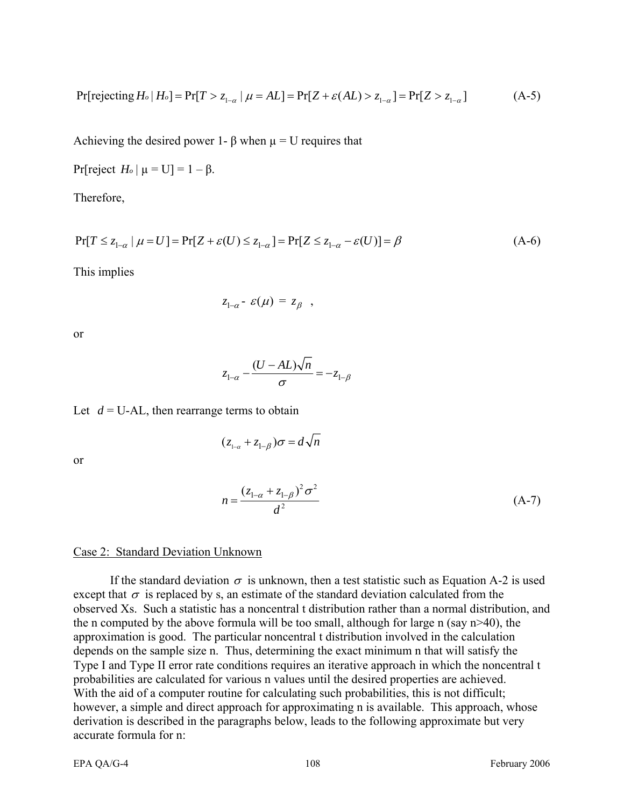$$
\Pr[\text{rejecting } H_o | H_o] = \Pr[T > z_{1-\alpha} | \mu = AL] = \Pr[Z + \varepsilon(AL) > z_{1-\alpha}] = \Pr[Z > z_{1-\alpha}] \tag{A-5}
$$

Achieving the desired power 1-  $\beta$  when  $\mu = U$  requires that

Pr[reject  $H_0 | \mu = U$ ] = 1 – β.

Therefore,

$$
\Pr[T \le z_{1-\alpha} \mid \mu = U] = \Pr[Z + \varepsilon(U) \le z_{1-\alpha}] = \Pr[Z \le z_{1-\alpha} - \varepsilon(U)] = \beta \tag{A-6}
$$

This implies

$$
z_{1-\alpha} - \varepsilon(\mu) = z_{\beta} ,
$$

 $(z_{1-\alpha} + z_{1-\beta})\sigma = d\sqrt{n}$ 

or

$$
z_{1-\alpha} - \frac{(U - AL)\sqrt{n}}{\sigma} = -z_{1-\beta}
$$

Let  $d = U-AL$ , then rearrange terms to obtain

or

$$
n = \frac{(z_{1-\alpha} + z_{1-\beta})^2 \sigma^2}{d^2}
$$
 (A-7)

#### Case 2: Standard Deviation Unknown

If the standard deviation  $\sigma$  is unknown, then a test statistic such as Equation A-2 is used except that  $\sigma$  is replaced by s, an estimate of the standard deviation calculated from the observed Xs. Such a statistic has a noncentral t distribution rather than a normal distribution, and the n computed by the above formula will be too small, although for large n (say n>40), the approximation is good. The particular noncentral t distribution involved in the calculation depends on the sample size n. Thus, determining the exact minimum n that will satisfy the Type I and Type II error rate conditions requires an iterative approach in which the noncentral t probabilities are calculated for various n values until the desired properties are achieved. With the aid of a computer routine for calculating such probabilities, this is not difficult; however, a simple and direct approach for approximating n is available. This approach, whose derivation is described in the paragraphs below, leads to the following approximate but very accurate formula for n: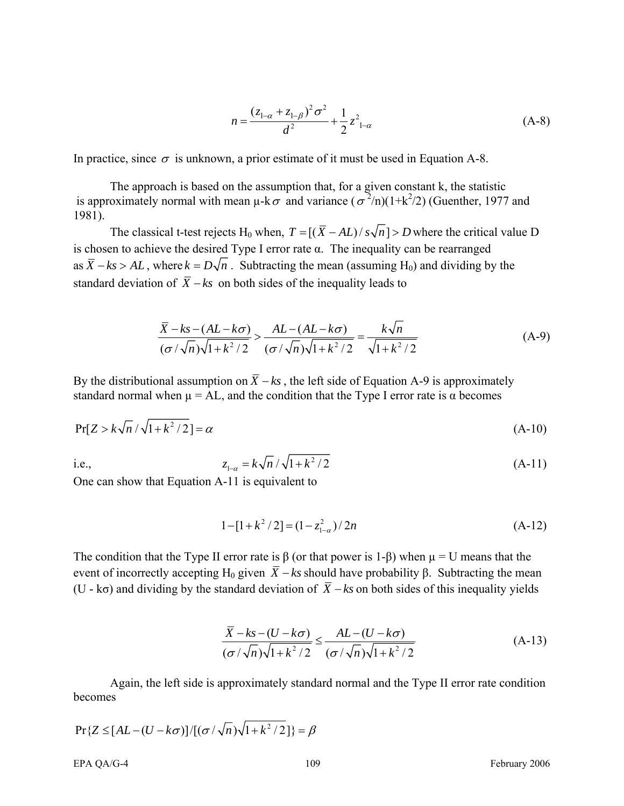$$
n = \frac{(z_{1-\alpha} + z_{1-\beta})^2 \sigma^2}{d^2} + \frac{1}{2} z_{1-\alpha}^2
$$
 (A-8)

In practice, since  $\sigma$  is unknown, a prior estimate of it must be used in Equation A-8.

The approach is based on the assumption that, for a given constant k, the statistic is approximately normal with mean  $\mu$ -k $\sigma$  and variance ( $\sigma^2/n$ )(1+k<sup>2</sup>/2) (Guenther, 1977 and 1981).

The classical t-test rejects H<sub>0</sub> when,  $T = [(X - AL)/s\sqrt{n}] > D$  where the critical value D is chosen to achieve the desired Type I error rate α. The inequality can be rearranged as  $\overline{X}$  − *ks* > *AL*, where  $k = D\sqrt{n}$ . Subtracting the mean (assuming H<sub>0</sub>) and dividing by the standard deviation of  $\overline{X}$  − *ks* on both sides of the inequality leads to

$$
\frac{\overline{X} - ks - (AL - k\sigma)}{(\sigma/\sqrt{n})\sqrt{1 + k^2/2}} > \frac{AL - (AL - k\sigma)}{(\sigma/\sqrt{n})\sqrt{1 + k^2/2}} = \frac{k\sqrt{n}}{\sqrt{1 + k^2/2}}
$$
(A-9)

By the distributional assumption on  $\overline{X}$  − *ks*, the left side of Equation A-9 is approximately standard normal when  $\mu = AL$ , and the condition that the Type I error rate is  $\alpha$  becomes

$$
Pr[Z > k\sqrt{n}/\sqrt{1+k^2/2}] = \alpha
$$
\n(A-10)

i.e.,  $z_{1-\alpha} = k\sqrt{n}/\sqrt{1+k^2/2}$  (A-11)

One can show that Equation A-11 is equivalent to

$$
1 - [1 + k^2 / 2] = (1 - z_{1-\alpha}^2) / 2n
$$
 (A-12)

The condition that the Type II error rate is  $\beta$  (or that power is 1- $\beta$ ) when  $\mu = U$  means that the event of incorrectly accepting H<sub>0</sub> given  $\overline{X}$  − *ks* should have probability β. Subtracting the mean (U - kσ) and dividing by the standard deviation of *X* − *ks* on both sides of this inequality yields

$$
\frac{\overline{X} - ks - (U - k\sigma)}{(\sigma/\sqrt{n})\sqrt{1 + k^2/2}} \le \frac{AL - (U - k\sigma)}{(\sigma/\sqrt{n})\sqrt{1 + k^2/2}}
$$
(A-13)

Again, the left side is approximately standard normal and the Type II error rate condition becomes

$$
Pr{Z \leq [AL - (U - k\sigma)] / [(\sigma/\sqrt{n})\sqrt{1 + k^2/2}] } = \beta
$$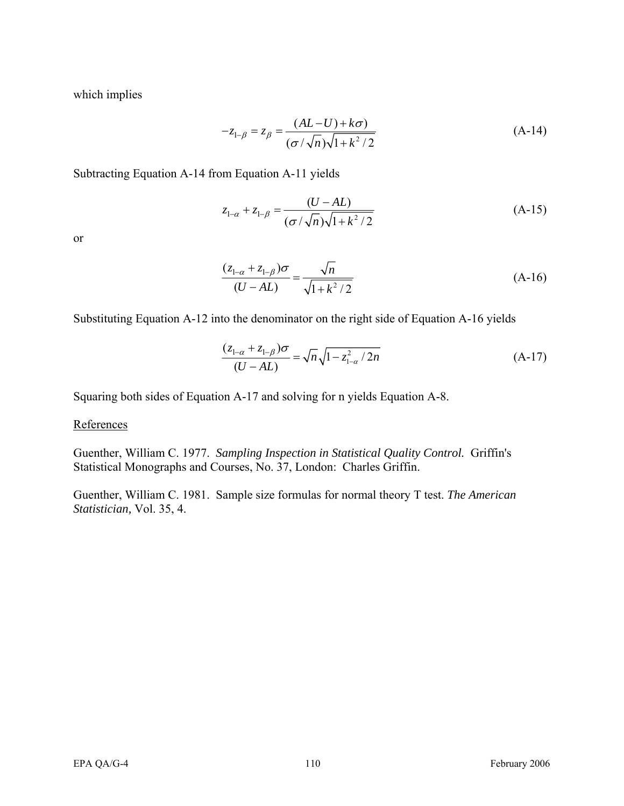which implies

$$
-z_{1-\beta} = z_{\beta} = \frac{(AL - U) + k\sigma}{(\sigma/\sqrt{n})\sqrt{1 + k^2/2}}
$$
 (A-14)

Subtracting Equation A-14 from Equation A-11 yields

$$
z_{1-\alpha} + z_{1-\beta} = \frac{(U - AL)}{(\sigma / \sqrt{n})\sqrt{1 + k^2 / 2}}
$$
 (A-15)

or

$$
\frac{(z_{1-\alpha} + z_{1-\beta})\sigma}{(U - AL)} = \frac{\sqrt{n}}{\sqrt{1 + k^2 / 2}}
$$
(A-16)

Substituting Equation A-12 into the denominator on the right side of Equation A-16 yields

$$
\frac{(z_{1-\alpha} + z_{1-\beta})\sigma}{(U - AL)} = \sqrt{n}\sqrt{1 - z_{1-\alpha}^2 / 2n}
$$
 (A-17)

Squaring both sides of Equation A-17 and solving for n yields Equation A-8.

### **References**

Guenther, William C. 1977. *Sampling Inspection in Statistical Quality Control.* Griffin's Statistical Monographs and Courses, No. 37, London: Charles Griffin.

Guenther, William C. 1981. Sample size formulas for normal theory T test. *The American Statistician,* Vol. 35, 4.